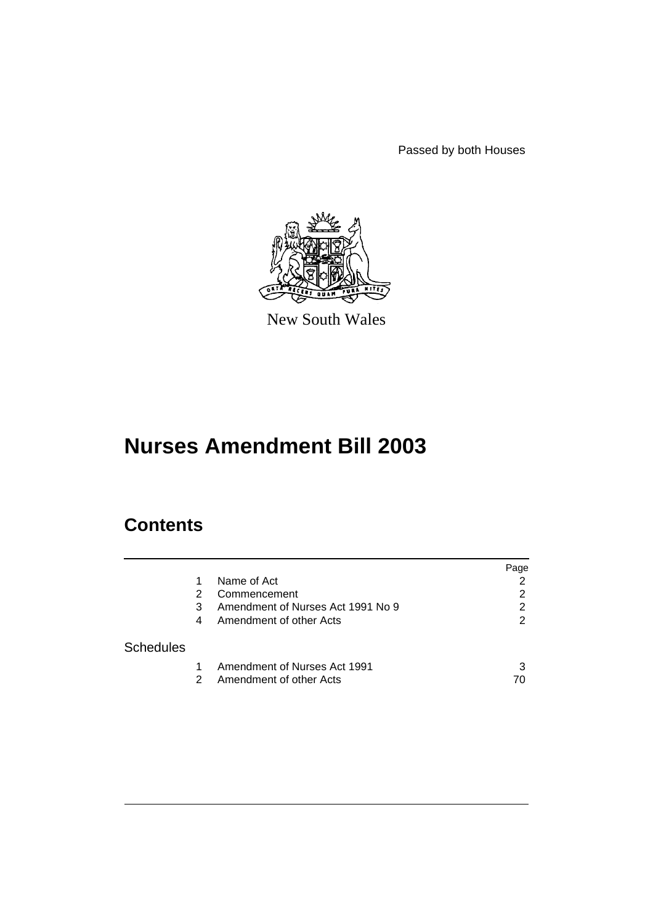Passed by both Houses



New South Wales

# **Nurses Amendment Bill 2003**

# **Contents**

|                  |   |                                   | Page          |
|------------------|---|-----------------------------------|---------------|
|                  |   | Name of Act                       | 2             |
|                  | 2 | Commencement                      | 2             |
|                  | 3 | Amendment of Nurses Act 1991 No 9 | 2             |
|                  | 4 | Amendment of other Acts           | $\mathcal{P}$ |
| <b>Schedules</b> |   |                                   |               |
|                  |   | Amendment of Nurses Act 1991      | 3             |
|                  | 2 | Amendment of other Acts           | 70            |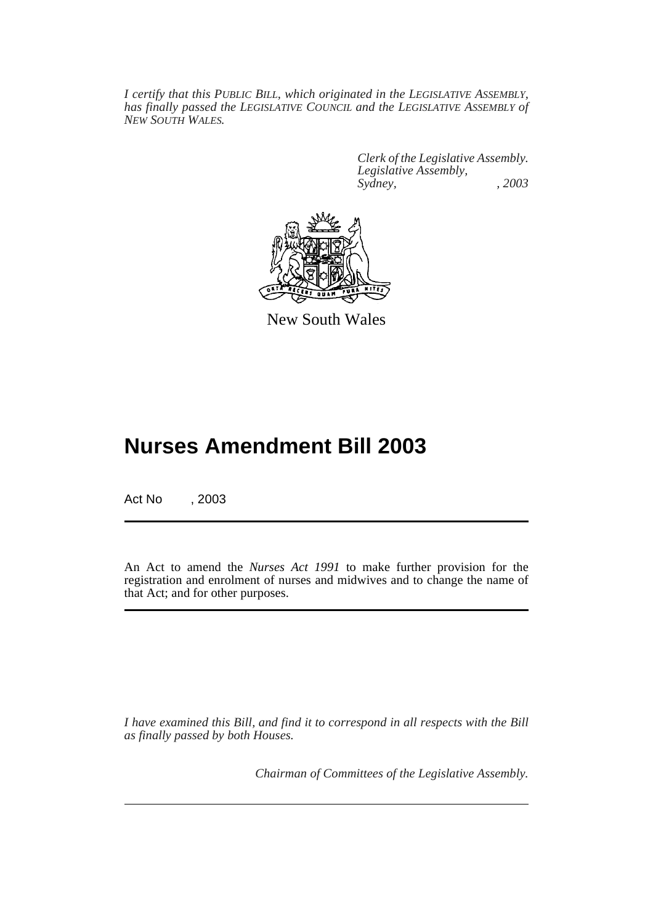*I certify that this PUBLIC BILL, which originated in the LEGISLATIVE ASSEMBLY, has finally passed the LEGISLATIVE COUNCIL and the LEGISLATIVE ASSEMBLY of NEW SOUTH WALES.*

> *Clerk of the Legislative Assembly. Legislative Assembly, Sydney, , 2003*



New South Wales

# **Nurses Amendment Bill 2003**

Act No , 2003

An Act to amend the *Nurses Act 1991* to make further provision for the registration and enrolment of nurses and midwives and to change the name of that Act; and for other purposes.

*I have examined this Bill, and find it to correspond in all respects with the Bill as finally passed by both Houses.*

*Chairman of Committees of the Legislative Assembly.*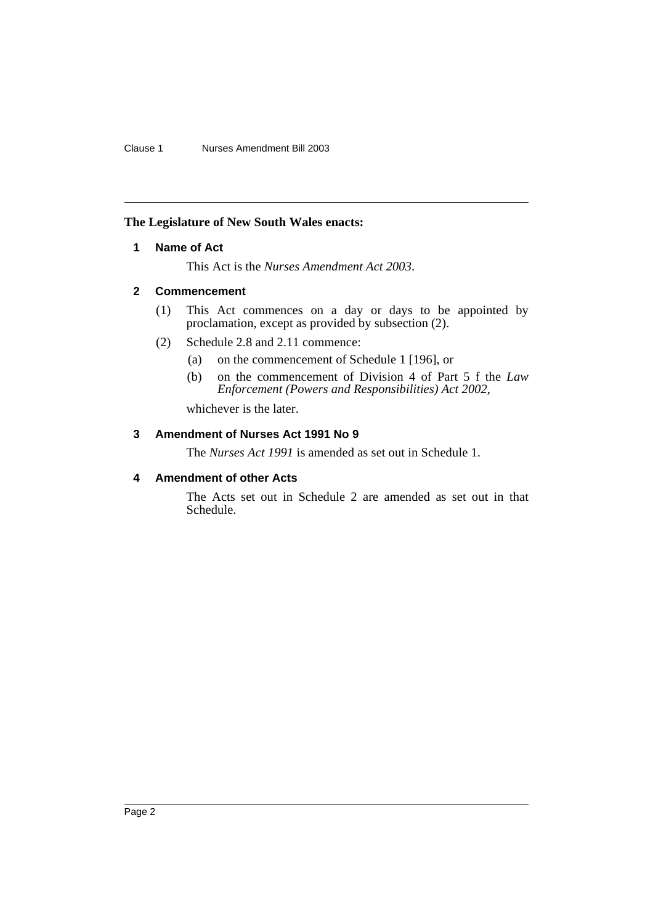# **The Legislature of New South Wales enacts:**

# **1 Name of Act**

This Act is the *Nurses Amendment Act 2003*.

# **2 Commencement**

- (1) This Act commences on a day or days to be appointed by proclamation, except as provided by subsection (2).
- (2) Schedule 2.8 and 2.11 commence:
	- (a) on the commencement of Schedule 1 [196], or
	- (b) on the commencement of Division 4 of Part 5 f the *Law Enforcement (Powers and Responsibilities) Act 2002*,

whichever is the later.

# **3 Amendment of Nurses Act 1991 No 9**

The *Nurses Act 1991* is amended as set out in Schedule 1.

# **4 Amendment of other Acts**

The Acts set out in Schedule 2 are amended as set out in that Schedule.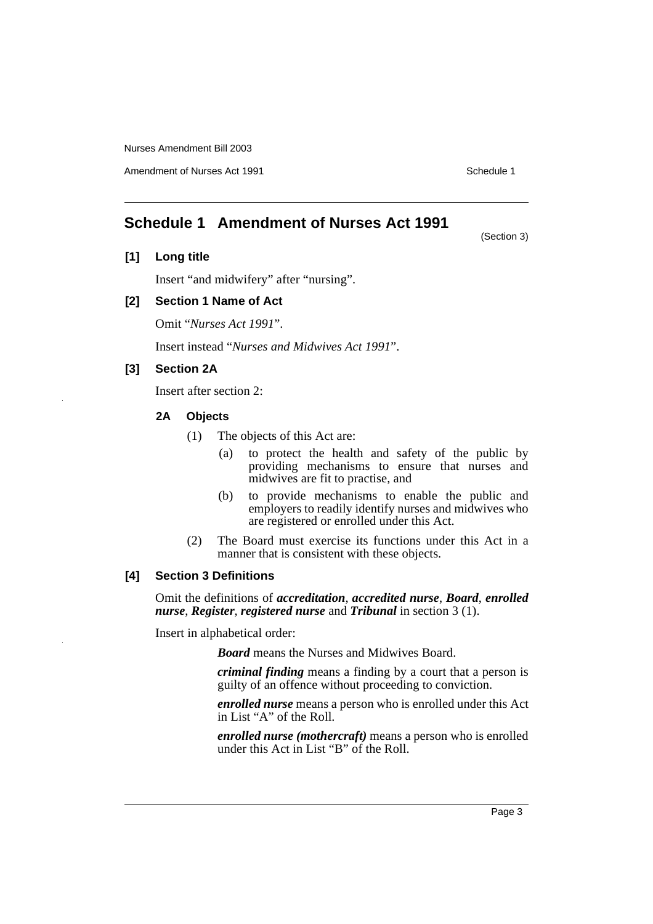Amendment of Nurses Act 1991 **Schedule 1** and the set of the Schedule 1

(Section 3)

# **Schedule 1 Amendment of Nurses Act 1991**

# **[1] Long title**

Insert "and midwifery" after "nursing".

# **[2] Section 1 Name of Act**

Omit "*Nurses Act 1991*".

Insert instead "*Nurses and Midwives Act 1991*".

# **[3] Section 2A**

Insert after section 2:

#### **2A Objects**

- (1) The objects of this Act are:
	- (a) to protect the health and safety of the public by providing mechanisms to ensure that nurses and midwives are fit to practise, and
	- (b) to provide mechanisms to enable the public and employers to readily identify nurses and midwives who are registered or enrolled under this Act.
- (2) The Board must exercise its functions under this Act in a manner that is consistent with these objects.

# **[4] Section 3 Definitions**

Omit the definitions of *accreditation*, *accredited nurse*, *Board*, *enrolled nurse*, *Register*, *registered nurse* and *Tribunal* in section 3 (1).

Insert in alphabetical order:

*Board* means the Nurses and Midwives Board.

*criminal finding* means a finding by a court that a person is guilty of an offence without proceeding to conviction.

*enrolled nurse* means a person who is enrolled under this Act in List "A" of the Roll.

*enrolled nurse (mothercraft)* means a person who is enrolled under this Act in List "B" of the Roll.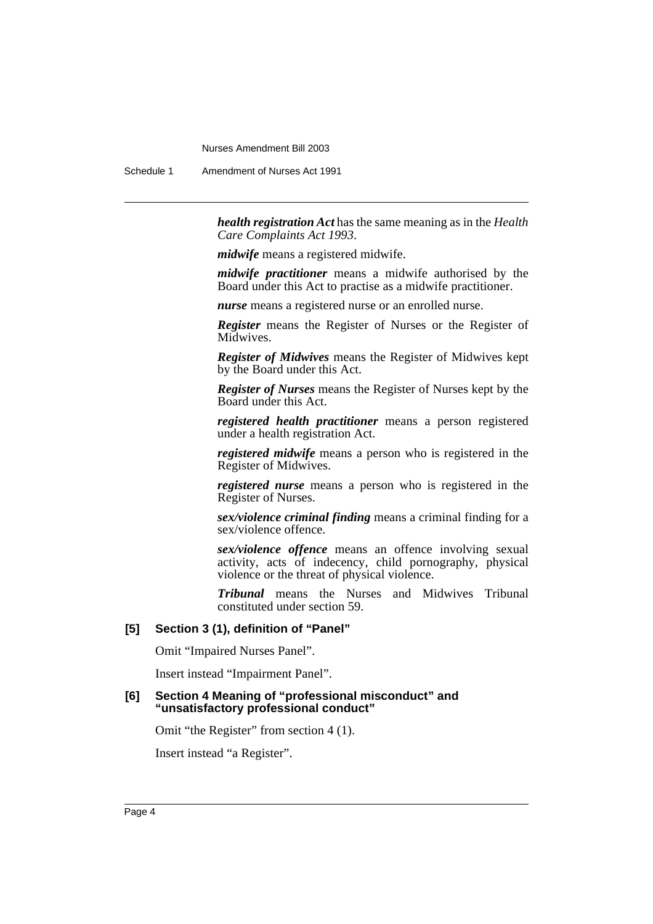Schedule 1 Amendment of Nurses Act 1991

*health registration Act* has the same meaning as in the *Health Care Complaints Act 1993*.

*midwife* means a registered midwife.

*midwife practitioner* means a midwife authorised by the Board under this Act to practise as a midwife practitioner.

*nurse* means a registered nurse or an enrolled nurse.

*Register* means the Register of Nurses or the Register of Midwives.

*Register of Midwives* means the Register of Midwives kept by the Board under this Act.

*Register of Nurses* means the Register of Nurses kept by the Board under this Act.

*registered health practitioner* means a person registered under a health registration Act.

*registered midwife* means a person who is registered in the Register of Midwives.

*registered nurse* means a person who is registered in the Register of Nurses.

*sex/violence criminal finding* means a criminal finding for a sex/violence offence.

*sex/violence offence* means an offence involving sexual activity, acts of indecency, child pornography, physical violence or the threat of physical violence.

*Tribunal* means the Nurses and Midwives Tribunal constituted under section 59.

# **[5] Section 3 (1), definition of "Panel"**

Omit "Impaired Nurses Panel".

Insert instead "Impairment Panel".

# **[6] Section 4 Meaning of "professional misconduct" and "unsatisfactory professional conduct"**

Omit "the Register" from section 4 (1).

Insert instead "a Register".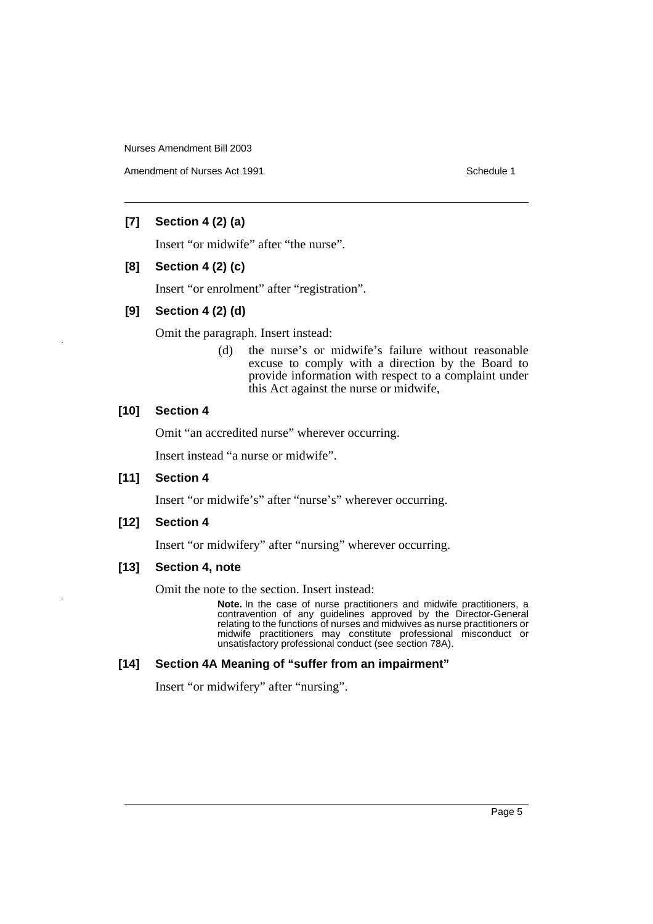Amendment of Nurses Act 1991 **Schedule 1** and the set of the Schedule 1

# **[7] Section 4 (2) (a)**

Insert "or midwife" after "the nurse".

# **[8] Section 4 (2) (c)**

Insert "or enrolment" after "registration".

# **[9] Section 4 (2) (d)**

Omit the paragraph. Insert instead:

(d) the nurse's or midwife's failure without reasonable excuse to comply with a direction by the Board to provide information with respect to a complaint under this Act against the nurse or midwife,

# **[10] Section 4**

Omit "an accredited nurse" wherever occurring.

Insert instead "a nurse or midwife".

# **[11] Section 4**

Insert "or midwife's" after "nurse's" wherever occurring.

# **[12] Section 4**

Insert "or midwifery" after "nursing" wherever occurring.

# **[13] Section 4, note**

Omit the note to the section. Insert instead:

**Note.** In the case of nurse practitioners and midwife practitioners, a contravention of any guidelines approved by the Director-General relating to the functions of nurses and midwives as nurse practitioners or midwife practitioners may constitute professional misconduct or unsatisfactory professional conduct (see section 78A).

# **[14] Section 4A Meaning of "suffer from an impairment"**

Insert "or midwifery" after "nursing".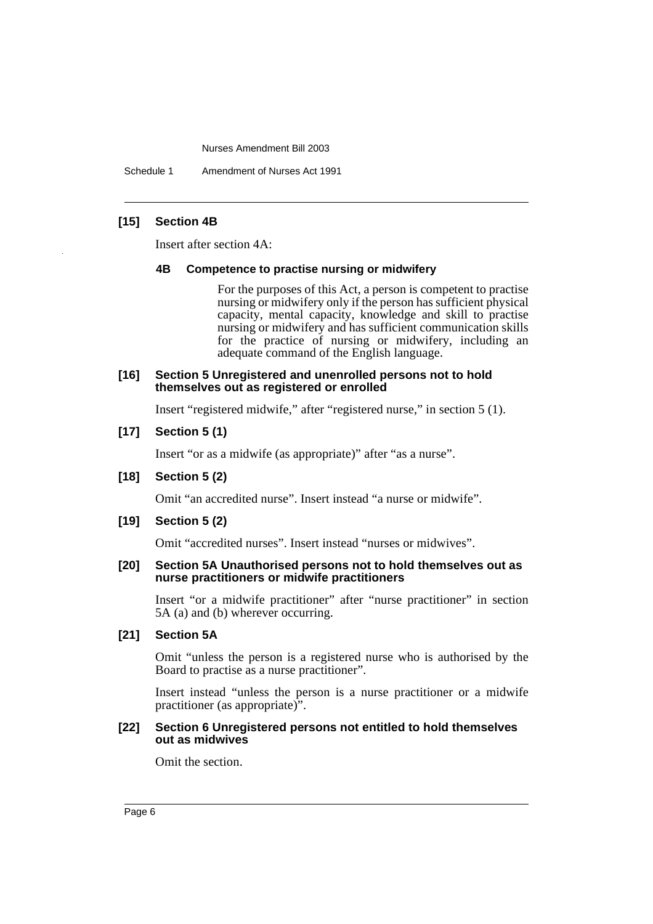Schedule 1 Amendment of Nurses Act 1991

# **[15] Section 4B**

Insert after section 4A:

#### **4B Competence to practise nursing or midwifery**

For the purposes of this Act, a person is competent to practise nursing or midwifery only if the person has sufficient physical capacity, mental capacity, knowledge and skill to practise nursing or midwifery and has sufficient communication skills for the practice of nursing or midwifery, including an adequate command of the English language.

#### **[16] Section 5 Unregistered and unenrolled persons not to hold themselves out as registered or enrolled**

Insert "registered midwife," after "registered nurse," in section 5 (1).

# **[17] Section 5 (1)**

Insert "or as a midwife (as appropriate)" after "as a nurse".

## **[18] Section 5 (2)**

Omit "an accredited nurse". Insert instead "a nurse or midwife".

# **[19] Section 5 (2)**

Omit "accredited nurses". Insert instead "nurses or midwives".

#### **[20] Section 5A Unauthorised persons not to hold themselves out as nurse practitioners or midwife practitioners**

Insert "or a midwife practitioner" after "nurse practitioner" in section 5A (a) and (b) wherever occurring.

# **[21] Section 5A**

Omit "unless the person is a registered nurse who is authorised by the Board to practise as a nurse practitioner".

Insert instead "unless the person is a nurse practitioner or a midwife practitioner (as appropriate)".

#### **[22] Section 6 Unregistered persons not entitled to hold themselves out as midwives**

Omit the section.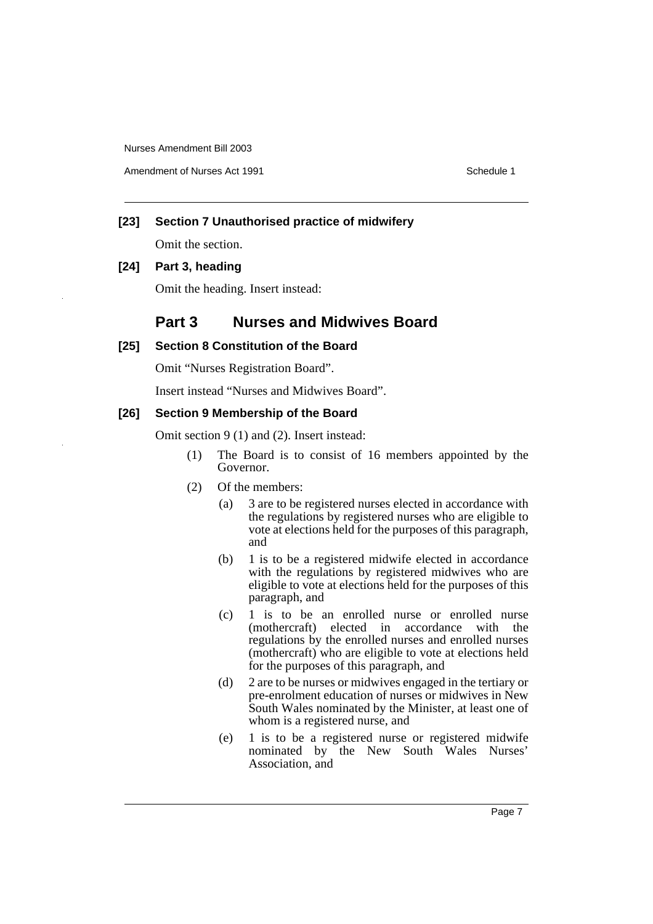Amendment of Nurses Act 1991 **Schedule 1** and the set of the Schedule 1

# **[23] Section 7 Unauthorised practice of midwifery**

Omit the section.

# **[24] Part 3, heading**

Omit the heading. Insert instead:

# **Part 3 Nurses and Midwives Board**

# **[25] Section 8 Constitution of the Board**

Omit "Nurses Registration Board".

Insert instead "Nurses and Midwives Board".

# **[26] Section 9 Membership of the Board**

Omit section 9 (1) and (2). Insert instead:

- (1) The Board is to consist of 16 members appointed by the Governor.
- (2) Of the members:
	- (a) 3 are to be registered nurses elected in accordance with the regulations by registered nurses who are eligible to vote at elections held for the purposes of this paragraph, and
	- (b) 1 is to be a registered midwife elected in accordance with the regulations by registered midwives who are eligible to vote at elections held for the purposes of this paragraph, and
	- (c) 1 is to be an enrolled nurse or enrolled nurse (mothercraft) elected in accordance with the regulations by the enrolled nurses and enrolled nurses (mothercraft) who are eligible to vote at elections held for the purposes of this paragraph, and
	- (d) 2 are to be nurses or midwives engaged in the tertiary or pre-enrolment education of nurses or midwives in New South Wales nominated by the Minister, at least one of whom is a registered nurse, and
	- (e) 1 is to be a registered nurse or registered midwife nominated by the New South Wales Nurses' Association, and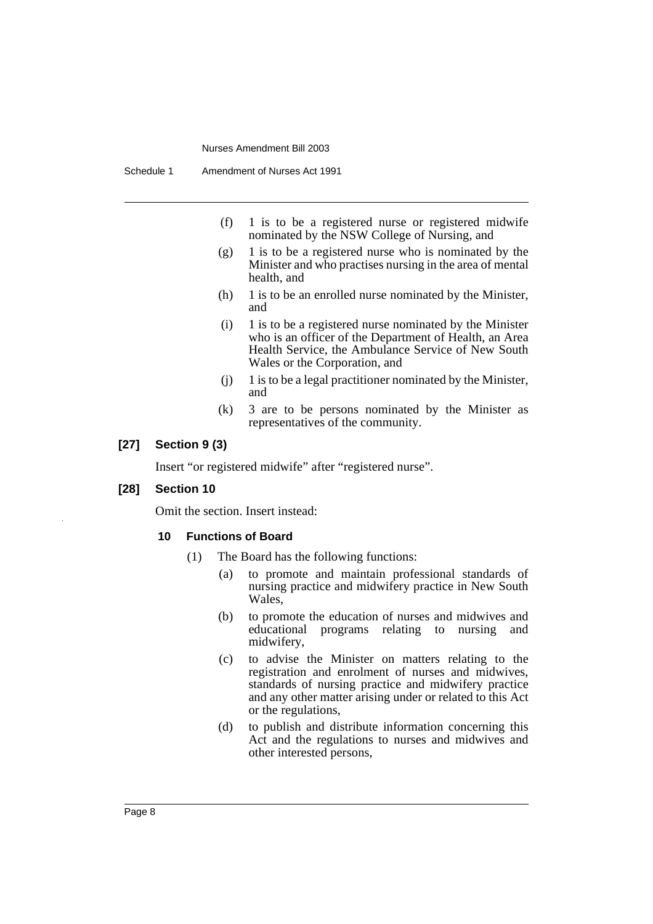- (f) 1 is to be a registered nurse or registered midwife nominated by the NSW College of Nursing, and
- $(g)$  1 is to be a registered nurse who is nominated by the Minister and who practises nursing in the area of mental health, and
- (h) 1 is to be an enrolled nurse nominated by the Minister, and
- (i) 1 is to be a registered nurse nominated by the Minister who is an officer of the Department of Health, an Area Health Service, the Ambulance Service of New South Wales or the Corporation, and
- (j) 1 is to be a legal practitioner nominated by the Minister, and
- (k) 3 are to be persons nominated by the Minister as representatives of the community.

# **[27] Section 9 (3)**

Insert "or registered midwife" after "registered nurse".

#### **[28] Section 10**

Omit the section. Insert instead:

#### **10 Functions of Board**

- (1) The Board has the following functions:
	- (a) to promote and maintain professional standards of nursing practice and midwifery practice in New South Wales,
	- (b) to promote the education of nurses and midwives and educational programs relating to nursing and midwifery,
	- (c) to advise the Minister on matters relating to the registration and enrolment of nurses and midwives, standards of nursing practice and midwifery practice and any other matter arising under or related to this Act or the regulations,
	- (d) to publish and distribute information concerning this Act and the regulations to nurses and midwives and other interested persons,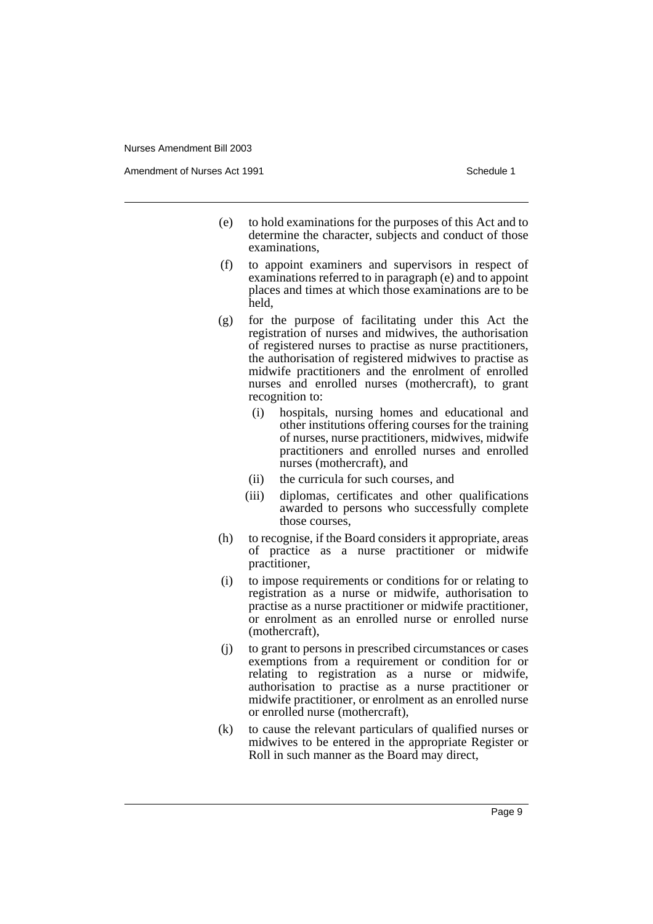Amendment of Nurses Act 1991 **Schedule 1** Schedule 1

- (e) to hold examinations for the purposes of this Act and to determine the character, subjects and conduct of those examinations,
- (f) to appoint examiners and supervisors in respect of examinations referred to in paragraph (e) and to appoint places and times at which those examinations are to be held,
- (g) for the purpose of facilitating under this Act the registration of nurses and midwives, the authorisation of registered nurses to practise as nurse practitioners, the authorisation of registered midwives to practise as midwife practitioners and the enrolment of enrolled nurses and enrolled nurses (mothercraft), to grant recognition to:
	- (i) hospitals, nursing homes and educational and other institutions offering courses for the training of nurses, nurse practitioners, midwives, midwife practitioners and enrolled nurses and enrolled nurses (mothercraft), and
	- (ii) the curricula for such courses, and
	- (iii) diplomas, certificates and other qualifications awarded to persons who successfully complete those courses,
- (h) to recognise, if the Board considers it appropriate, areas of practice as a nurse practitioner or midwife practitioner,
- (i) to impose requirements or conditions for or relating to registration as a nurse or midwife, authorisation to practise as a nurse practitioner or midwife practitioner, or enrolment as an enrolled nurse or enrolled nurse (mothercraft),
- (j) to grant to persons in prescribed circumstances or cases exemptions from a requirement or condition for or relating to registration as a nurse or midwife, authorisation to practise as a nurse practitioner or midwife practitioner, or enrolment as an enrolled nurse or enrolled nurse (mothercraft),
- (k) to cause the relevant particulars of qualified nurses or midwives to be entered in the appropriate Register or Roll in such manner as the Board may direct,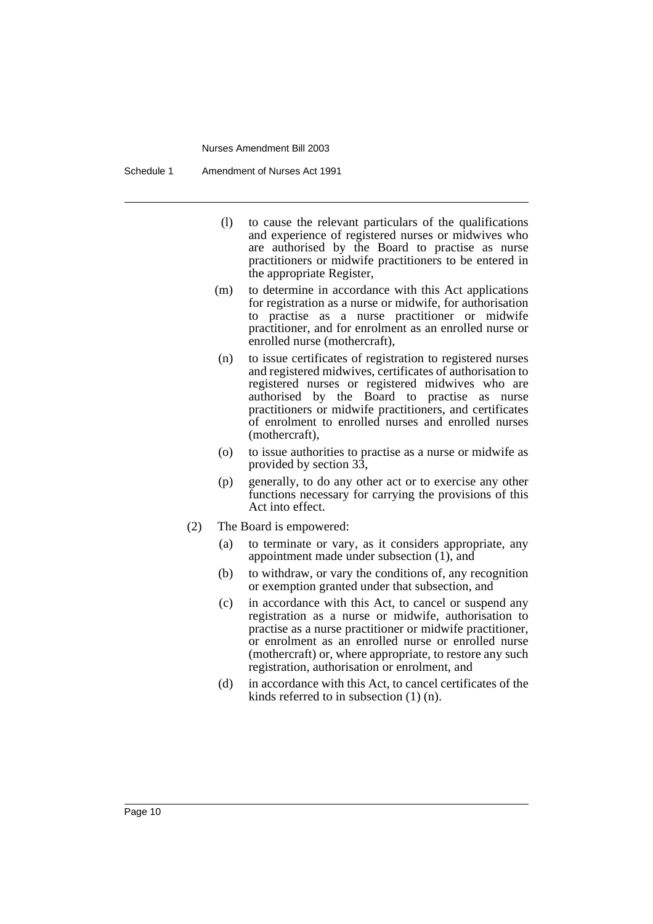Schedule 1 Amendment of Nurses Act 1991

- (l) to cause the relevant particulars of the qualifications and experience of registered nurses or midwives who are authorised by the Board to practise as nurse practitioners or midwife practitioners to be entered in the appropriate Register,
- (m) to determine in accordance with this Act applications for registration as a nurse or midwife, for authorisation to practise as a nurse practitioner or midwife practitioner, and for enrolment as an enrolled nurse or enrolled nurse (mothercraft),
- (n) to issue certificates of registration to registered nurses and registered midwives, certificates of authorisation to registered nurses or registered midwives who are authorised by the Board to practise as nurse practitioners or midwife practitioners, and certificates of enrolment to enrolled nurses and enrolled nurses (mothercraft),
- (o) to issue authorities to practise as a nurse or midwife as provided by section 33,
- (p) generally, to do any other act or to exercise any other functions necessary for carrying the provisions of this Act into effect.
- (2) The Board is empowered:
	- (a) to terminate or vary, as it considers appropriate, any appointment made under subsection (1), and
	- (b) to withdraw, or vary the conditions of, any recognition or exemption granted under that subsection, and
	- (c) in accordance with this Act, to cancel or suspend any registration as a nurse or midwife, authorisation to practise as a nurse practitioner or midwife practitioner, or enrolment as an enrolled nurse or enrolled nurse (mothercraft) or, where appropriate, to restore any such registration, authorisation or enrolment, and
	- (d) in accordance with this Act, to cancel certificates of the kinds referred to in subsection (1) (n).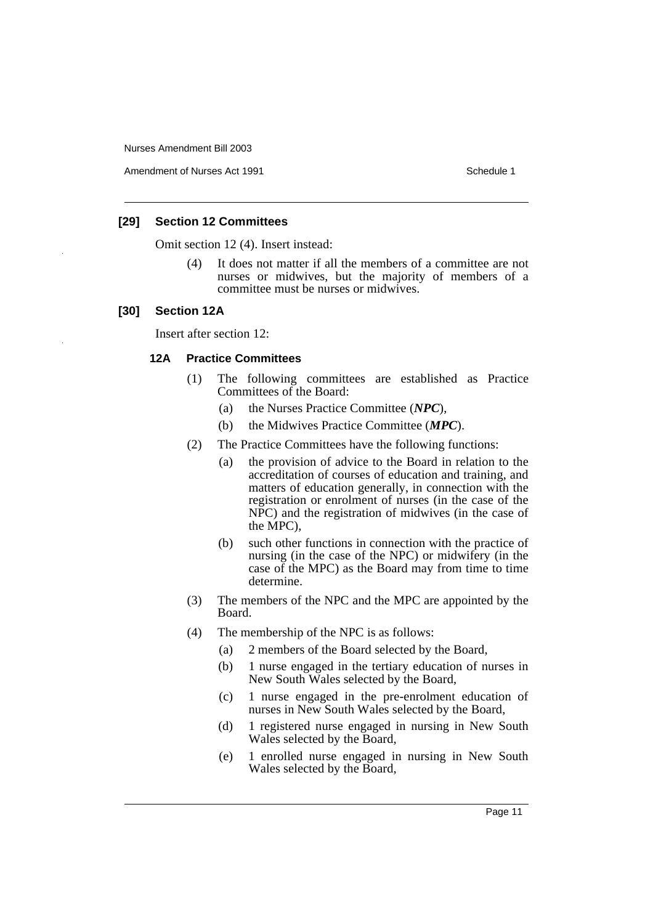Amendment of Nurses Act 1991 **Schedule 1** and the set of the Schedule 1

# **[29] Section 12 Committees**

Omit section 12 (4). Insert instead:

(4) It does not matter if all the members of a committee are not nurses or midwives, but the majority of members of a committee must be nurses or midwives.

#### **[30] Section 12A**

Insert after section 12:

#### **12A Practice Committees**

- (1) The following committees are established as Practice Committees of the Board:
	- (a) the Nurses Practice Committee (*NPC*),
	- (b) the Midwives Practice Committee (*MPC*).
- (2) The Practice Committees have the following functions:
	- (a) the provision of advice to the Board in relation to the accreditation of courses of education and training, and matters of education generally, in connection with the registration or enrolment of nurses (in the case of the NPC) and the registration of midwives (in the case of the MPC),
	- (b) such other functions in connection with the practice of nursing (in the case of the NPC) or midwifery (in the case of the MPC) as the Board may from time to time determine.
- (3) The members of the NPC and the MPC are appointed by the Board.
- (4) The membership of the NPC is as follows:
	- (a) 2 members of the Board selected by the Board,
	- (b) 1 nurse engaged in the tertiary education of nurses in New South Wales selected by the Board,
	- (c) 1 nurse engaged in the pre-enrolment education of nurses in New South Wales selected by the Board,
	- (d) 1 registered nurse engaged in nursing in New South Wales selected by the Board,
	- (e) 1 enrolled nurse engaged in nursing in New South Wales selected by the Board,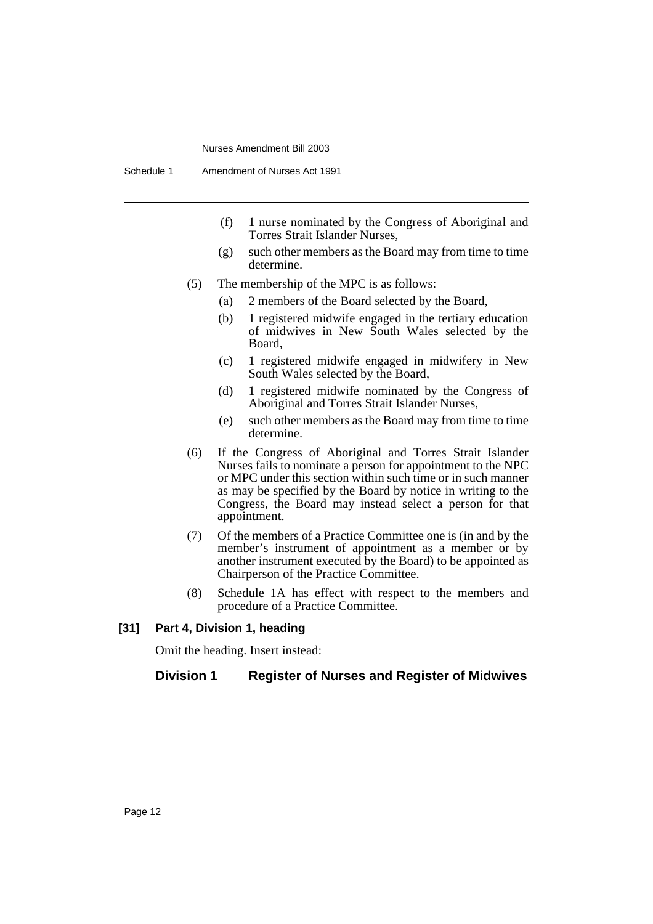- (f) 1 nurse nominated by the Congress of Aboriginal and Torres Strait Islander Nurses,
- (g) such other members as the Board may from time to time determine.
- (5) The membership of the MPC is as follows:
	- (a) 2 members of the Board selected by the Board,
	- (b) 1 registered midwife engaged in the tertiary education of midwives in New South Wales selected by the Board,
	- (c) 1 registered midwife engaged in midwifery in New South Wales selected by the Board,
	- (d) 1 registered midwife nominated by the Congress of Aboriginal and Torres Strait Islander Nurses,
	- (e) such other members as the Board may from time to time determine.
- (6) If the Congress of Aboriginal and Torres Strait Islander Nurses fails to nominate a person for appointment to the NPC or MPC under this section within such time or in such manner as may be specified by the Board by notice in writing to the Congress, the Board may instead select a person for that appointment.
- (7) Of the members of a Practice Committee one is (in and by the member's instrument of appointment as a member or by another instrument executed by the Board) to be appointed as Chairperson of the Practice Committee.
- (8) Schedule 1A has effect with respect to the members and procedure of a Practice Committee.

#### **[31] Part 4, Division 1, heading**

Omit the heading. Insert instead:

#### **Division 1 Register of Nurses and Register of Midwives**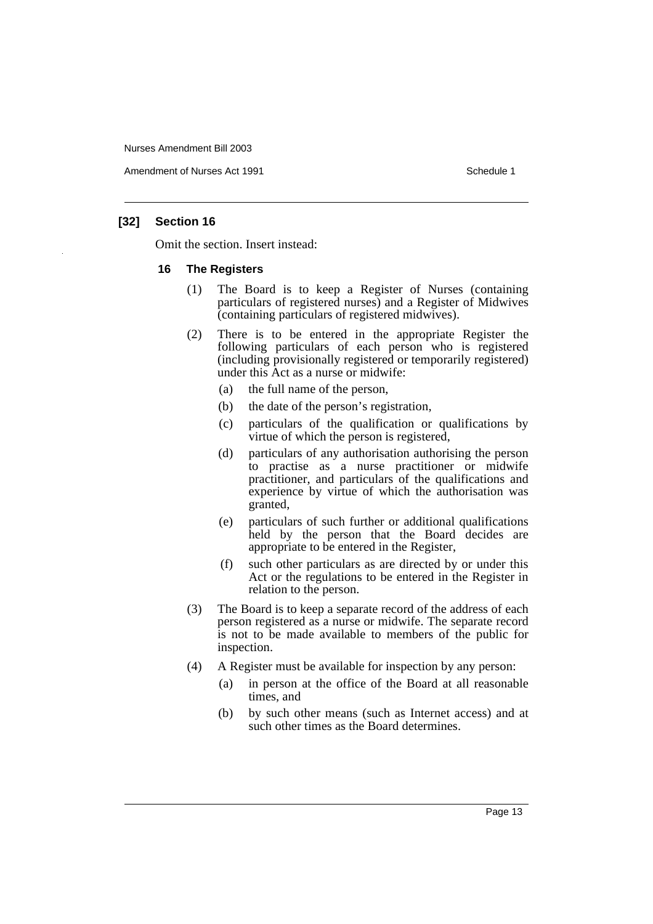Amendment of Nurses Act 1991 **Schedule 1** and the set of the Schedule 1

# **[32] Section 16**

Omit the section. Insert instead:

#### **16 The Registers**

- (1) The Board is to keep a Register of Nurses (containing particulars of registered nurses) and a Register of Midwives (containing particulars of registered midwives).
- (2) There is to be entered in the appropriate Register the following particulars of each person who is registered (including provisionally registered or temporarily registered) under this Act as a nurse or midwife:
	- (a) the full name of the person,
	- (b) the date of the person's registration,
	- (c) particulars of the qualification or qualifications by virtue of which the person is registered,
	- (d) particulars of any authorisation authorising the person to practise as a nurse practitioner or midwife practitioner, and particulars of the qualifications and experience by virtue of which the authorisation was granted,
	- (e) particulars of such further or additional qualifications held by the person that the Board decides are appropriate to be entered in the Register,
	- (f) such other particulars as are directed by or under this Act or the regulations to be entered in the Register in relation to the person.
- (3) The Board is to keep a separate record of the address of each person registered as a nurse or midwife. The separate record is not to be made available to members of the public for inspection.
- (4) A Register must be available for inspection by any person:
	- (a) in person at the office of the Board at all reasonable times, and
	- (b) by such other means (such as Internet access) and at such other times as the Board determines.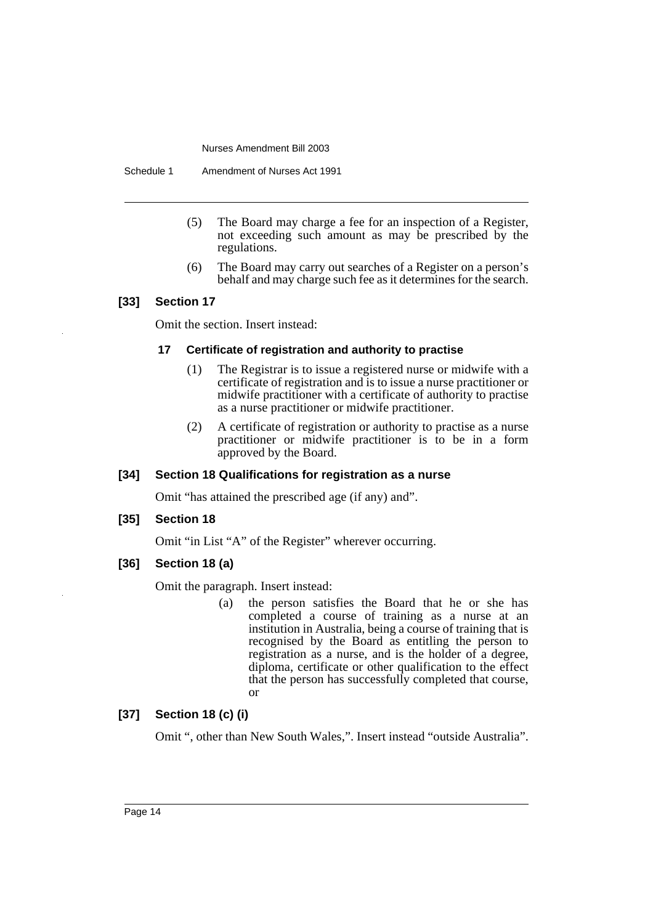Schedule 1 Amendment of Nurses Act 1991

- (5) The Board may charge a fee for an inspection of a Register, not exceeding such amount as may be prescribed by the regulations.
- (6) The Board may carry out searches of a Register on a person's behalf and may charge such fee as it determines for the search.

# **[33] Section 17**

Omit the section. Insert instead:

# **17 Certificate of registration and authority to practise**

- (1) The Registrar is to issue a registered nurse or midwife with a certificate of registration and is to issue a nurse practitioner or midwife practitioner with a certificate of authority to practise as a nurse practitioner or midwife practitioner.
- (2) A certificate of registration or authority to practise as a nurse practitioner or midwife practitioner is to be in a form approved by the Board.

# **[34] Section 18 Qualifications for registration as a nurse**

Omit "has attained the prescribed age (if any) and".

**[35] Section 18**

Omit "in List "A" of the Register" wherever occurring.

**[36] Section 18 (a)**

Omit the paragraph. Insert instead:

(a) the person satisfies the Board that he or she has completed a course of training as a nurse at an institution in Australia, being a course of training that is recognised by the Board as entitling the person to registration as a nurse, and is the holder of a degree, diploma, certificate or other qualification to the effect that the person has successfully completed that course, or

# **[37] Section 18 (c) (i)**

Omit ", other than New South Wales,". Insert instead "outside Australia".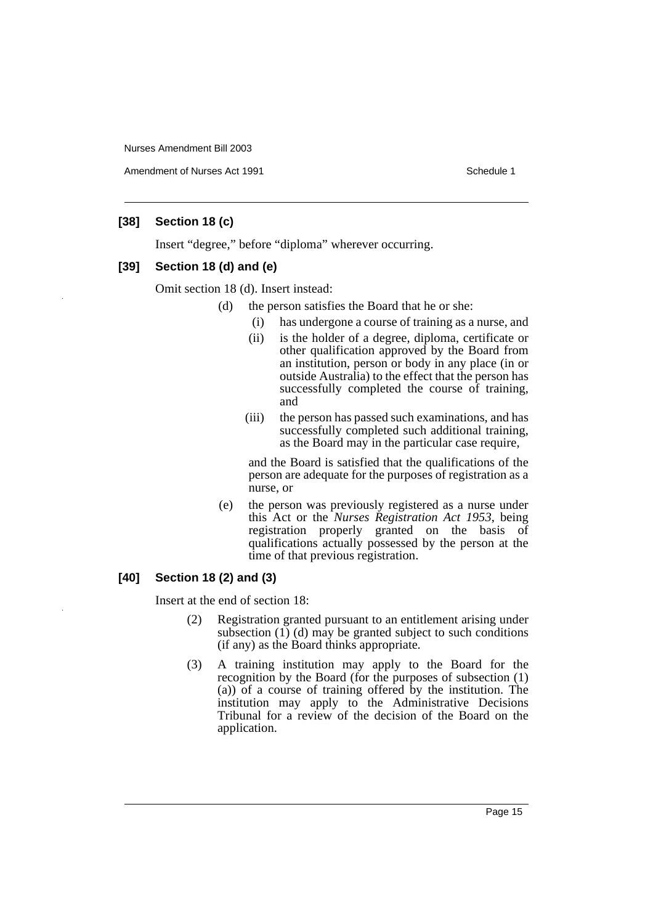Amendment of Nurses Act 1991 **Schedule 1** Schedule 1

# **[38] Section 18 (c)**

Insert "degree," before "diploma" wherever occurring.

# **[39] Section 18 (d) and (e)**

Omit section 18 (d). Insert instead:

- (d) the person satisfies the Board that he or she:
	- (i) has undergone a course of training as a nurse, and
	- (ii) is the holder of a degree, diploma, certificate or other qualification approved by the Board from an institution, person or body in any place (in or outside Australia) to the effect that the person has successfully completed the course of training, and
	- (iii) the person has passed such examinations, and has successfully completed such additional training, as the Board may in the particular case require,

and the Board is satisfied that the qualifications of the person are adequate for the purposes of registration as a nurse, or

(e) the person was previously registered as a nurse under this Act or the *Nurses Registration Act 1953*, being registration properly granted on the basis of qualifications actually possessed by the person at the time of that previous registration.

# **[40] Section 18 (2) and (3)**

Insert at the end of section 18:

- (2) Registration granted pursuant to an entitlement arising under subsection (1) (d) may be granted subject to such conditions (if any) as the Board thinks appropriate.
- (3) A training institution may apply to the Board for the recognition by the Board (for the purposes of subsection (1) (a)) of a course of training offered by the institution. The institution may apply to the Administrative Decisions Tribunal for a review of the decision of the Board on the application.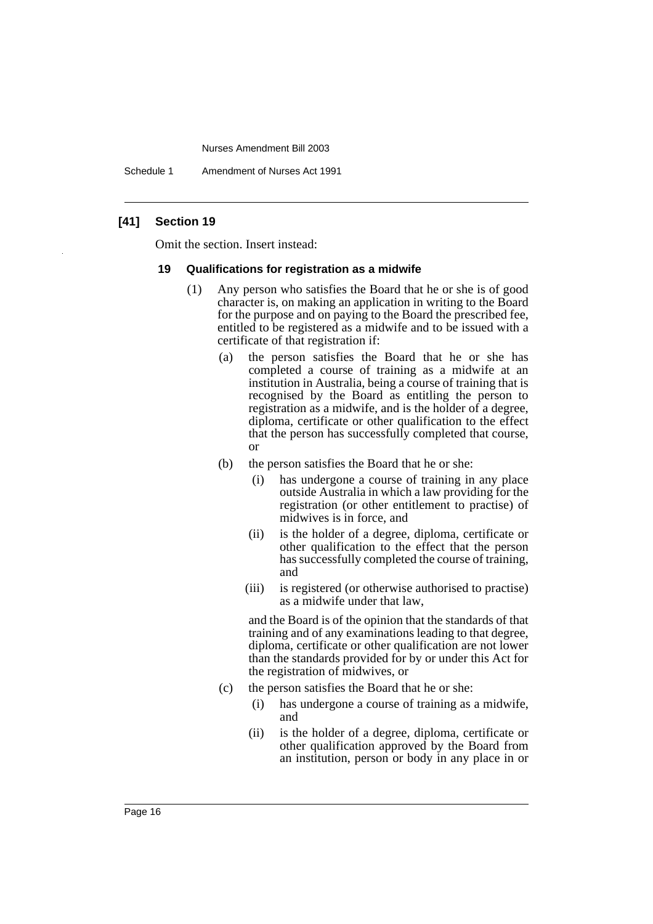Schedule 1 Amendment of Nurses Act 1991

# **[41] Section 19**

Omit the section. Insert instead:

#### **19 Qualifications for registration as a midwife**

- (1) Any person who satisfies the Board that he or she is of good character is, on making an application in writing to the Board for the purpose and on paying to the Board the prescribed fee, entitled to be registered as a midwife and to be issued with a certificate of that registration if:
	- (a) the person satisfies the Board that he or she has completed a course of training as a midwife at an institution in Australia, being a course of training that is recognised by the Board as entitling the person to registration as a midwife, and is the holder of a degree, diploma, certificate or other qualification to the effect that the person has successfully completed that course, or
	- (b) the person satisfies the Board that he or she:
		- (i) has undergone a course of training in any place outside Australia in which a law providing for the registration (or other entitlement to practise) of midwives is in force, and
		- (ii) is the holder of a degree, diploma, certificate or other qualification to the effect that the person has successfully completed the course of training, and
		- (iii) is registered (or otherwise authorised to practise) as a midwife under that law,

and the Board is of the opinion that the standards of that training and of any examinations leading to that degree, diploma, certificate or other qualification are not lower than the standards provided for by or under this Act for the registration of midwives, or

- (c) the person satisfies the Board that he or she:
	- (i) has undergone a course of training as a midwife, and
	- (ii) is the holder of a degree, diploma, certificate or other qualification approved by the Board from an institution, person or body in any place in or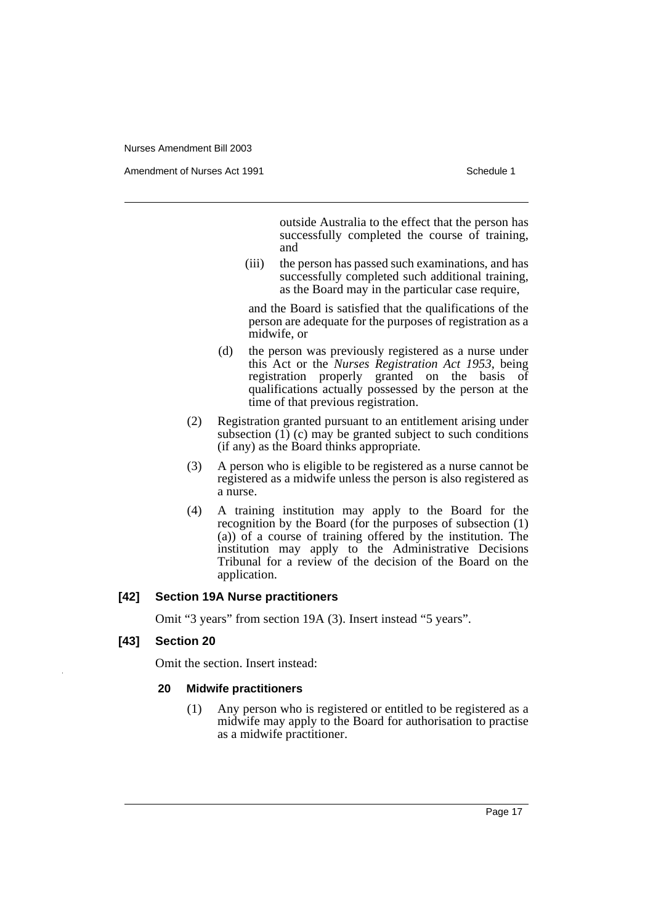Amendment of Nurses Act 1991 **Schedule 1** Schedule 1

outside Australia to the effect that the person has successfully completed the course of training, and

(iii) the person has passed such examinations, and has successfully completed such additional training, as the Board may in the particular case require,

and the Board is satisfied that the qualifications of the person are adequate for the purposes of registration as a midwife, or

- (d) the person was previously registered as a nurse under this Act or the *Nurses Registration Act 1953*, being registration properly granted on the basis of qualifications actually possessed by the person at the time of that previous registration.
- (2) Registration granted pursuant to an entitlement arising under subsection  $(1)$  (c) may be granted subject to such conditions (if any) as the Board thinks appropriate.
- (3) A person who is eligible to be registered as a nurse cannot be registered as a midwife unless the person is also registered as a nurse.
- (4) A training institution may apply to the Board for the recognition by the Board (for the purposes of subsection (1) (a)) of a course of training offered by the institution. The institution may apply to the Administrative Decisions Tribunal for a review of the decision of the Board on the application.

# **[42] Section 19A Nurse practitioners**

Omit "3 years" from section 19A (3). Insert instead "5 years".

# **[43] Section 20**

Omit the section. Insert instead:

#### **20 Midwife practitioners**

(1) Any person who is registered or entitled to be registered as a midwife may apply to the Board for authorisation to practise as a midwife practitioner.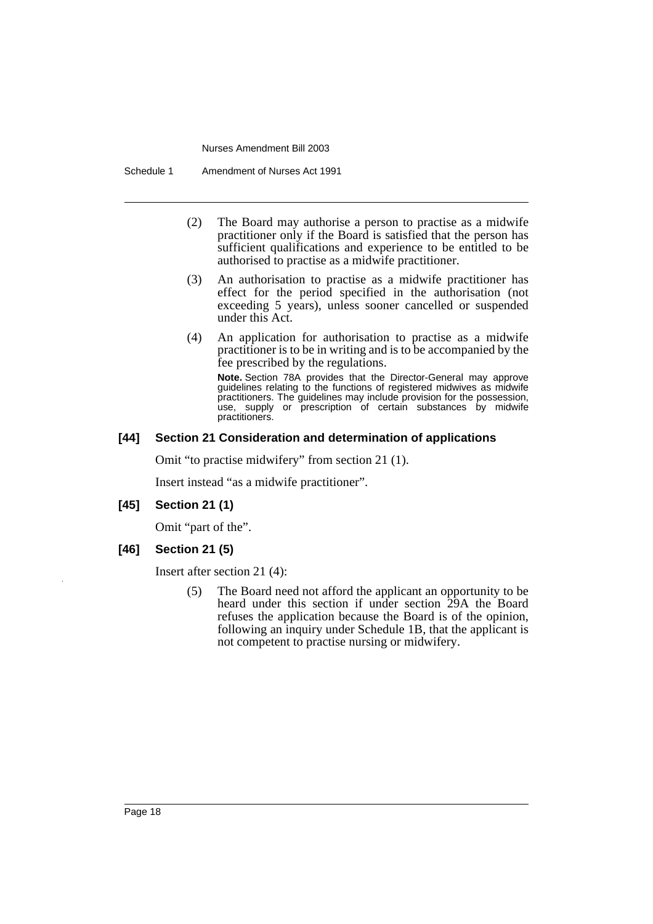Schedule 1 Amendment of Nurses Act 1991

- (2) The Board may authorise a person to practise as a midwife practitioner only if the Board is satisfied that the person has sufficient qualifications and experience to be entitled to be authorised to practise as a midwife practitioner.
- (3) An authorisation to practise as a midwife practitioner has effect for the period specified in the authorisation (not exceeding 5 years), unless sooner cancelled or suspended under this Act.
- (4) An application for authorisation to practise as a midwife practitioner is to be in writing and is to be accompanied by the fee prescribed by the regulations.

**Note.** Section 78A provides that the Director-General may approve guidelines relating to the functions of registered midwives as midwife practitioners. The guidelines may include provision for the possession, use, supply or prescription of certain substances by midwife practitioners.

# **[44] Section 21 Consideration and determination of applications**

Omit "to practise midwifery" from section 21 (1).

Insert instead "as a midwife practitioner".

**[45] Section 21 (1)**

Omit "part of the".

**[46] Section 21 (5)**

Insert after section 21 (4):

(5) The Board need not afford the applicant an opportunity to be heard under this section if under section 29A the Board refuses the application because the Board is of the opinion, following an inquiry under Schedule 1B, that the applicant is not competent to practise nursing or midwifery.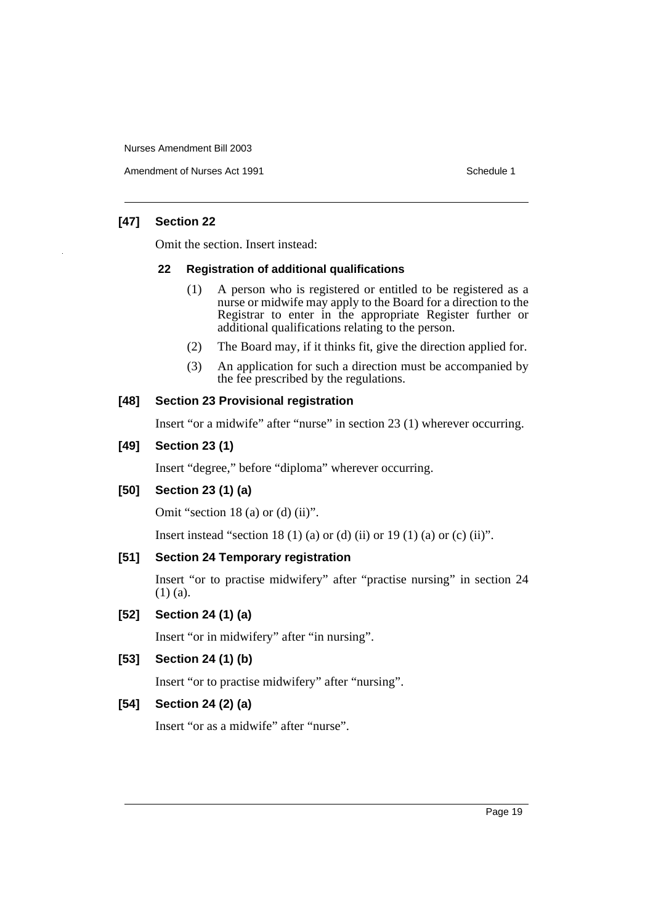Amendment of Nurses Act 1991 and the control of the Schedule 1

# **[47] Section 22**

Omit the section. Insert instead:

# **22 Registration of additional qualifications**

- (1) A person who is registered or entitled to be registered as a nurse or midwife may apply to the Board for a direction to the Registrar to enter in the appropriate Register further or additional qualifications relating to the person.
- (2) The Board may, if it thinks fit, give the direction applied for.
- (3) An application for such a direction must be accompanied by the fee prescribed by the regulations.

# **[48] Section 23 Provisional registration**

Insert "or a midwife" after "nurse" in section 23 (1) wherever occurring.

# **[49] Section 23 (1)**

Insert "degree," before "diploma" wherever occurring.

# **[50] Section 23 (1) (a)**

Omit "section 18 (a) or (d) (ii)".

Insert instead "section 18 (1) (a) or (d) (ii) or 19 (1) (a) or (c) (ii)".

# **[51] Section 24 Temporary registration**

Insert "or to practise midwifery" after "practise nursing" in section 24 (1) (a).

# **[52] Section 24 (1) (a)**

Insert "or in midwifery" after "in nursing".

# **[53] Section 24 (1) (b)**

Insert "or to practise midwifery" after "nursing".

# **[54] Section 24 (2) (a)**

Insert "or as a midwife" after "nurse".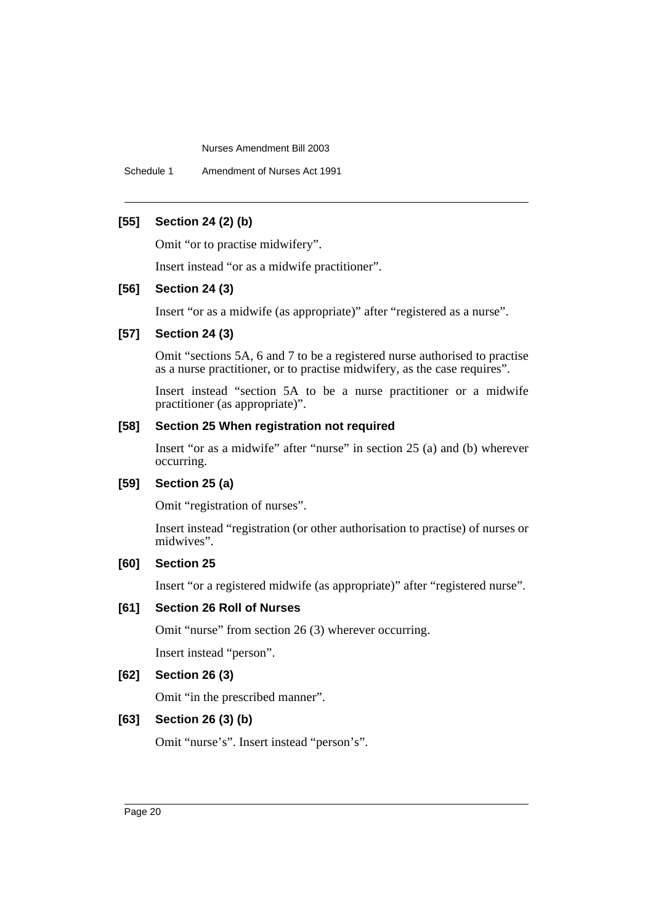Schedule 1 Amendment of Nurses Act 1991

# **[55] Section 24 (2) (b)**

Omit "or to practise midwifery".

Insert instead "or as a midwife practitioner".

# **[56] Section 24 (3)**

Insert "or as a midwife (as appropriate)" after "registered as a nurse".

#### **[57] Section 24 (3)**

Omit "sections 5A, 6 and 7 to be a registered nurse authorised to practise as a nurse practitioner, or to practise midwifery, as the case requires".

Insert instead "section 5A to be a nurse practitioner or a midwife practitioner (as appropriate)".

# **[58] Section 25 When registration not required**

Insert "or as a midwife" after "nurse" in section 25 (a) and (b) wherever occurring.

# **[59] Section 25 (a)**

Omit "registration of nurses".

Insert instead "registration (or other authorisation to practise) of nurses or midwives".

# **[60] Section 25**

Insert "or a registered midwife (as appropriate)" after "registered nurse".

# **[61] Section 26 Roll of Nurses**

Omit "nurse" from section 26 (3) wherever occurring.

Insert instead "person".

## **[62] Section 26 (3)**

Omit "in the prescribed manner".

# **[63] Section 26 (3) (b)**

Omit "nurse's". Insert instead "person's".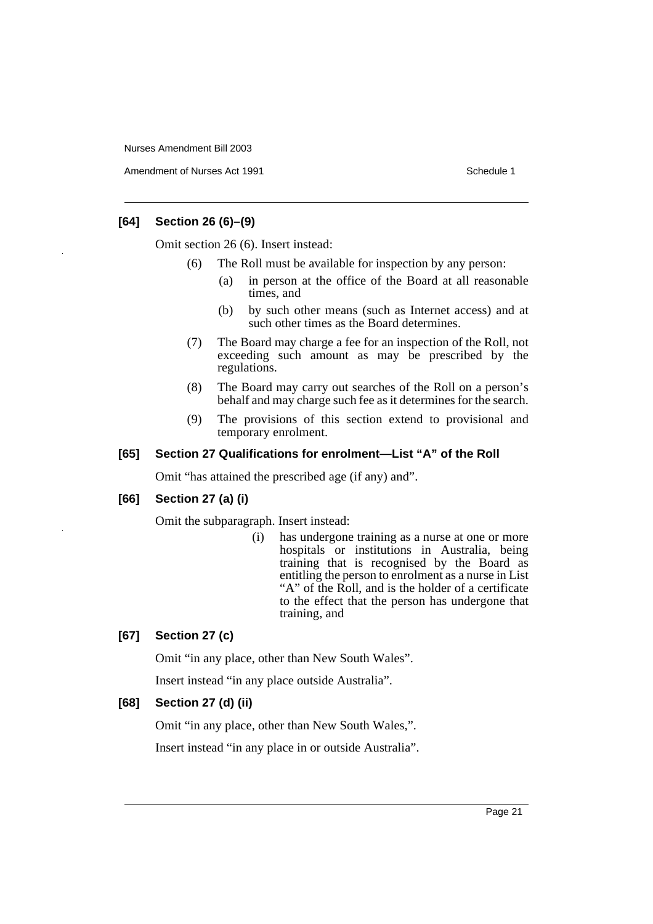Amendment of Nurses Act 1991 **Schedule 1** Schedule 1

# **[64] Section 26 (6)–(9)**

Omit section 26 (6). Insert instead:

- (6) The Roll must be available for inspection by any person:
	- (a) in person at the office of the Board at all reasonable times, and
	- (b) by such other means (such as Internet access) and at such other times as the Board determines.
- (7) The Board may charge a fee for an inspection of the Roll, not exceeding such amount as may be prescribed by the regulations.
- (8) The Board may carry out searches of the Roll on a person's behalf and may charge such fee as it determines for the search.
- (9) The provisions of this section extend to provisional and temporary enrolment.

# **[65] Section 27 Qualifications for enrolment—List "A" of the Roll**

Omit "has attained the prescribed age (if any) and".

# **[66] Section 27 (a) (i)**

Omit the subparagraph. Insert instead:

(i) has undergone training as a nurse at one or more hospitals or institutions in Australia, being training that is recognised by the Board as entitling the person to enrolment as a nurse in List "A" of the Roll, and is the holder of a certificate to the effect that the person has undergone that training, and

# **[67] Section 27 (c)**

Omit "in any place, other than New South Wales".

Insert instead "in any place outside Australia".

# **[68] Section 27 (d) (ii)**

Omit "in any place, other than New South Wales,".

Insert instead "in any place in or outside Australia".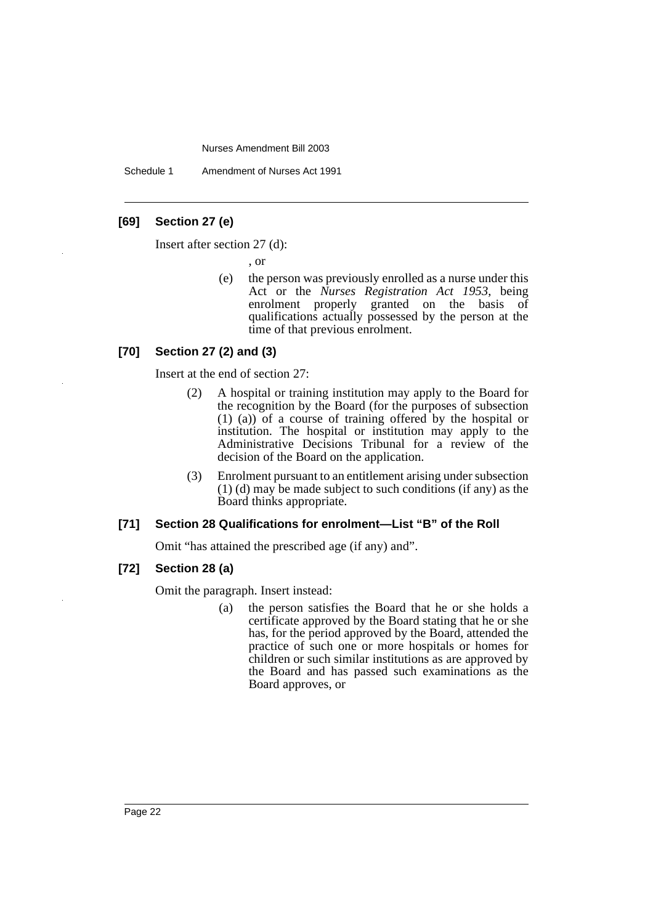Schedule 1 Amendment of Nurses Act 1991

# **[69] Section 27 (e)**

Insert after section 27 (d):

, or

(e) the person was previously enrolled as a nurse under this Act or the *Nurses Registration Act 1953*, being enrolment properly granted on the basis of qualifications actually possessed by the person at the time of that previous enrolment.

# **[70] Section 27 (2) and (3)**

Insert at the end of section 27:

- (2) A hospital or training institution may apply to the Board for the recognition by the Board (for the purposes of subsection (1) (a)) of a course of training offered by the hospital or institution. The hospital or institution may apply to the Administrative Decisions Tribunal for a review of the decision of the Board on the application.
- (3) Enrolment pursuant to an entitlement arising under subsection (1) (d) may be made subject to such conditions (if any) as the Board thinks appropriate.

#### **[71] Section 28 Qualifications for enrolment—List "B" of the Roll**

Omit "has attained the prescribed age (if any) and".

# **[72] Section 28 (a)**

Omit the paragraph. Insert instead:

(a) the person satisfies the Board that he or she holds a certificate approved by the Board stating that he or she has, for the period approved by the Board, attended the practice of such one or more hospitals or homes for children or such similar institutions as are approved by the Board and has passed such examinations as the Board approves, or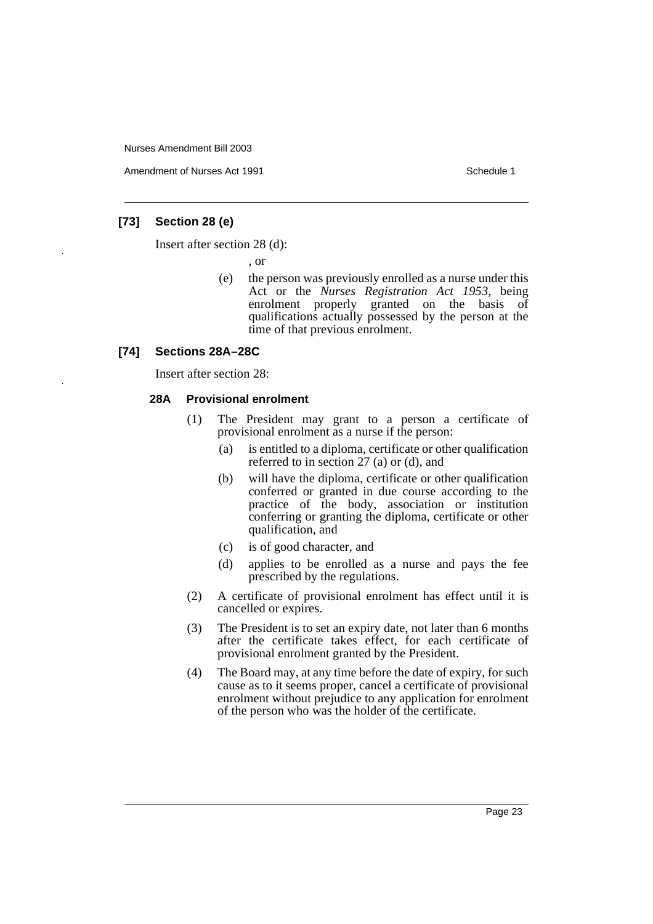Amendment of Nurses Act 1991 **Schedule 1** Schedule 1

# **[73] Section 28 (e)**

Insert after section 28 (d):

, or

(e) the person was previously enrolled as a nurse under this Act or the *Nurses Registration Act 1953*, being enrolment properly granted on the basis of qualifications actually possessed by the person at the time of that previous enrolment.

#### **[74] Sections 28A–28C**

Insert after section 28:

# **28A Provisional enrolment**

- (1) The President may grant to a person a certificate of provisional enrolment as a nurse if the person:
	- (a) is entitled to a diploma, certificate or other qualification referred to in section 27 (a) or (d), and
	- (b) will have the diploma, certificate or other qualification conferred or granted in due course according to the practice of the body, association or institution conferring or granting the diploma, certificate or other qualification, and
	- (c) is of good character, and
	- (d) applies to be enrolled as a nurse and pays the fee prescribed by the regulations.
- (2) A certificate of provisional enrolment has effect until it is cancelled or expires.
- (3) The President is to set an expiry date, not later than 6 months after the certificate takes effect, for each certificate of provisional enrolment granted by the President.
- (4) The Board may, at any time before the date of expiry, for such cause as to it seems proper, cancel a certificate of provisional enrolment without prejudice to any application for enrolment of the person who was the holder of the certificate.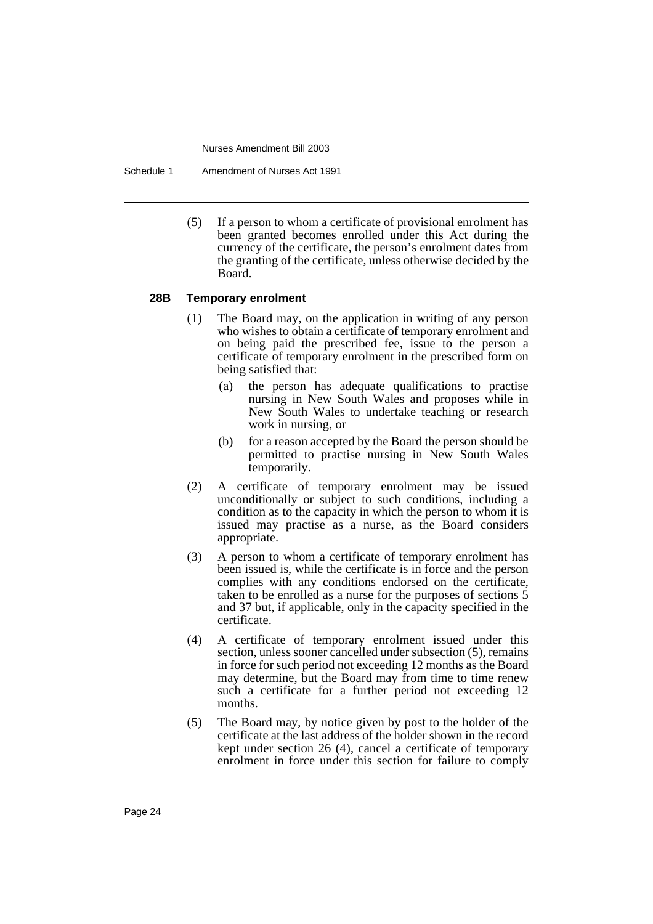Schedule 1 Amendment of Nurses Act 1991

(5) If a person to whom a certificate of provisional enrolment has been granted becomes enrolled under this Act during the currency of the certificate, the person's enrolment dates from the granting of the certificate, unless otherwise decided by the Board.

#### **28B Temporary enrolment**

- (1) The Board may, on the application in writing of any person who wishes to obtain a certificate of temporary enrolment and on being paid the prescribed fee, issue to the person a certificate of temporary enrolment in the prescribed form on being satisfied that:
	- (a) the person has adequate qualifications to practise nursing in New South Wales and proposes while in New South Wales to undertake teaching or research work in nursing, or
	- (b) for a reason accepted by the Board the person should be permitted to practise nursing in New South Wales temporarily.
- (2) A certificate of temporary enrolment may be issued unconditionally or subject to such conditions, including a condition as to the capacity in which the person to whom it is issued may practise as a nurse, as the Board considers appropriate.
- (3) A person to whom a certificate of temporary enrolment has been issued is, while the certificate is in force and the person complies with any conditions endorsed on the certificate, taken to be enrolled as a nurse for the purposes of sections 5 and 37 but, if applicable, only in the capacity specified in the certificate.
- (4) A certificate of temporary enrolment issued under this section, unless sooner cancelled under subsection (5), remains in force for such period not exceeding 12 months as the Board may determine, but the Board may from time to time renew such a certificate for a further period not exceeding 12 months.
- (5) The Board may, by notice given by post to the holder of the certificate at the last address of the holder shown in the record kept under section 26 (4), cancel a certificate of temporary enrolment in force under this section for failure to comply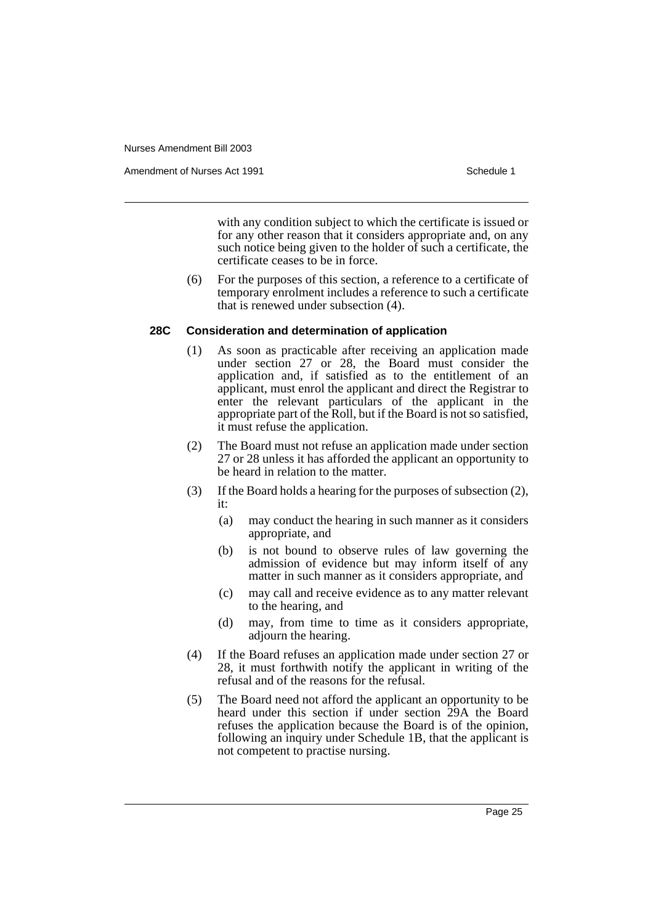Amendment of Nurses Act 1991 **Schedule 1** Schedule 1

with any condition subject to which the certificate is issued or for any other reason that it considers appropriate and, on any such notice being given to the holder of such a certificate, the certificate ceases to be in force.

(6) For the purposes of this section, a reference to a certificate of temporary enrolment includes a reference to such a certificate that is renewed under subsection (4).

# **28C Consideration and determination of application**

- (1) As soon as practicable after receiving an application made under section 27 or 28, the Board must consider the application and, if satisfied as to the entitlement of an applicant, must enrol the applicant and direct the Registrar to enter the relevant particulars of the applicant in the appropriate part of the Roll, but if the Board is not so satisfied, it must refuse the application.
- (2) The Board must not refuse an application made under section 27 or 28 unless it has afforded the applicant an opportunity to be heard in relation to the matter.
- (3) If the Board holds a hearing for the purposes of subsection (2), it:
	- (a) may conduct the hearing in such manner as it considers appropriate, and
	- (b) is not bound to observe rules of law governing the admission of evidence but may inform itself of any matter in such manner as it considers appropriate, and
	- (c) may call and receive evidence as to any matter relevant to the hearing, and
	- (d) may, from time to time as it considers appropriate, adjourn the hearing.
- (4) If the Board refuses an application made under section 27 or 28, it must forthwith notify the applicant in writing of the refusal and of the reasons for the refusal.
- (5) The Board need not afford the applicant an opportunity to be heard under this section if under section 29A the Board refuses the application because the Board is of the opinion, following an inquiry under Schedule 1B, that the applicant is not competent to practise nursing.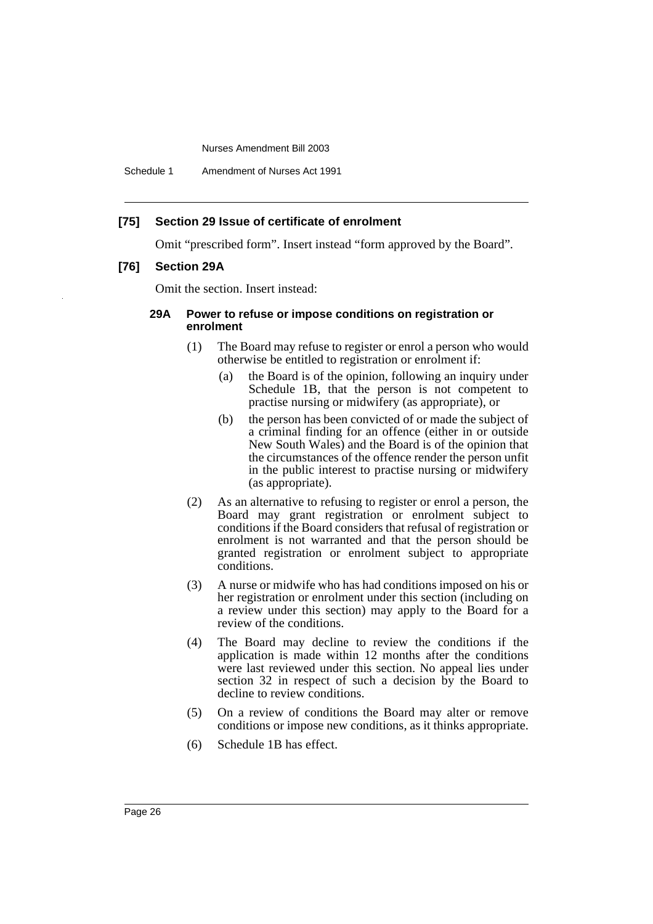Schedule 1 Amendment of Nurses Act 1991

# **[75] Section 29 Issue of certificate of enrolment**

Omit "prescribed form". Insert instead "form approved by the Board".

# **[76] Section 29A**

Omit the section. Insert instead:

## **29A Power to refuse or impose conditions on registration or enrolment**

- (1) The Board may refuse to register or enrol a person who would otherwise be entitled to registration or enrolment if:
	- (a) the Board is of the opinion, following an inquiry under Schedule 1B, that the person is not competent to practise nursing or midwifery (as appropriate), or
	- (b) the person has been convicted of or made the subject of a criminal finding for an offence (either in or outside New South Wales) and the Board is of the opinion that the circumstances of the offence render the person unfit in the public interest to practise nursing or midwifery (as appropriate).
- (2) As an alternative to refusing to register or enrol a person, the Board may grant registration or enrolment subject to conditions if the Board considers that refusal of registration or enrolment is not warranted and that the person should be granted registration or enrolment subject to appropriate conditions.
- (3) A nurse or midwife who has had conditions imposed on his or her registration or enrolment under this section (including on a review under this section) may apply to the Board for a review of the conditions.
- (4) The Board may decline to review the conditions if the application is made within 12 months after the conditions were last reviewed under this section. No appeal lies under section 32 in respect of such a decision by the Board to decline to review conditions.
- (5) On a review of conditions the Board may alter or remove conditions or impose new conditions, as it thinks appropriate.
- (6) Schedule 1B has effect.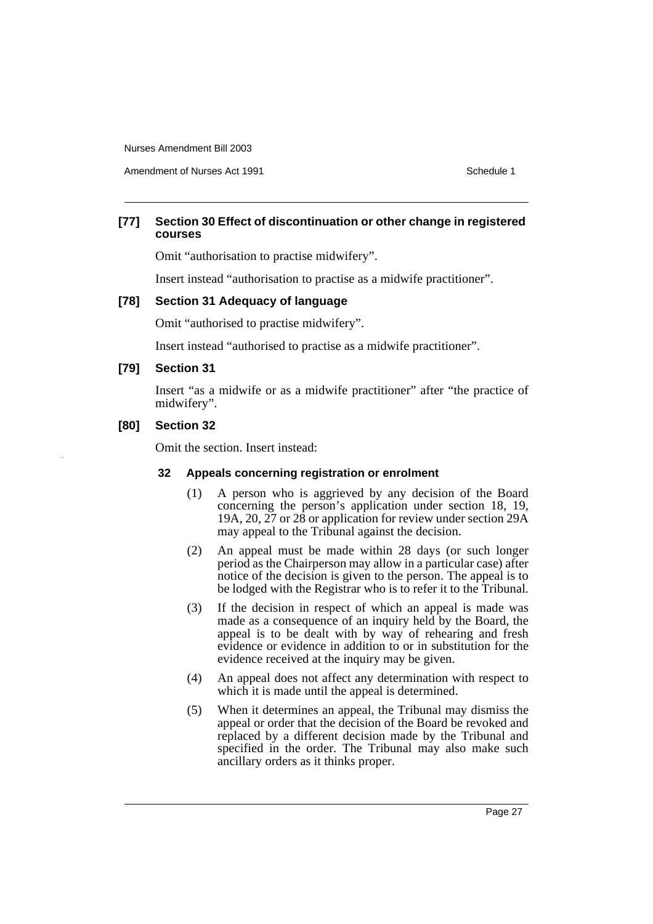Amendment of Nurses Act 1991 **Schedule 1** and the set of the Schedule 1

# **[77] Section 30 Effect of discontinuation or other change in registered courses**

Omit "authorisation to practise midwifery".

Insert instead "authorisation to practise as a midwife practitioner".

#### **[78] Section 31 Adequacy of language**

Omit "authorised to practise midwifery".

Insert instead "authorised to practise as a midwife practitioner".

#### **[79] Section 31**

Insert "as a midwife or as a midwife practitioner" after "the practice of midwifery".

#### **[80] Section 32**

Omit the section. Insert instead:

# **32 Appeals concerning registration or enrolment**

- (1) A person who is aggrieved by any decision of the Board concerning the person's application under section 18, 19, 19A, 20,  $\overline{27}$  or  $\overline{28}$  or application for review under section  $\overline{29A}$ may appeal to the Tribunal against the decision.
- (2) An appeal must be made within 28 days (or such longer period as the Chairperson may allow in a particular case) after notice of the decision is given to the person. The appeal is to be lodged with the Registrar who is to refer it to the Tribunal.
- (3) If the decision in respect of which an appeal is made was made as a consequence of an inquiry held by the Board, the appeal is to be dealt with by way of rehearing and fresh evidence or evidence in addition to or in substitution for the evidence received at the inquiry may be given.
- (4) An appeal does not affect any determination with respect to which it is made until the appeal is determined.
- (5) When it determines an appeal, the Tribunal may dismiss the appeal or order that the decision of the Board be revoked and replaced by a different decision made by the Tribunal and specified in the order. The Tribunal may also make such ancillary orders as it thinks proper.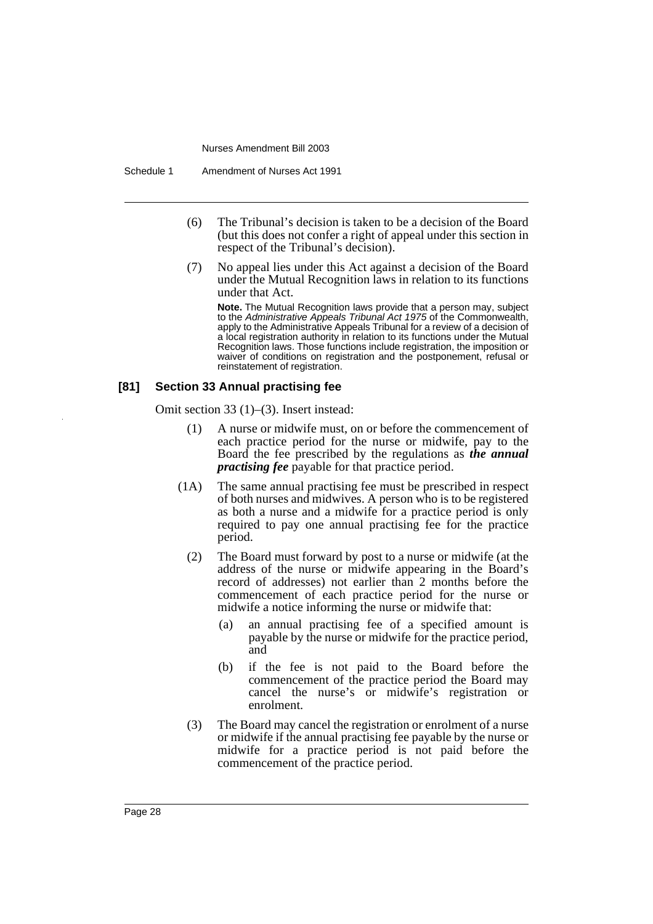- (6) The Tribunal's decision is taken to be a decision of the Board (but this does not confer a right of appeal under this section in respect of the Tribunal's decision).
- (7) No appeal lies under this Act against a decision of the Board under the Mutual Recognition laws in relation to its functions under that Act.

**Note.** The Mutual Recognition laws provide that a person may, subject to the Administrative Appeals Tribunal Act 1975 of the Commonwealth, apply to the Administrative Appeals Tribunal for a review of a decision of a local registration authority in relation to its functions under the Mutual Recognition laws. Those functions include registration, the imposition or waiver of conditions on registration and the postponement, refusal or reinstatement of registration.

# **[81] Section 33 Annual practising fee**

Omit section 33 (1)–(3). Insert instead:

- (1) A nurse or midwife must, on or before the commencement of each practice period for the nurse or midwife, pay to the Board the fee prescribed by the regulations as *the annual practising fee* payable for that practice period.
- (1A) The same annual practising fee must be prescribed in respect of both nurses and midwives. A person who is to be registered as both a nurse and a midwife for a practice period is only required to pay one annual practising fee for the practice period.
	- (2) The Board must forward by post to a nurse or midwife (at the address of the nurse or midwife appearing in the Board's record of addresses) not earlier than 2 months before the commencement of each practice period for the nurse or midwife a notice informing the nurse or midwife that:
		- (a) an annual practising fee of a specified amount is payable by the nurse or midwife for the practice period, and
		- (b) if the fee is not paid to the Board before the commencement of the practice period the Board may cancel the nurse's or midwife's registration or enrolment.
	- (3) The Board may cancel the registration or enrolment of a nurse or midwife if the annual practising fee payable by the nurse or midwife for a practice period is not paid before the commencement of the practice period.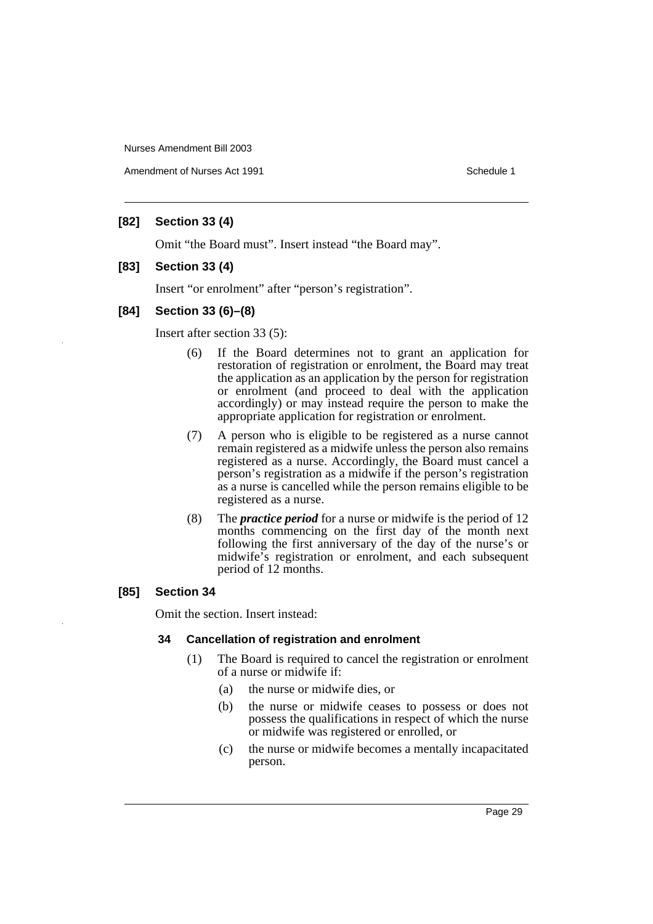Amendment of Nurses Act 1991 **Schedule 1** and the set of the Schedule 1

# **[82] Section 33 (4)**

Omit "the Board must". Insert instead "the Board may".

# **[83] Section 33 (4)**

Insert "or enrolment" after "person's registration".

# **[84] Section 33 (6)–(8)**

Insert after section 33 (5):

- (6) If the Board determines not to grant an application for restoration of registration or enrolment, the Board may treat the application as an application by the person for registration or enrolment (and proceed to deal with the application accordingly) or may instead require the person to make the appropriate application for registration or enrolment.
- (7) A person who is eligible to be registered as a nurse cannot remain registered as a midwife unless the person also remains registered as a nurse. Accordingly, the Board must cancel a person's registration as a midwife if the person's registration as a nurse is cancelled while the person remains eligible to be registered as a nurse.
- (8) The *practice period* for a nurse or midwife is the period of 12 months commencing on the first day of the month next following the first anniversary of the day of the nurse's or midwife's registration or enrolment, and each subsequent period of 12 months.

# **[85] Section 34**

Omit the section. Insert instead:

#### **34 Cancellation of registration and enrolment**

- (1) The Board is required to cancel the registration or enrolment of a nurse or midwife if:
	- (a) the nurse or midwife dies, or
	- (b) the nurse or midwife ceases to possess or does not possess the qualifications in respect of which the nurse or midwife was registered or enrolled, or
	- (c) the nurse or midwife becomes a mentally incapacitated person.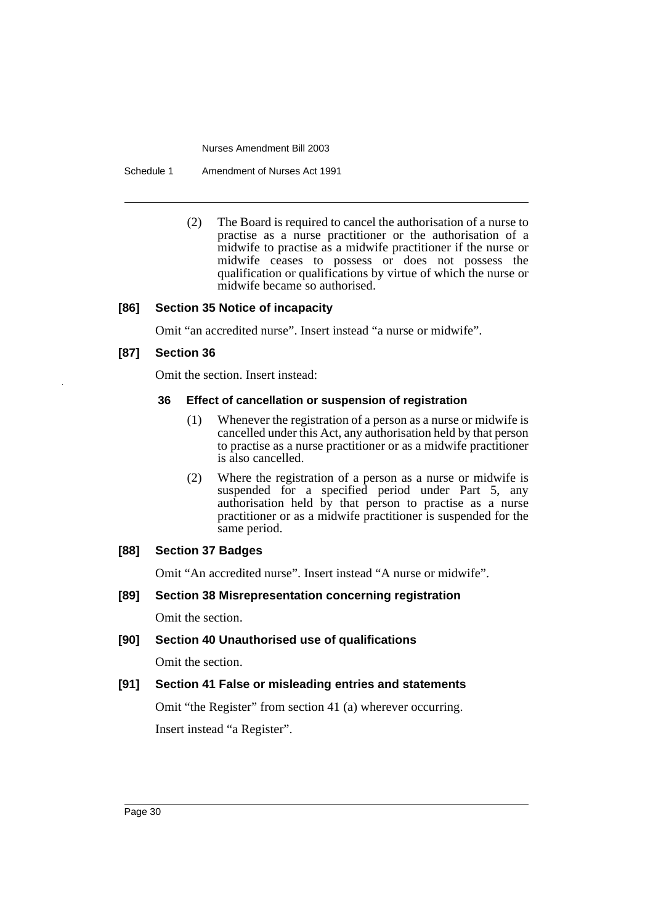Schedule 1 Amendment of Nurses Act 1991

(2) The Board is required to cancel the authorisation of a nurse to practise as a nurse practitioner or the authorisation of a midwife to practise as a midwife practitioner if the nurse or midwife ceases to possess or does not possess the qualification or qualifications by virtue of which the nurse or midwife became so authorised.

# **[86] Section 35 Notice of incapacity**

Omit "an accredited nurse". Insert instead "a nurse or midwife".

# **[87] Section 36**

Omit the section. Insert instead:

# **36 Effect of cancellation or suspension of registration**

- (1) Whenever the registration of a person as a nurse or midwife is cancelled under this Act, any authorisation held by that person to practise as a nurse practitioner or as a midwife practitioner is also cancelled.
- (2) Where the registration of a person as a nurse or midwife is suspended for a specified period under Part 5, any authorisation held by that person to practise as a nurse practitioner or as a midwife practitioner is suspended for the same period.

# **[88] Section 37 Badges**

Omit "An accredited nurse". Insert instead "A nurse or midwife".

# **[89] Section 38 Misrepresentation concerning registration**

Omit the section.

**[90] Section 40 Unauthorised use of qualifications**

Omit the section.

# **[91] Section 41 False or misleading entries and statements**

Omit "the Register" from section 41 (a) wherever occurring. Insert instead "a Register".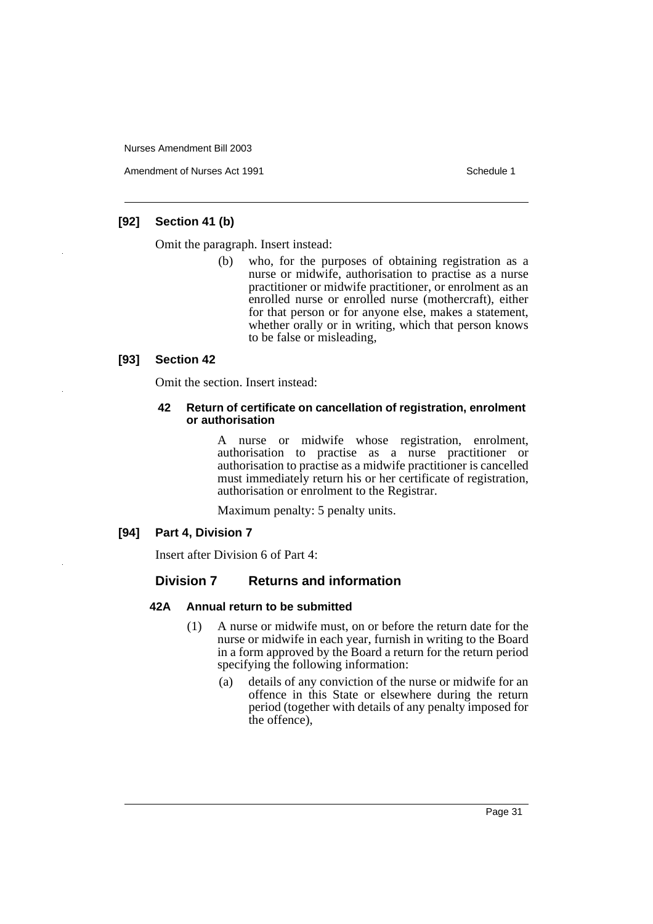Amendment of Nurses Act 1991 **Schedule 1** and the set of the Schedule 1

# **[92] Section 41 (b)**

Omit the paragraph. Insert instead:

(b) who, for the purposes of obtaining registration as a nurse or midwife, authorisation to practise as a nurse practitioner or midwife practitioner, or enrolment as an enrolled nurse or enrolled nurse (mothercraft), either for that person or for anyone else, makes a statement, whether orally or in writing, which that person knows to be false or misleading,

# **[93] Section 42**

Omit the section. Insert instead:

#### **42 Return of certificate on cancellation of registration, enrolment or authorisation**

A nurse or midwife whose registration, enrolment, authorisation to practise as a nurse practitioner or authorisation to practise as a midwife practitioner is cancelled must immediately return his or her certificate of registration, authorisation or enrolment to the Registrar.

Maximum penalty: 5 penalty units.

#### **[94] Part 4, Division 7**

Insert after Division 6 of Part 4:

# **Division 7 Returns and information**

#### **42A Annual return to be submitted**

- (1) A nurse or midwife must, on or before the return date for the nurse or midwife in each year, furnish in writing to the Board in a form approved by the Board a return for the return period specifying the following information:
	- (a) details of any conviction of the nurse or midwife for an offence in this State or elsewhere during the return period (together with details of any penalty imposed for the offence),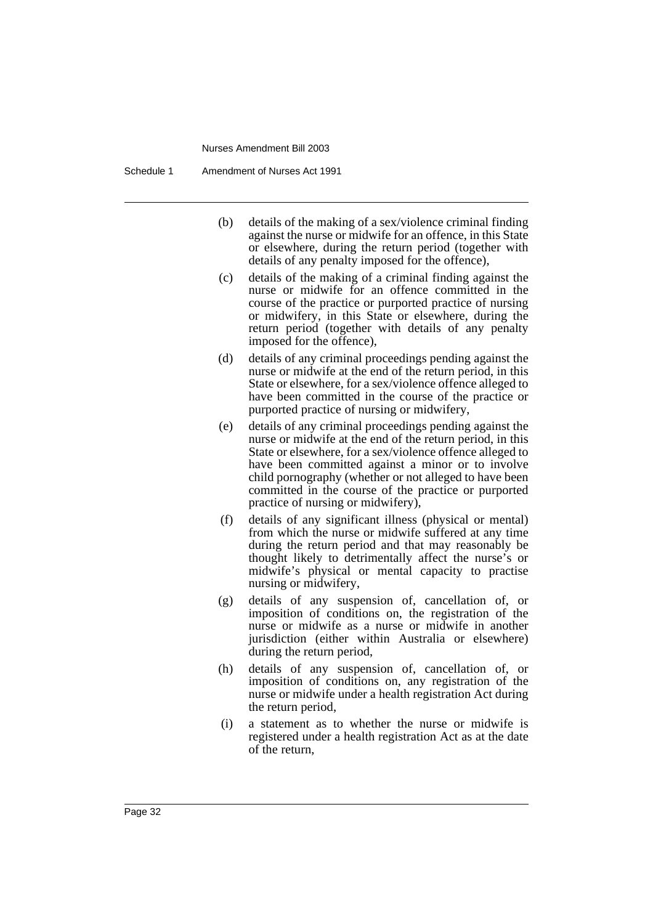Schedule 1 Amendment of Nurses Act 1991

- (b) details of the making of a sex/violence criminal finding against the nurse or midwife for an offence, in this State or elsewhere, during the return period (together with details of any penalty imposed for the offence),
- (c) details of the making of a criminal finding against the nurse or midwife for an offence committed in the course of the practice or purported practice of nursing or midwifery, in this State or elsewhere, during the return period (together with details of any penalty imposed for the offence),
- (d) details of any criminal proceedings pending against the nurse or midwife at the end of the return period, in this State or elsewhere, for a sex/violence offence alleged to have been committed in the course of the practice or purported practice of nursing or midwifery,
- (e) details of any criminal proceedings pending against the nurse or midwife at the end of the return period, in this State or elsewhere, for a sex/violence offence alleged to have been committed against a minor or to involve child pornography (whether or not alleged to have been committed in the course of the practice or purported practice of nursing or midwifery),
- (f) details of any significant illness (physical or mental) from which the nurse or midwife suffered at any time during the return period and that may reasonably be thought likely to detrimentally affect the nurse's or midwife's physical or mental capacity to practise nursing or midwifery,
- (g) details of any suspension of, cancellation of, or imposition of conditions on, the registration of the nurse or midwife as a nurse or midwife in another jurisdiction (either within Australia or elsewhere) during the return period,
- (h) details of any suspension of, cancellation of, or imposition of conditions on, any registration of the nurse or midwife under a health registration Act during the return period,
- (i) a statement as to whether the nurse or midwife is registered under a health registration Act as at the date of the return,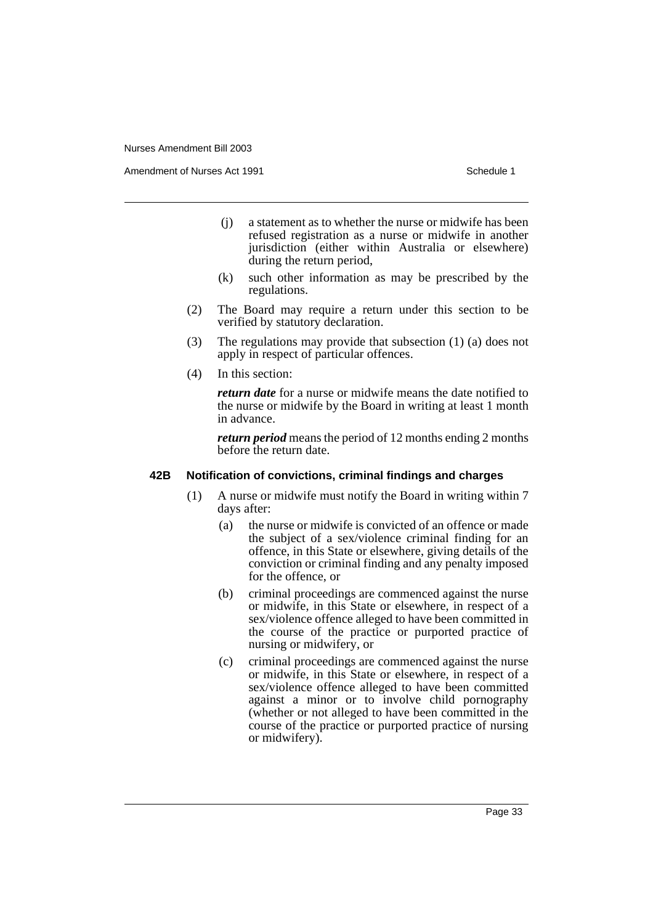Amendment of Nurses Act 1991 **Schedule 1** and the set of the Schedule 1

- (j) a statement as to whether the nurse or midwife has been refused registration as a nurse or midwife in another jurisdiction (either within Australia or elsewhere) during the return period,
- (k) such other information as may be prescribed by the regulations.
- (2) The Board may require a return under this section to be verified by statutory declaration.
- (3) The regulations may provide that subsection (1) (a) does not apply in respect of particular offences.
- (4) In this section:

*return date* for a nurse or midwife means the date notified to the nurse or midwife by the Board in writing at least 1 month in advance.

*return period* means the period of 12 months ending 2 months before the return date.

#### **42B Notification of convictions, criminal findings and charges**

- (1) A nurse or midwife must notify the Board in writing within 7 days after:
	- (a) the nurse or midwife is convicted of an offence or made the subject of a sex/violence criminal finding for an offence, in this State or elsewhere, giving details of the conviction or criminal finding and any penalty imposed for the offence, or
	- (b) criminal proceedings are commenced against the nurse or midwife, in this State or elsewhere, in respect of a sex/violence offence alleged to have been committed in the course of the practice or purported practice of nursing or midwifery, or
	- (c) criminal proceedings are commenced against the nurse or midwife, in this State or elsewhere, in respect of a sex/violence offence alleged to have been committed against a minor or to involve child pornography (whether or not alleged to have been committed in the course of the practice or purported practice of nursing or midwifery).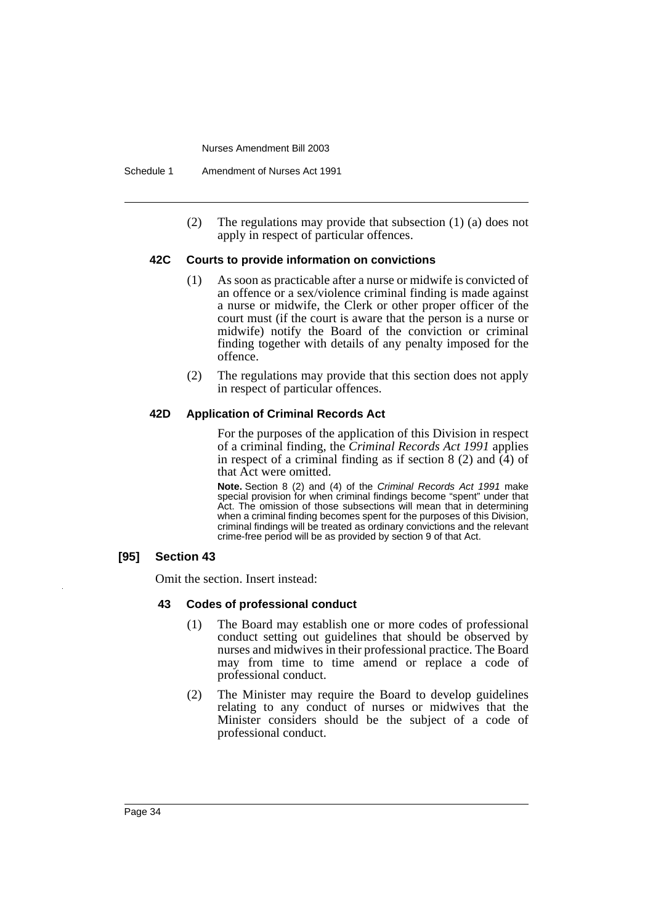(2) The regulations may provide that subsection (1) (a) does not apply in respect of particular offences.

# **42C Courts to provide information on convictions**

- (1) As soon as practicable after a nurse or midwife is convicted of an offence or a sex/violence criminal finding is made against a nurse or midwife, the Clerk or other proper officer of the court must (if the court is aware that the person is a nurse or midwife) notify the Board of the conviction or criminal finding together with details of any penalty imposed for the offence.
- (2) The regulations may provide that this section does not apply in respect of particular offences.

# **42D Application of Criminal Records Act**

For the purposes of the application of this Division in respect of a criminal finding, the *Criminal Records Act 1991* applies in respect of a criminal finding as if section 8 (2) and  $\overline{(4)}$  of that Act were omitted.

**Note.** Section 8 (2) and (4) of the Criminal Records Act 1991 make special provision for when criminal findings become "spent" under that Act. The omission of those subsections will mean that in determining when a criminal finding becomes spent for the purposes of this Division, criminal findings will be treated as ordinary convictions and the relevant crime-free period will be as provided by section 9 of that Act.

#### **[95] Section 43**

Omit the section. Insert instead:

#### **43 Codes of professional conduct**

- (1) The Board may establish one or more codes of professional conduct setting out guidelines that should be observed by nurses and midwives in their professional practice. The Board may from time to time amend or replace a code of professional conduct.
- (2) The Minister may require the Board to develop guidelines relating to any conduct of nurses or midwives that the Minister considers should be the subject of a code of professional conduct.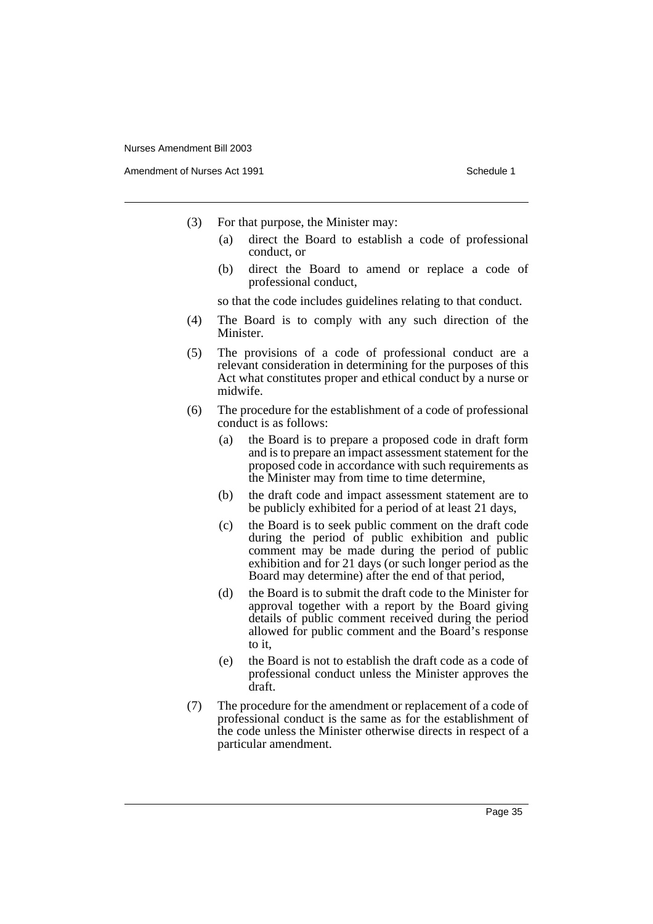Amendment of Nurses Act 1991 **Schedule 1** and the set of the Schedule 1

- (3) For that purpose, the Minister may:
	- (a) direct the Board to establish a code of professional conduct, or
	- (b) direct the Board to amend or replace a code of professional conduct,

so that the code includes guidelines relating to that conduct.

- (4) The Board is to comply with any such direction of the Minister.
- (5) The provisions of a code of professional conduct are a relevant consideration in determining for the purposes of this Act what constitutes proper and ethical conduct by a nurse or midwife.
- (6) The procedure for the establishment of a code of professional conduct is as follows:
	- (a) the Board is to prepare a proposed code in draft form and is to prepare an impact assessment statement for the proposed code in accordance with such requirements as the Minister may from time to time determine,
	- (b) the draft code and impact assessment statement are to be publicly exhibited for a period of at least 21 days,
	- (c) the Board is to seek public comment on the draft code during the period of public exhibition and public comment may be made during the period of public exhibition and for 21 days (or such longer period as the Board may determine) after the end of that period,
	- (d) the Board is to submit the draft code to the Minister for approval together with a report by the Board giving details of public comment received during the period allowed for public comment and the Board's response to it,
	- (e) the Board is not to establish the draft code as a code of professional conduct unless the Minister approves the draft.
- (7) The procedure for the amendment or replacement of a code of professional conduct is the same as for the establishment of the code unless the Minister otherwise directs in respect of a particular amendment.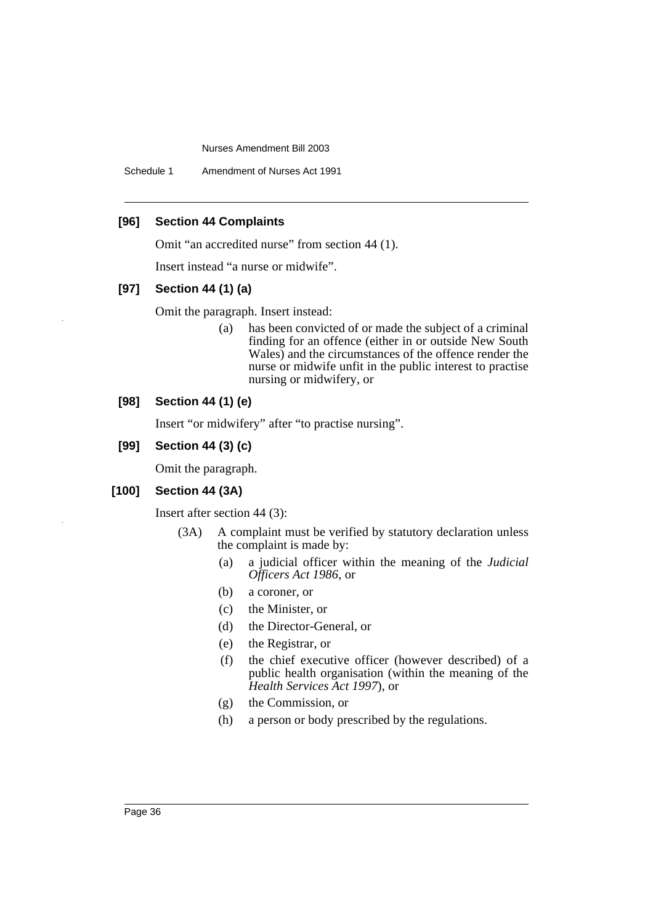Schedule 1 Amendment of Nurses Act 1991

## **[96] Section 44 Complaints**

Omit "an accredited nurse" from section 44 (1).

Insert instead "a nurse or midwife".

#### **[97] Section 44 (1) (a)**

Omit the paragraph. Insert instead:

(a) has been convicted of or made the subject of a criminal finding for an offence (either in or outside New South Wales) and the circumstances of the offence render the nurse or midwife unfit in the public interest to practise nursing or midwifery, or

# **[98] Section 44 (1) (e)**

Insert "or midwifery" after "to practise nursing".

# **[99] Section 44 (3) (c)**

Omit the paragraph.

#### **[100] Section 44 (3A)**

Insert after section 44 (3):

- (3A) A complaint must be verified by statutory declaration unless the complaint is made by:
	- (a) a judicial officer within the meaning of the *Judicial Officers Act 1986*, or
	- (b) a coroner, or
	- (c) the Minister, or
	- (d) the Director-General, or
	- (e) the Registrar, or
	- (f) the chief executive officer (however described) of a public health organisation (within the meaning of the *Health Services Act 1997*), or
	- (g) the Commission, or
	- (h) a person or body prescribed by the regulations.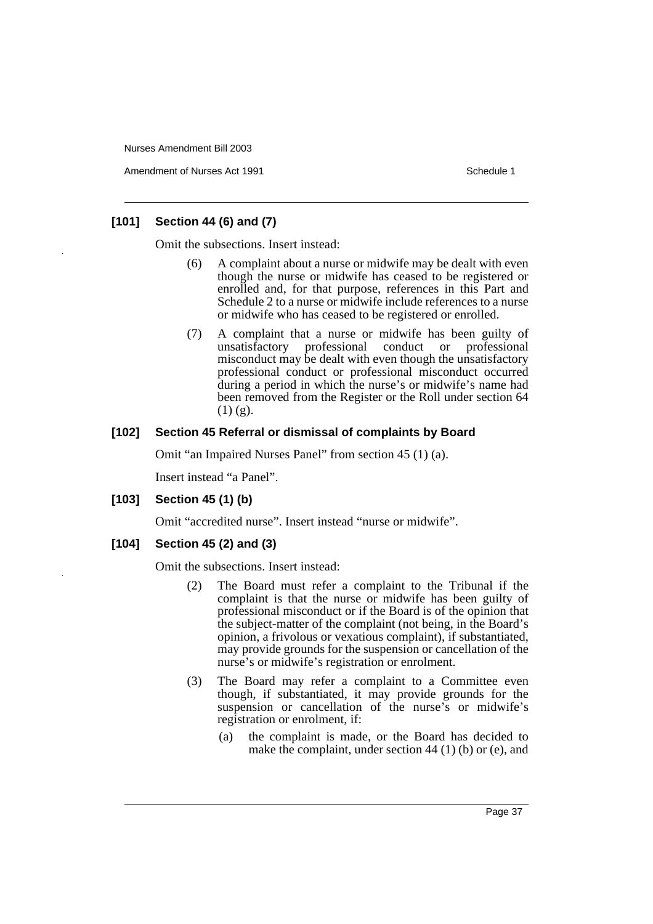Amendment of Nurses Act 1991 **Schedule 1** and the set of the Schedule 1

# **[101] Section 44 (6) and (7)**

Omit the subsections. Insert instead:

- (6) A complaint about a nurse or midwife may be dealt with even though the nurse or midwife has ceased to be registered or enrolled and, for that purpose, references in this Part and Schedule 2 to a nurse or midwife include references to a nurse or midwife who has ceased to be registered or enrolled.
- (7) A complaint that a nurse or midwife has been guilty of professional conduct or professional misconduct may be dealt with even though the unsatisfactory professional conduct or professional misconduct occurred during a period in which the nurse's or midwife's name had been removed from the Register or the Roll under section 64  $(1)$   $(g)$ .

# **[102] Section 45 Referral or dismissal of complaints by Board**

Omit "an Impaired Nurses Panel" from section 45 (1) (a).

Insert instead "a Panel".

## **[103] Section 45 (1) (b)**

Omit "accredited nurse". Insert instead "nurse or midwife".

## **[104] Section 45 (2) and (3)**

Omit the subsections. Insert instead:

- (2) The Board must refer a complaint to the Tribunal if the complaint is that the nurse or midwife has been guilty of professional misconduct or if the Board is of the opinion that the subject-matter of the complaint (not being, in the Board's opinion, a frivolous or vexatious complaint), if substantiated, may provide grounds for the suspension or cancellation of the nurse's or midwife's registration or enrolment.
- (3) The Board may refer a complaint to a Committee even though, if substantiated, it may provide grounds for the suspension or cancellation of the nurse's or midwife's registration or enrolment, if:
	- (a) the complaint is made, or the Board has decided to make the complaint, under section 44 (1) (b) or (e), and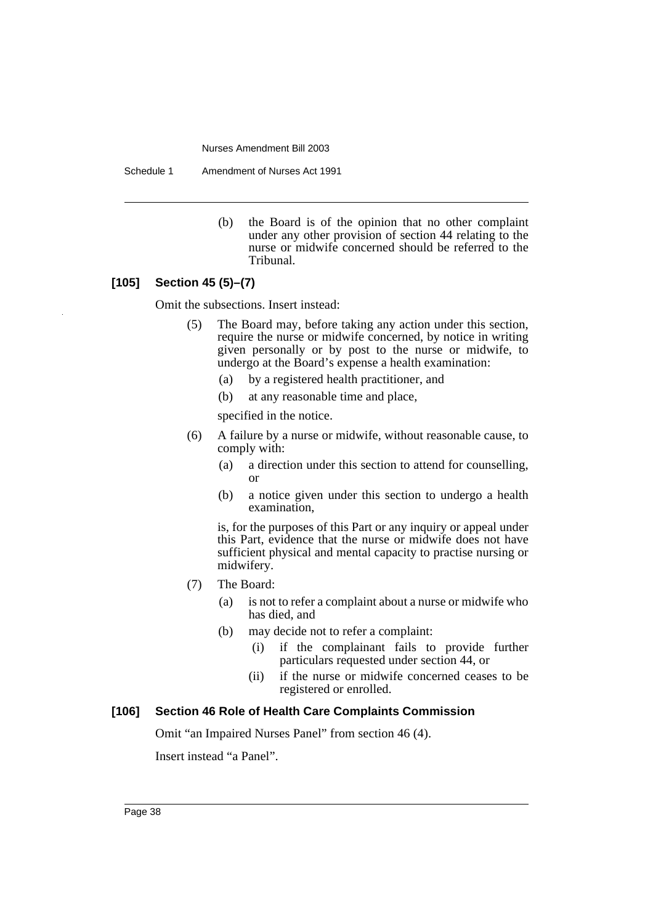Schedule 1 Amendment of Nurses Act 1991

(b) the Board is of the opinion that no other complaint under any other provision of section 44 relating to the nurse or midwife concerned should be referred to the Tribunal.

# **[105] Section 45 (5)–(7)**

Omit the subsections. Insert instead:

- (5) The Board may, before taking any action under this section, require the nurse or midwife concerned, by notice in writing given personally or by post to the nurse or midwife, to undergo at the Board's expense a health examination:
	- (a) by a registered health practitioner, and
	- (b) at any reasonable time and place,

specified in the notice.

- (6) A failure by a nurse or midwife, without reasonable cause, to comply with:
	- (a) a direction under this section to attend for counselling, or
	- (b) a notice given under this section to undergo a health examination,

is, for the purposes of this Part or any inquiry or appeal under this Part, evidence that the nurse or midwife does not have sufficient physical and mental capacity to practise nursing or midwifery.

- (7) The Board:
	- (a) is not to refer a complaint about a nurse or midwife who has died, and
	- (b) may decide not to refer a complaint:
		- (i) if the complainant fails to provide further particulars requested under section 44, or
		- (ii) if the nurse or midwife concerned ceases to be registered or enrolled.

# **[106] Section 46 Role of Health Care Complaints Commission**

Omit "an Impaired Nurses Panel" from section 46 (4).

Insert instead "a Panel".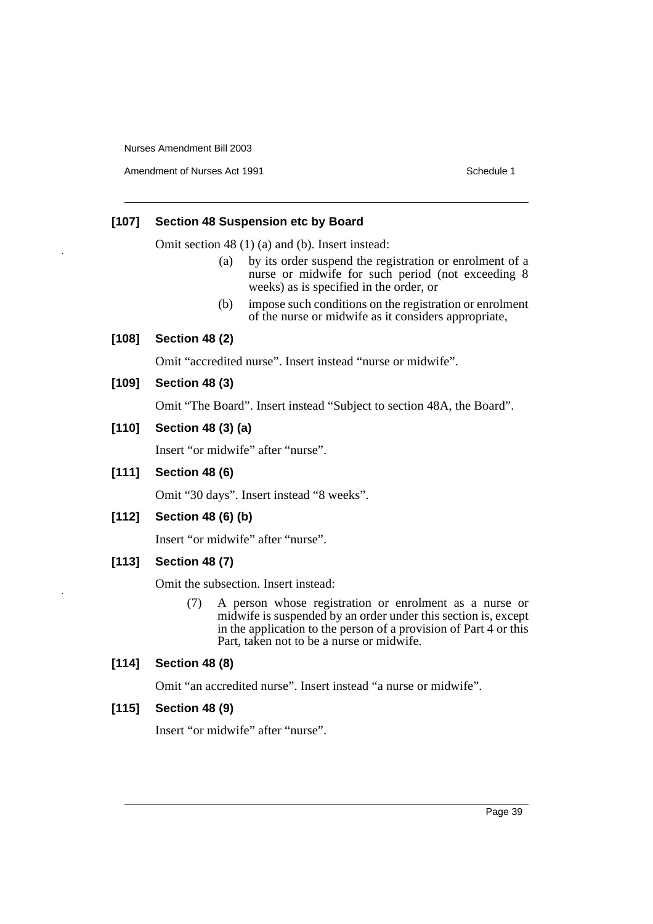Amendment of Nurses Act 1991 **Schedule 1** Schedule 1

# **[107] Section 48 Suspension etc by Board**

Omit section 48 (1) (a) and (b). Insert instead:

- (a) by its order suspend the registration or enrolment of a nurse or midwife for such period (not exceeding 8 weeks) as is specified in the order, or
- (b) impose such conditions on the registration or enrolment of the nurse or midwife as it considers appropriate,

#### **[108] Section 48 (2)**

Omit "accredited nurse". Insert instead "nurse or midwife".

#### **[109] Section 48 (3)**

Omit "The Board". Insert instead "Subject to section 48A, the Board".

# **[110] Section 48 (3) (a)**

Insert "or midwife" after "nurse".

# **[111] Section 48 (6)**

Omit "30 days". Insert instead "8 weeks".

# **[112] Section 48 (6) (b)**

Insert "or midwife" after "nurse".

# **[113] Section 48 (7)**

Omit the subsection. Insert instead:

(7) A person whose registration or enrolment as a nurse or midwife is suspended by an order under this section is, except in the application to the person of a provision of Part 4 or this Part, taken not to be a nurse or midwife.

# **[114] Section 48 (8)**

Omit "an accredited nurse". Insert instead "a nurse or midwife".

#### **[115] Section 48 (9)**

Insert "or midwife" after "nurse".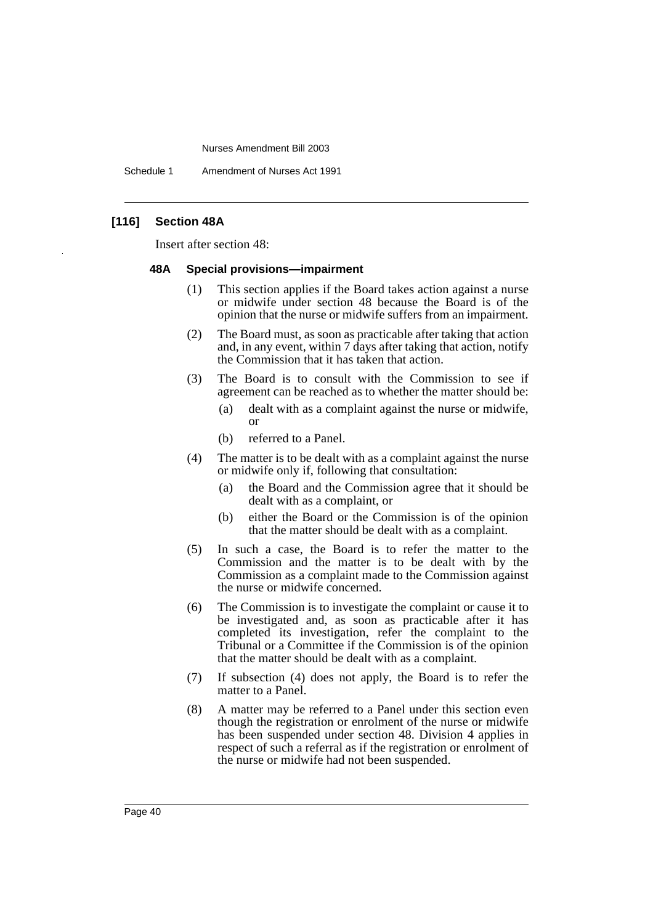Schedule 1 Amendment of Nurses Act 1991

## **[116] Section 48A**

Insert after section 48:

#### **48A Special provisions—impairment**

- (1) This section applies if the Board takes action against a nurse or midwife under section 48 because the Board is of the opinion that the nurse or midwife suffers from an impairment.
- (2) The Board must, as soon as practicable after taking that action and, in any event, within 7 days after taking that action, notify the Commission that it has taken that action.
- (3) The Board is to consult with the Commission to see if agreement can be reached as to whether the matter should be:
	- (a) dealt with as a complaint against the nurse or midwife, or
	- (b) referred to a Panel.
- (4) The matter is to be dealt with as a complaint against the nurse or midwife only if, following that consultation:
	- (a) the Board and the Commission agree that it should be dealt with as a complaint, or
	- (b) either the Board or the Commission is of the opinion that the matter should be dealt with as a complaint.
- (5) In such a case, the Board is to refer the matter to the Commission and the matter is to be dealt with by the Commission as a complaint made to the Commission against the nurse or midwife concerned.
- (6) The Commission is to investigate the complaint or cause it to be investigated and, as soon as practicable after it has completed its investigation, refer the complaint to the Tribunal or a Committee if the Commission is of the opinion that the matter should be dealt with as a complaint.
- (7) If subsection (4) does not apply, the Board is to refer the matter to a Panel.
- (8) A matter may be referred to a Panel under this section even though the registration or enrolment of the nurse or midwife has been suspended under section 48. Division 4 applies in respect of such a referral as if the registration or enrolment of the nurse or midwife had not been suspended.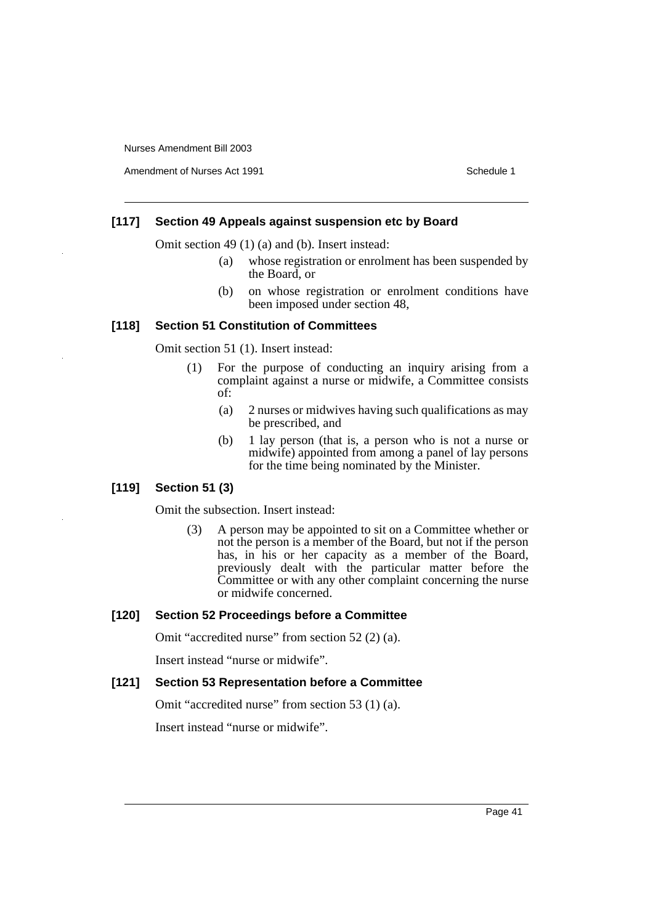Amendment of Nurses Act 1991 **Schedule 1** Schedule 1

# **[117] Section 49 Appeals against suspension etc by Board**

Omit section 49 (1) (a) and (b). Insert instead:

- (a) whose registration or enrolment has been suspended by the Board, or
- (b) on whose registration or enrolment conditions have been imposed under section 48,

#### **[118] Section 51 Constitution of Committees**

Omit section 51 (1). Insert instead:

- (1) For the purpose of conducting an inquiry arising from a complaint against a nurse or midwife, a Committee consists of:
	- (a) 2 nurses or midwives having such qualifications as may be prescribed, and
	- (b) 1 lay person (that is, a person who is not a nurse or midwife) appointed from among a panel of lay persons for the time being nominated by the Minister.

## **[119] Section 51 (3)**

Omit the subsection. Insert instead:

(3) A person may be appointed to sit on a Committee whether or not the person is a member of the Board, but not if the person has, in his or her capacity as a member of the Board, previously dealt with the particular matter before the Committee or with any other complaint concerning the nurse or midwife concerned.

# **[120] Section 52 Proceedings before a Committee**

Omit "accredited nurse" from section 52 (2) (a).

Insert instead "nurse or midwife".

#### **[121] Section 53 Representation before a Committee**

Omit "accredited nurse" from section 53 (1) (a).

Insert instead "nurse or midwife".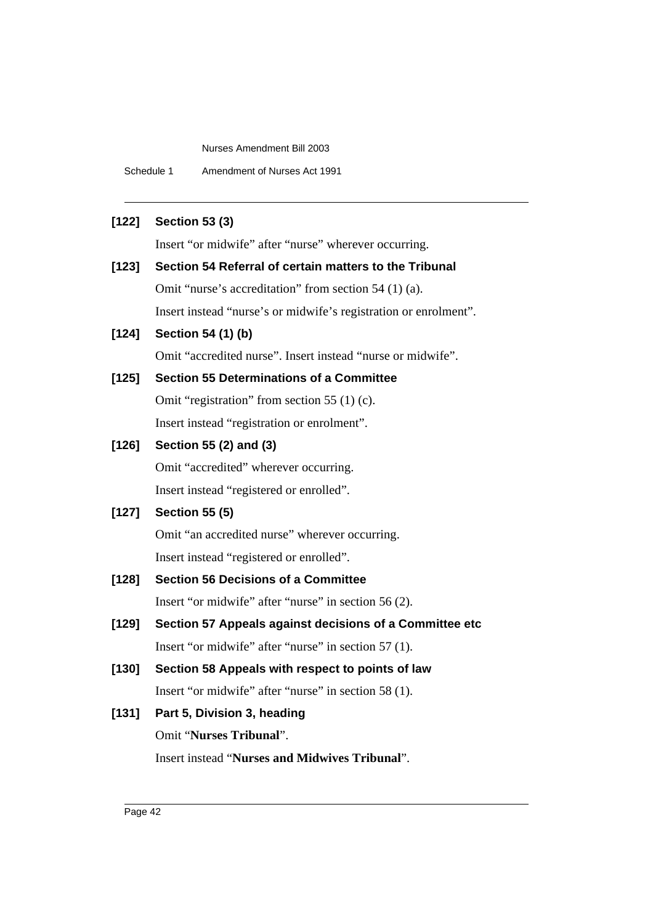Schedule 1 Amendment of Nurses Act 1991

# **[122] Section 53 (3)**

Insert "or midwife" after "nurse" wherever occurring.

**[123] Section 54 Referral of certain matters to the Tribunal** Omit "nurse's accreditation" from section 54 (1) (a). Insert instead "nurse's or midwife's registration or enrolment".

# **[124] Section 54 (1) (b)**

Omit "accredited nurse". Insert instead "nurse or midwife".

# **[125] Section 55 Determinations of a Committee**

Omit "registration" from section 55 (1) (c). Insert instead "registration or enrolment".

# **[126] Section 55 (2) and (3)**

Omit "accredited" wherever occurring. Insert instead "registered or enrolled".

## **[127] Section 55 (5)**

Omit "an accredited nurse" wherever occurring. Insert instead "registered or enrolled".

# **[128] Section 56 Decisions of a Committee**

Insert "or midwife" after "nurse" in section 56 (2).

- **[129] Section 57 Appeals against decisions of a Committee etc** Insert "or midwife" after "nurse" in section 57 (1).
- **[130] Section 58 Appeals with respect to points of law** Insert "or midwife" after "nurse" in section 58 (1).

# **[131] Part 5, Division 3, heading** Omit "**Nurses Tribunal**".

Insert instead "**Nurses and Midwives Tribunal**".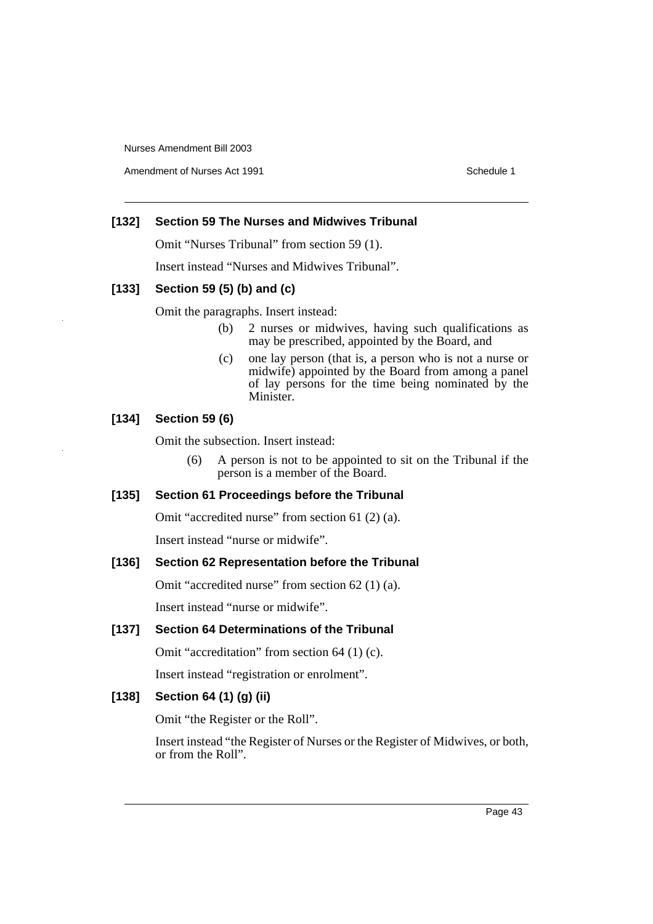Amendment of Nurses Act 1991 **Schedule 1** Schedule 1

# **[132] Section 59 The Nurses and Midwives Tribunal**

Omit "Nurses Tribunal" from section 59 (1).

Insert instead "Nurses and Midwives Tribunal".

# **[133] Section 59 (5) (b) and (c)**

Omit the paragraphs. Insert instead:

- (b) 2 nurses or midwives, having such qualifications as may be prescribed, appointed by the Board, and
- (c) one lay person (that is, a person who is not a nurse or midwife) appointed by the Board from among a panel of lay persons for the time being nominated by the Minister.

# **[134] Section 59 (6)**

Omit the subsection. Insert instead:

(6) A person is not to be appointed to sit on the Tribunal if the person is a member of the Board.

# **[135] Section 61 Proceedings before the Tribunal**

Omit "accredited nurse" from section 61 (2) (a).

Insert instead "nurse or midwife".

## **[136] Section 62 Representation before the Tribunal**

Omit "accredited nurse" from section 62 (1) (a).

Insert instead "nurse or midwife".

# **[137] Section 64 Determinations of the Tribunal**

Omit "accreditation" from section 64 (1) (c).

Insert instead "registration or enrolment".

# **[138] Section 64 (1) (g) (ii)**

Omit "the Register or the Roll".

Insert instead "the Register of Nurses or the Register of Midwives, or both, or from the Roll".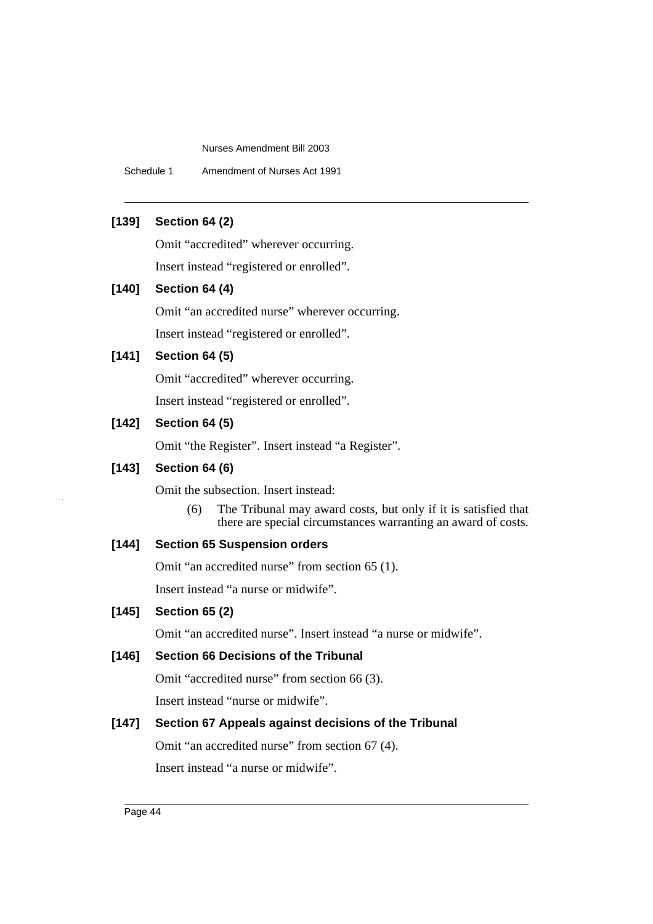Schedule 1 Amendment of Nurses Act 1991

# **[139] Section 64 (2)**

Omit "accredited" wherever occurring.

Insert instead "registered or enrolled".

# **[140] Section 64 (4)**

Omit "an accredited nurse" wherever occurring. Insert instead "registered or enrolled".

# **[141] Section 64 (5)**

Omit "accredited" wherever occurring. Insert instead "registered or enrolled".

# **[142] Section 64 (5)**

Omit "the Register". Insert instead "a Register".

# **[143] Section 64 (6)**

Omit the subsection. Insert instead:

(6) The Tribunal may award costs, but only if it is satisfied that there are special circumstances warranting an award of costs.

# **[144] Section 65 Suspension orders**

Omit "an accredited nurse" from section 65 (1).

Insert instead "a nurse or midwife".

# **[145] Section 65 (2)**

Omit "an accredited nurse". Insert instead "a nurse or midwife".

# **[146] Section 66 Decisions of the Tribunal**

Omit "accredited nurse" from section 66 (3).

Insert instead "nurse or midwife".

# **[147] Section 67 Appeals against decisions of the Tribunal**

Omit "an accredited nurse" from section 67 (4).

Insert instead "a nurse or midwife".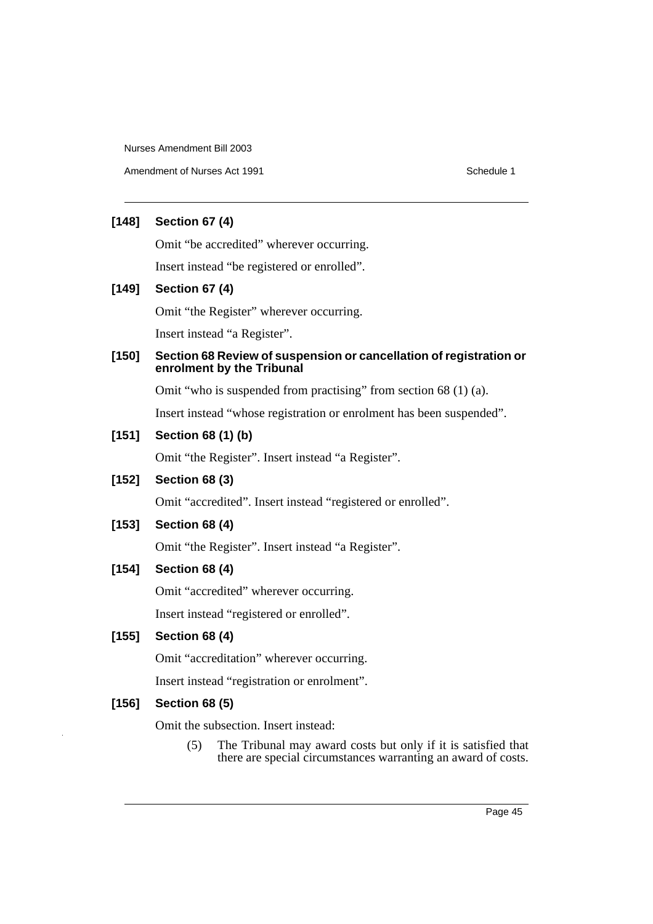Amendment of Nurses Act 1991 Schedule 1

# **[148] Section 67 (4)**

Omit "be accredited" wherever occurring.

Insert instead "be registered or enrolled".

# **[149] Section 67 (4)**

Omit "the Register" wherever occurring.

Insert instead "a Register".

# **[150] Section 68 Review of suspension or cancellation of registration or enrolment by the Tribunal**

Omit "who is suspended from practising" from section 68 (1) (a).

Insert instead "whose registration or enrolment has been suspended".

# **[151] Section 68 (1) (b)**

Omit "the Register". Insert instead "a Register".

# **[152] Section 68 (3)**

Omit "accredited". Insert instead "registered or enrolled".

# **[153] Section 68 (4)**

Omit "the Register". Insert instead "a Register".

# **[154] Section 68 (4)**

Omit "accredited" wherever occurring.

Insert instead "registered or enrolled".

# **[155] Section 68 (4)**

Omit "accreditation" wherever occurring.

Insert instead "registration or enrolment".

# **[156] Section 68 (5)**

Omit the subsection. Insert instead:

(5) The Tribunal may award costs but only if it is satisfied that there are special circumstances warranting an award of costs.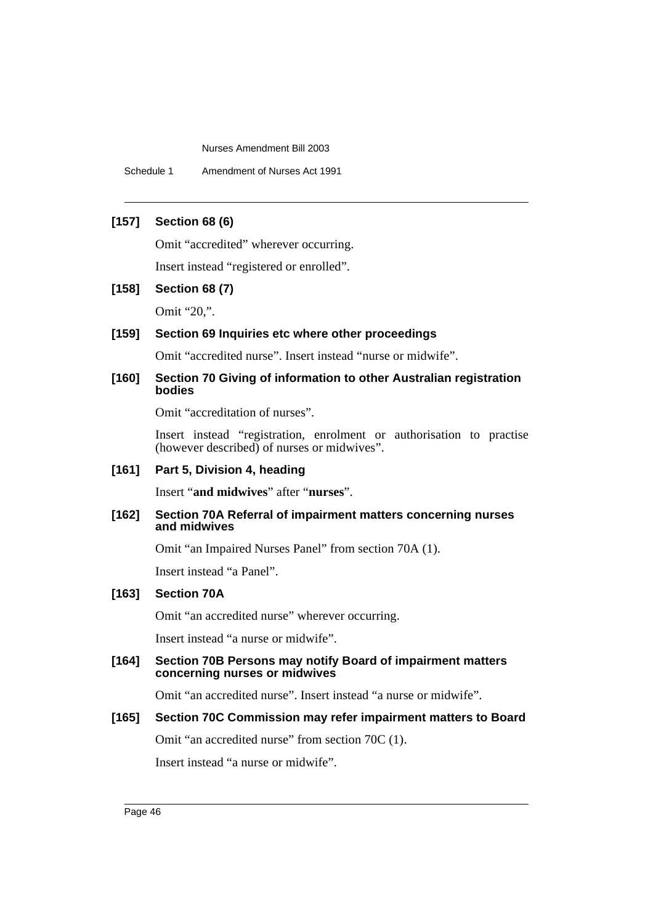Schedule 1 Amendment of Nurses Act 1991

# **[157] Section 68 (6)**

Omit "accredited" wherever occurring.

Insert instead "registered or enrolled".

#### **[158] Section 68 (7)**

Omit "20,".

#### **[159] Section 69 Inquiries etc where other proceedings**

Omit "accredited nurse". Insert instead "nurse or midwife".

### **[160] Section 70 Giving of information to other Australian registration bodies**

Omit "accreditation of nurses".

Insert instead "registration, enrolment or authorisation to practise (however described) of nurses or midwives".

# **[161] Part 5, Division 4, heading**

Insert "**and midwives**" after "**nurses**".

#### **[162] Section 70A Referral of impairment matters concerning nurses and midwives**

Omit "an Impaired Nurses Panel" from section 70A (1).

Insert instead "a Panel".

# **[163] Section 70A**

Omit "an accredited nurse" wherever occurring.

Insert instead "a nurse or midwife".

### **[164] Section 70B Persons may notify Board of impairment matters concerning nurses or midwives**

Omit "an accredited nurse". Insert instead "a nurse or midwife".

#### **[165] Section 70C Commission may refer impairment matters to Board**

Omit "an accredited nurse" from section 70C (1).

Insert instead "a nurse or midwife".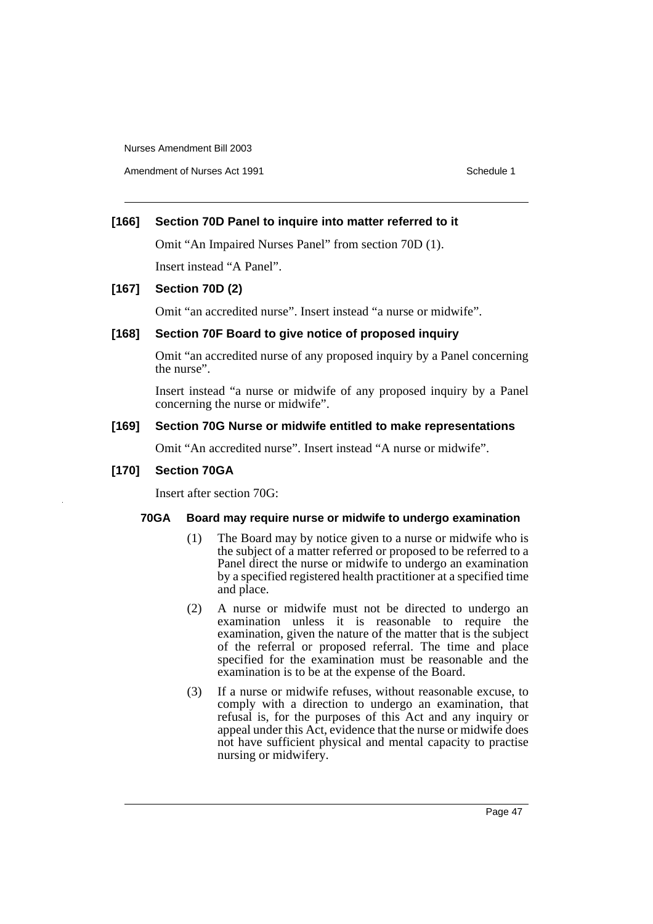Amendment of Nurses Act 1991 **Schedule 1** and the set of the Schedule 1

# **[166] Section 70D Panel to inquire into matter referred to it**

Omit "An Impaired Nurses Panel" from section 70D (1).

Insert instead "A Panel".

## **[167] Section 70D (2)**

Omit "an accredited nurse". Insert instead "a nurse or midwife".

# **[168] Section 70F Board to give notice of proposed inquiry**

Omit "an accredited nurse of any proposed inquiry by a Panel concerning the nurse".

Insert instead "a nurse or midwife of any proposed inquiry by a Panel concerning the nurse or midwife".

# **[169] Section 70G Nurse or midwife entitled to make representations**

Omit "An accredited nurse". Insert instead "A nurse or midwife".

## **[170] Section 70GA**

Insert after section 70G:

## **70GA Board may require nurse or midwife to undergo examination**

- (1) The Board may by notice given to a nurse or midwife who is the subject of a matter referred or proposed to be referred to a Panel direct the nurse or midwife to undergo an examination by a specified registered health practitioner at a specified time and place.
- (2) A nurse or midwife must not be directed to undergo an examination unless it is reasonable to require the examination, given the nature of the matter that is the subject of the referral or proposed referral. The time and place specified for the examination must be reasonable and the examination is to be at the expense of the Board.
- (3) If a nurse or midwife refuses, without reasonable excuse, to comply with a direction to undergo an examination, that refusal is, for the purposes of this Act and any inquiry or appeal under this Act, evidence that the nurse or midwife does not have sufficient physical and mental capacity to practise nursing or midwifery.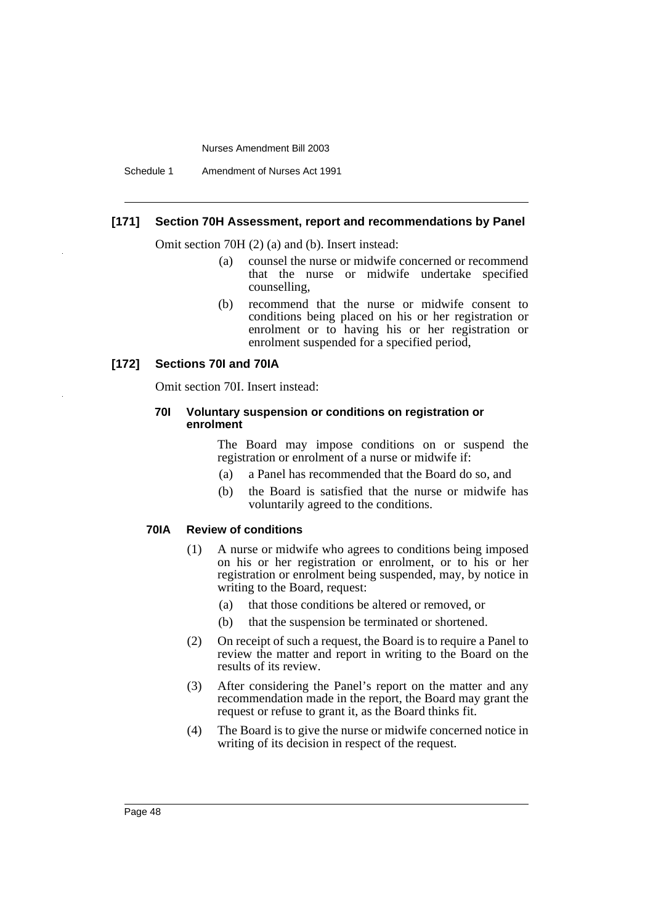Schedule 1 Amendment of Nurses Act 1991

#### **[171] Section 70H Assessment, report and recommendations by Panel**

Omit section 70H (2) (a) and (b). Insert instead:

- (a) counsel the nurse or midwife concerned or recommend that the nurse or midwife undertake specified counselling,
- (b) recommend that the nurse or midwife consent to conditions being placed on his or her registration or enrolment or to having his or her registration or enrolment suspended for a specified period,

#### **[172] Sections 70I and 70IA**

Omit section 70I. Insert instead:

#### **70I Voluntary suspension or conditions on registration or enrolment**

The Board may impose conditions on or suspend the registration or enrolment of a nurse or midwife if:

- (a) a Panel has recommended that the Board do so, and
- (b) the Board is satisfied that the nurse or midwife has voluntarily agreed to the conditions.

#### **70IA Review of conditions**

- (1) A nurse or midwife who agrees to conditions being imposed on his or her registration or enrolment, or to his or her registration or enrolment being suspended, may, by notice in writing to the Board, request:
	- (a) that those conditions be altered or removed, or
	- (b) that the suspension be terminated or shortened.
- (2) On receipt of such a request, the Board is to require a Panel to review the matter and report in writing to the Board on the results of its review.
- (3) After considering the Panel's report on the matter and any recommendation made in the report, the Board may grant the request or refuse to grant it, as the Board thinks fit.
- (4) The Board is to give the nurse or midwife concerned notice in writing of its decision in respect of the request.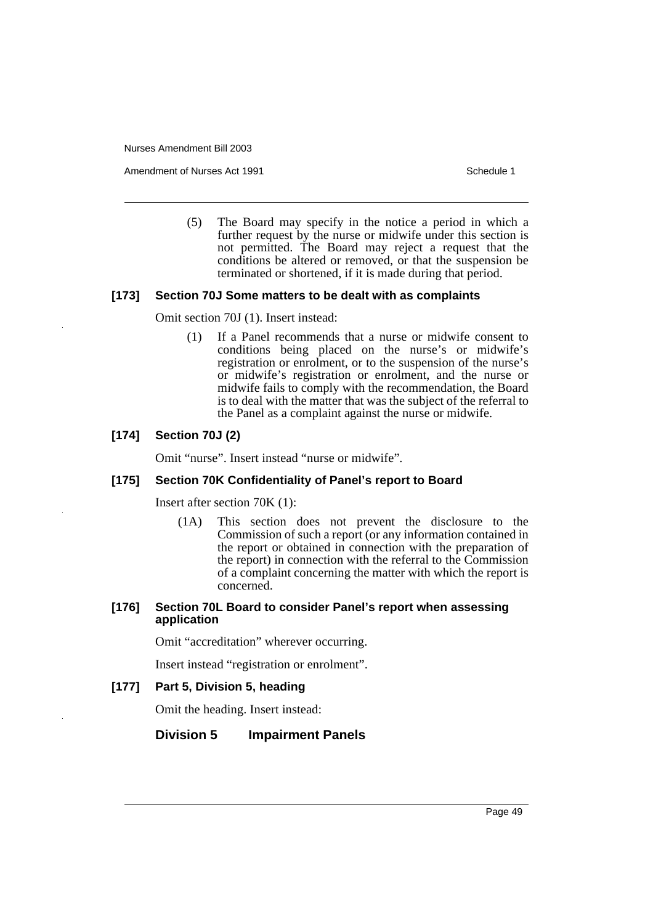Amendment of Nurses Act 1991 **Schedule 1** Schedule 1

(5) The Board may specify in the notice a period in which a further request by the nurse or midwife under this section is not permitted. The Board may reject a request that the conditions be altered or removed, or that the suspension be terminated or shortened, if it is made during that period.

#### **[173] Section 70J Some matters to be dealt with as complaints**

Omit section 70J (1). Insert instead:

(1) If a Panel recommends that a nurse or midwife consent to conditions being placed on the nurse's or midwife's registration or enrolment, or to the suspension of the nurse's or midwife's registration or enrolment, and the nurse or midwife fails to comply with the recommendation, the Board is to deal with the matter that was the subject of the referral to the Panel as a complaint against the nurse or midwife.

## **[174] Section 70J (2)**

Omit "nurse". Insert instead "nurse or midwife".

#### **[175] Section 70K Confidentiality of Panel's report to Board**

Insert after section 70K (1):

(1A) This section does not prevent the disclosure to the Commission of such a report (or any information contained in the report or obtained in connection with the preparation of the report) in connection with the referral to the Commission of a complaint concerning the matter with which the report is concerned.

#### **[176] Section 70L Board to consider Panel's report when assessing application**

Omit "accreditation" wherever occurring.

Insert instead "registration or enrolment".

#### **[177] Part 5, Division 5, heading**

Omit the heading. Insert instead:

## **Division 5 Impairment Panels**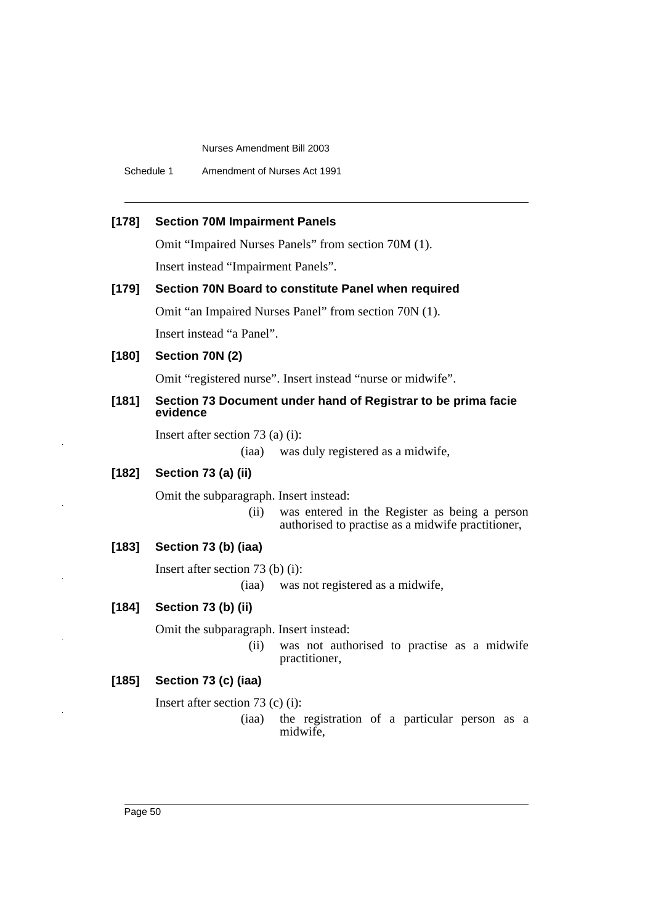Schedule 1 Amendment of Nurses Act 1991

# **[178] Section 70M Impairment Panels**

Omit "Impaired Nurses Panels" from section 70M (1).

Insert instead "Impairment Panels".

# **[179] Section 70N Board to constitute Panel when required**

Omit "an Impaired Nurses Panel" from section 70N (1).

Insert instead "a Panel".

# **[180] Section 70N (2)**

Omit "registered nurse". Insert instead "nurse or midwife".

#### **[181] Section 73 Document under hand of Registrar to be prima facie evidence**

Insert after section 73 (a) (i):

(iaa) was duly registered as a midwife,

# **[182] Section 73 (a) (ii)**

Omit the subparagraph. Insert instead:

(ii) was entered in the Register as being a person authorised to practise as a midwife practitioner,

# **[183] Section 73 (b) (iaa)**

Insert after section 73 (b) (i):

(iaa) was not registered as a midwife,

#### **[184] Section 73 (b) (ii)**

Omit the subparagraph. Insert instead:

(ii) was not authorised to practise as a midwife practitioner,

# **[185] Section 73 (c) (iaa)**

Insert after section 73 (c) (i):

(iaa) the registration of a particular person as a midwife,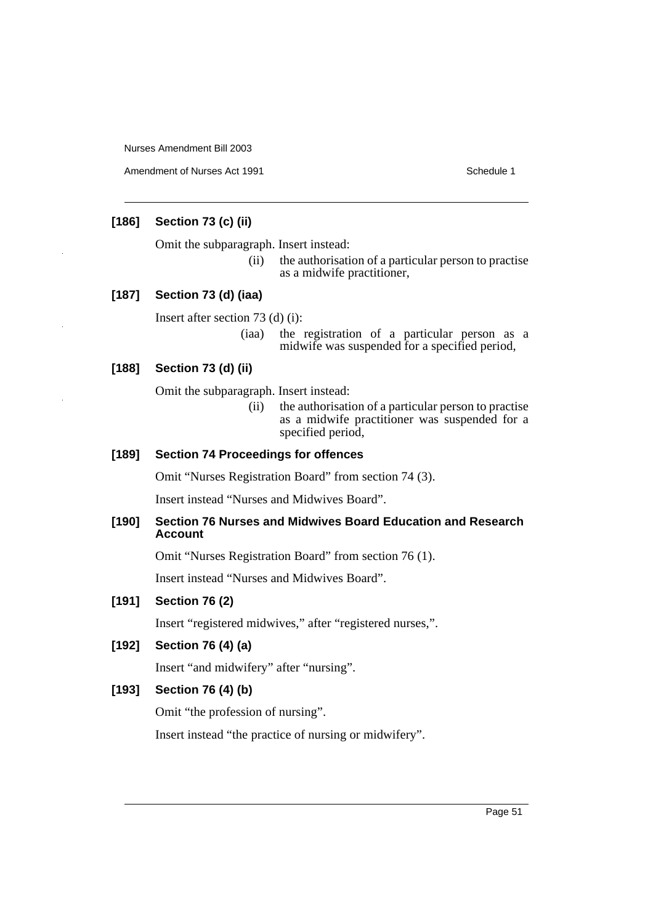Amendment of Nurses Act 1991 **Schedule 1** Schedule 1

# **[186] Section 73 (c) (ii)**

Omit the subparagraph. Insert instead:

(ii) the authorisation of a particular person to practise as a midwife practitioner,

# **[187] Section 73 (d) (iaa)**

Insert after section 73 (d) (i):

(iaa) the registration of a particular person as a midwife was suspended for a specified period,

# **[188] Section 73 (d) (ii)**

Omit the subparagraph. Insert instead:

(ii) the authorisation of a particular person to practise as a midwife practitioner was suspended for a specified period,

# **[189] Section 74 Proceedings for offences**

Omit "Nurses Registration Board" from section 74 (3).

Insert instead "Nurses and Midwives Board".

## **[190] Section 76 Nurses and Midwives Board Education and Research Account**

Omit "Nurses Registration Board" from section 76 (1).

Insert instead "Nurses and Midwives Board".

# **[191] Section 76 (2)**

Insert "registered midwives," after "registered nurses,".

# **[192] Section 76 (4) (a)**

Insert "and midwifery" after "nursing".

# **[193] Section 76 (4) (b)**

Omit "the profession of nursing".

Insert instead "the practice of nursing or midwifery".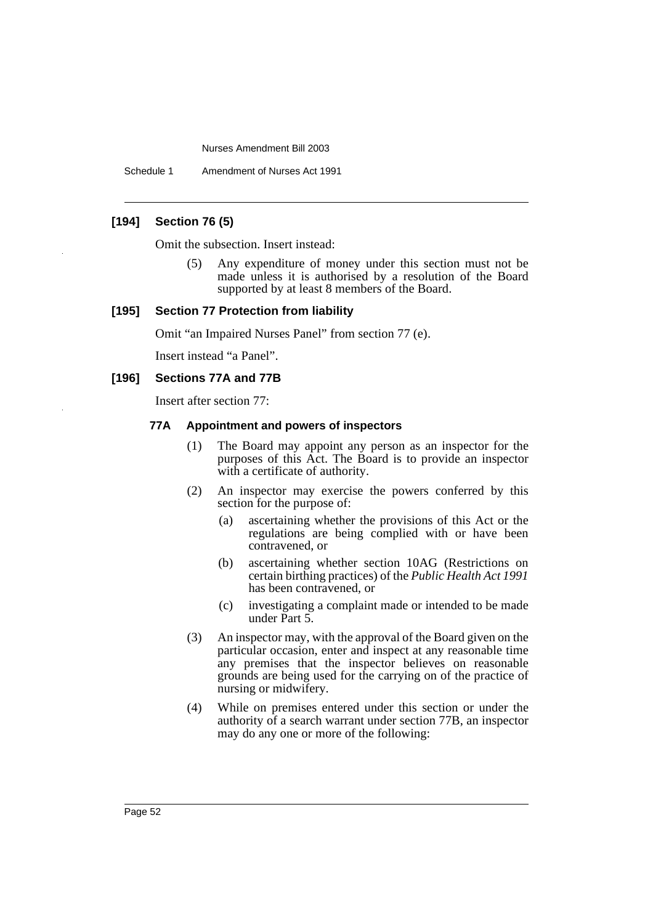Schedule 1 Amendment of Nurses Act 1991

# **[194] Section 76 (5)**

Omit the subsection. Insert instead:

(5) Any expenditure of money under this section must not be made unless it is authorised by a resolution of the Board supported by at least 8 members of the Board.

#### **[195] Section 77 Protection from liability**

Omit "an Impaired Nurses Panel" from section 77 (e).

Insert instead "a Panel".

#### **[196] Sections 77A and 77B**

Insert after section 77:

#### **77A Appointment and powers of inspectors**

- (1) The Board may appoint any person as an inspector for the purposes of this Act. The Board is to provide an inspector with a certificate of authority.
- (2) An inspector may exercise the powers conferred by this section for the purpose of:
	- (a) ascertaining whether the provisions of this Act or the regulations are being complied with or have been contravened, or
	- (b) ascertaining whether section 10AG (Restrictions on certain birthing practices) of the *Public Health Act 1991* has been contravened, or
	- (c) investigating a complaint made or intended to be made under Part 5.
- (3) An inspector may, with the approval of the Board given on the particular occasion, enter and inspect at any reasonable time any premises that the inspector believes on reasonable grounds are being used for the carrying on of the practice of nursing or midwifery.
- (4) While on premises entered under this section or under the authority of a search warrant under section 77B, an inspector may do any one or more of the following: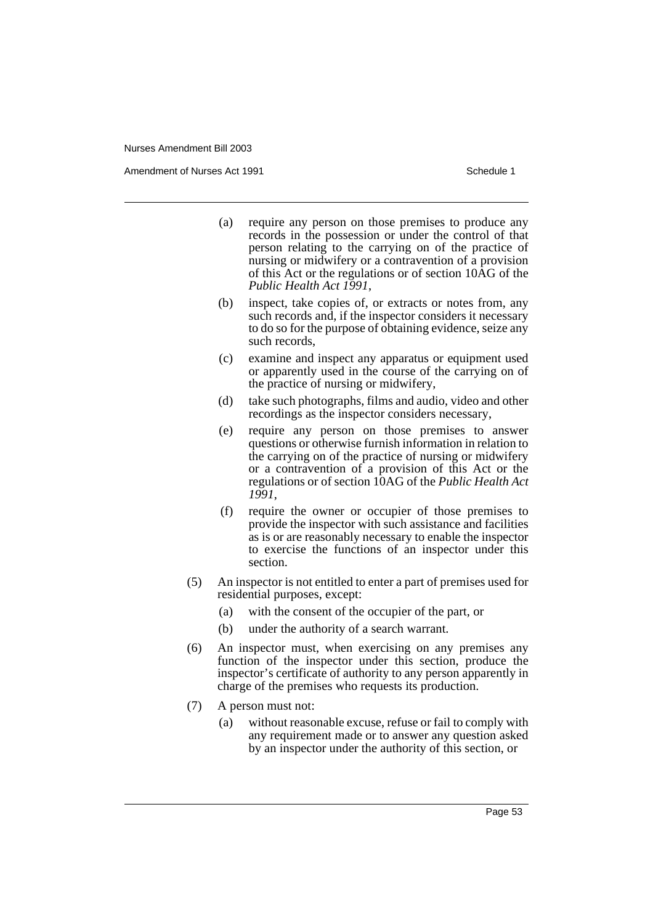Amendment of Nurses Act 1991 **Schedule 1** and the set of the Schedule 1

- (a) require any person on those premises to produce any records in the possession or under the control of that person relating to the carrying on of the practice of nursing or midwifery or a contravention of a provision of this Act or the regulations or of section 10AG of the *Public Health Act 1991*,
- (b) inspect, take copies of, or extracts or notes from, any such records and, if the inspector considers it necessary to do so for the purpose of obtaining evidence, seize any such records,
- (c) examine and inspect any apparatus or equipment used or apparently used in the course of the carrying on of the practice of nursing or midwifery,
- (d) take such photographs, films and audio, video and other recordings as the inspector considers necessary,
- (e) require any person on those premises to answer questions or otherwise furnish information in relation to the carrying on of the practice of nursing or midwifery or a contravention of a provision of this Act or the regulations or of section 10AG of the *Public Health Act 1991*,
- (f) require the owner or occupier of those premises to provide the inspector with such assistance and facilities as is or are reasonably necessary to enable the inspector to exercise the functions of an inspector under this section.
- (5) An inspector is not entitled to enter a part of premises used for residential purposes, except:
	- (a) with the consent of the occupier of the part, or
	- (b) under the authority of a search warrant.
- (6) An inspector must, when exercising on any premises any function of the inspector under this section, produce the inspector's certificate of authority to any person apparently in charge of the premises who requests its production.
- (7) A person must not:
	- (a) without reasonable excuse, refuse or fail to comply with any requirement made or to answer any question asked by an inspector under the authority of this section, or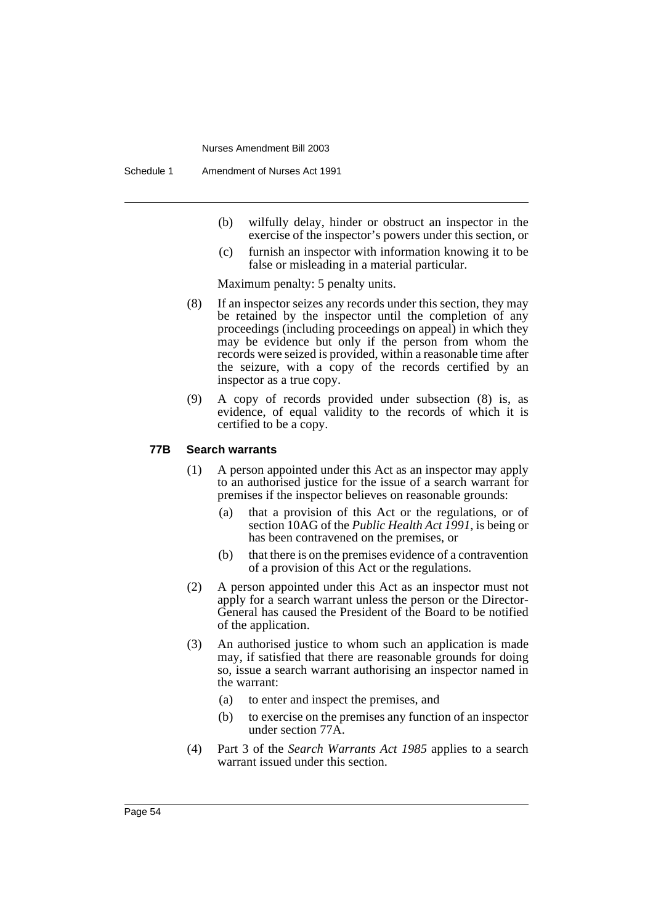- (b) wilfully delay, hinder or obstruct an inspector in the exercise of the inspector's powers under this section, or
- (c) furnish an inspector with information knowing it to be false or misleading in a material particular.

Maximum penalty: 5 penalty units.

- (8) If an inspector seizes any records under this section, they may be retained by the inspector until the completion of any proceedings (including proceedings on appeal) in which they may be evidence but only if the person from whom the records were seized is provided, within a reasonable time after the seizure, with a copy of the records certified by an inspector as a true copy.
- (9) A copy of records provided under subsection (8) is, as evidence, of equal validity to the records of which it is certified to be a copy.

#### **77B Search warrants**

- (1) A person appointed under this Act as an inspector may apply to an authorised justice for the issue of a search warrant for premises if the inspector believes on reasonable grounds:
	- (a) that a provision of this Act or the regulations, or of section 10AG of the *Public Health Act 1991*, is being or has been contravened on the premises, or
	- (b) that there is on the premises evidence of a contravention of a provision of this Act or the regulations.
- (2) A person appointed under this Act as an inspector must not apply for a search warrant unless the person or the Director-General has caused the President of the Board to be notified of the application.
- (3) An authorised justice to whom such an application is made may, if satisfied that there are reasonable grounds for doing so, issue a search warrant authorising an inspector named in the warrant:
	- (a) to enter and inspect the premises, and
	- (b) to exercise on the premises any function of an inspector under section 77A.
- (4) Part 3 of the *Search Warrants Act 1985* applies to a search warrant issued under this section.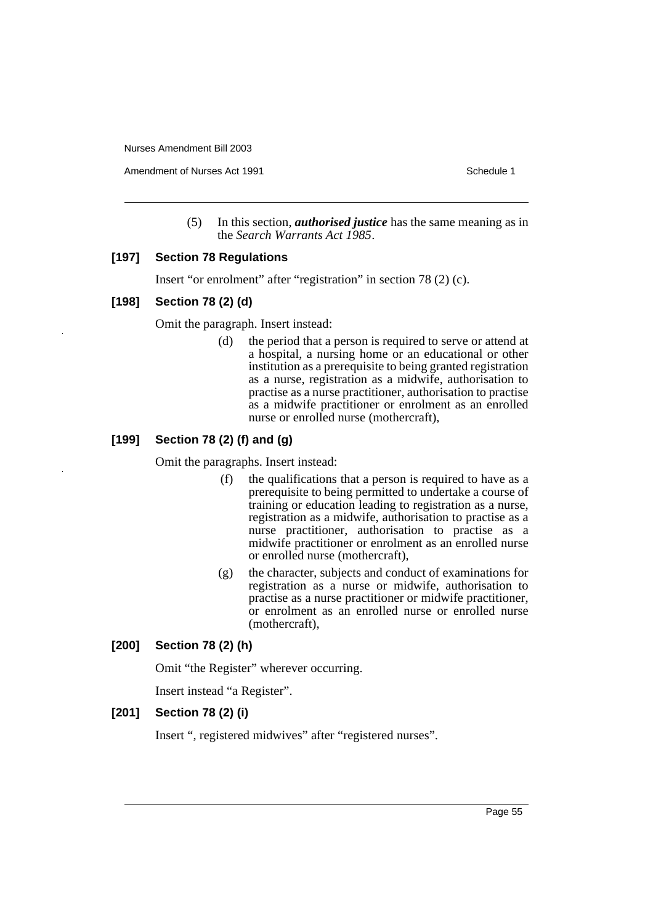Amendment of Nurses Act 1991 **Schedule 1** and the set of the Schedule 1

(5) In this section, *authorised justice* has the same meaning as in the *Search Warrants Act 1985*.

## **[197] Section 78 Regulations**

Insert "or enrolment" after "registration" in section 78 (2) (c).

#### **[198] Section 78 (2) (d)**

Omit the paragraph. Insert instead:

(d) the period that a person is required to serve or attend at a hospital, a nursing home or an educational or other institution as a prerequisite to being granted registration as a nurse, registration as a midwife, authorisation to practise as a nurse practitioner, authorisation to practise as a midwife practitioner or enrolment as an enrolled nurse or enrolled nurse (mothercraft),

# **[199] Section 78 (2) (f) and (g)**

Omit the paragraphs. Insert instead:

- (f) the qualifications that a person is required to have as a prerequisite to being permitted to undertake a course of training or education leading to registration as a nurse, registration as a midwife, authorisation to practise as a nurse practitioner, authorisation to practise as a midwife practitioner or enrolment as an enrolled nurse or enrolled nurse (mothercraft),
- (g) the character, subjects and conduct of examinations for registration as a nurse or midwife, authorisation to practise as a nurse practitioner or midwife practitioner, or enrolment as an enrolled nurse or enrolled nurse (mothercraft),

## **[200] Section 78 (2) (h)**

Omit "the Register" wherever occurring.

Insert instead "a Register".

## **[201] Section 78 (2) (i)**

Insert ", registered midwives" after "registered nurses".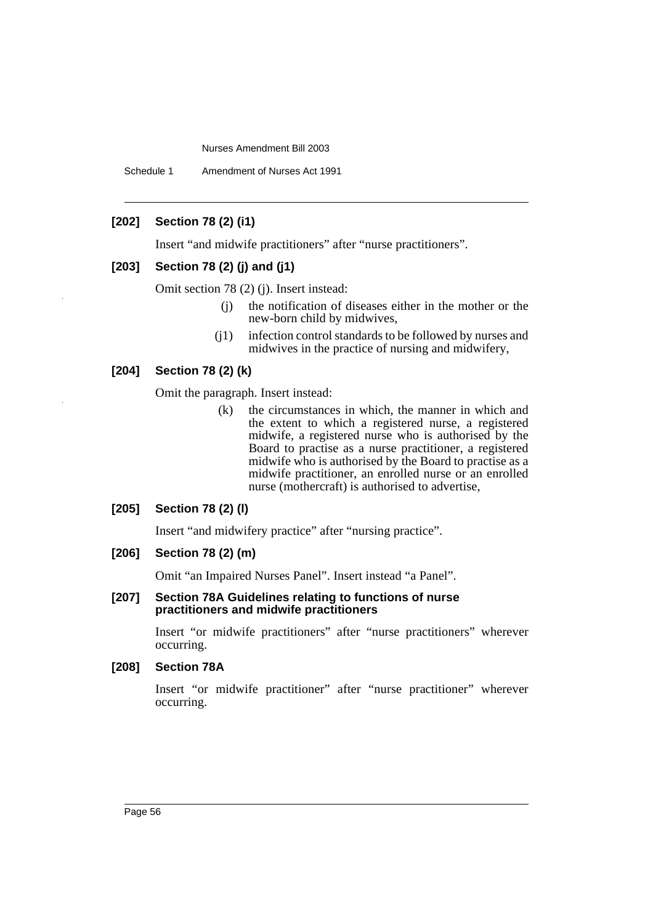Schedule 1 Amendment of Nurses Act 1991

# **[202] Section 78 (2) (i1)**

Insert "and midwife practitioners" after "nurse practitioners".

# **[203] Section 78 (2) (j) and (j1)**

Omit section 78 (2) (j). Insert instead:

- (j) the notification of diseases either in the mother or the new-born child by midwives,
- (j1) infection control standards to be followed by nurses and midwives in the practice of nursing and midwifery,

# **[204] Section 78 (2) (k)**

Omit the paragraph. Insert instead:

(k) the circumstances in which, the manner in which and the extent to which a registered nurse, a registered midwife, a registered nurse who is authorised by the Board to practise as a nurse practitioner, a registered midwife who is authorised by the Board to practise as a midwife practitioner, an enrolled nurse or an enrolled nurse (mothercraft) is authorised to advertise,

#### **[205] Section 78 (2) (l)**

Insert "and midwifery practice" after "nursing practice".

# **[206] Section 78 (2) (m)**

Omit "an Impaired Nurses Panel". Insert instead "a Panel".

#### **[207] Section 78A Guidelines relating to functions of nurse practitioners and midwife practitioners**

Insert "or midwife practitioners" after "nurse practitioners" wherever occurring.

#### **[208] Section 78A**

Insert "or midwife practitioner" after "nurse practitioner" wherever occurring.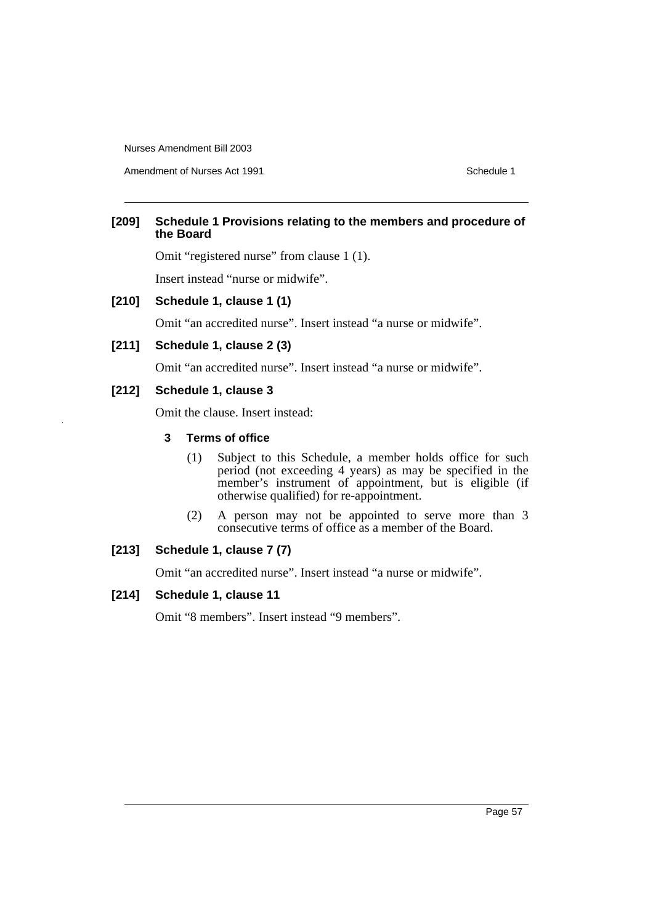Amendment of Nurses Act 1991 Schedule 1

# **[209] Schedule 1 Provisions relating to the members and procedure of the Board**

Omit "registered nurse" from clause 1 (1).

Insert instead "nurse or midwife".

#### **[210] Schedule 1, clause 1 (1)**

Omit "an accredited nurse". Insert instead "a nurse or midwife".

# **[211] Schedule 1, clause 2 (3)**

Omit "an accredited nurse". Insert instead "a nurse or midwife".

# **[212] Schedule 1, clause 3**

Omit the clause. Insert instead:

# **3 Terms of office**

- (1) Subject to this Schedule, a member holds office for such period (not exceeding 4 years) as may be specified in the member's instrument of appointment, but is eligible (if otherwise qualified) for re-appointment.
- (2) A person may not be appointed to serve more than 3 consecutive terms of office as a member of the Board.

# **[213] Schedule 1, clause 7 (7)**

Omit "an accredited nurse". Insert instead "a nurse or midwife".

#### **[214] Schedule 1, clause 11**

Omit "8 members". Insert instead "9 members".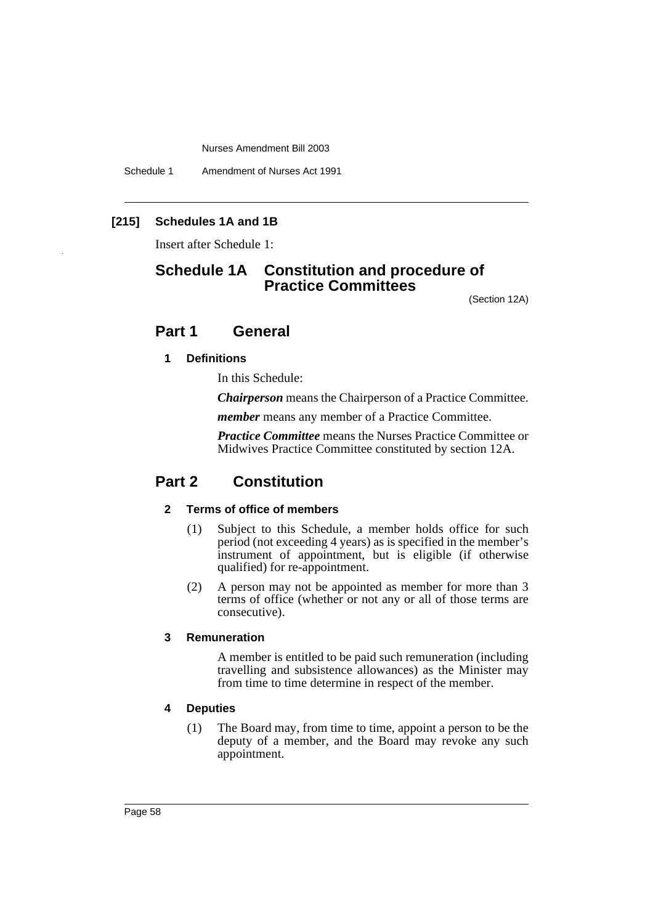Schedule 1 Amendment of Nurses Act 1991

# **[215] Schedules 1A and 1B**

Insert after Schedule 1:

# **Schedule 1A Constitution and procedure of Practice Committees**

(Section 12A)

# **Part 1 General**

#### **1 Definitions**

In this Schedule:

*Chairperson* means the Chairperson of a Practice Committee.

*member* means any member of a Practice Committee.

*Practice Committee* means the Nurses Practice Committee or Midwives Practice Committee constituted by section 12A.

# **Part 2 Constitution**

## **2 Terms of office of members**

- (1) Subject to this Schedule, a member holds office for such period (not exceeding 4 years) as is specified in the member's instrument of appointment, but is eligible (if otherwise qualified) for re-appointment.
- (2) A person may not be appointed as member for more than 3 terms of office (whether or not any or all of those terms are consecutive).

# **3 Remuneration**

A member is entitled to be paid such remuneration (including travelling and subsistence allowances) as the Minister may from time to time determine in respect of the member.

#### **4 Deputies**

(1) The Board may, from time to time, appoint a person to be the deputy of a member, and the Board may revoke any such appointment.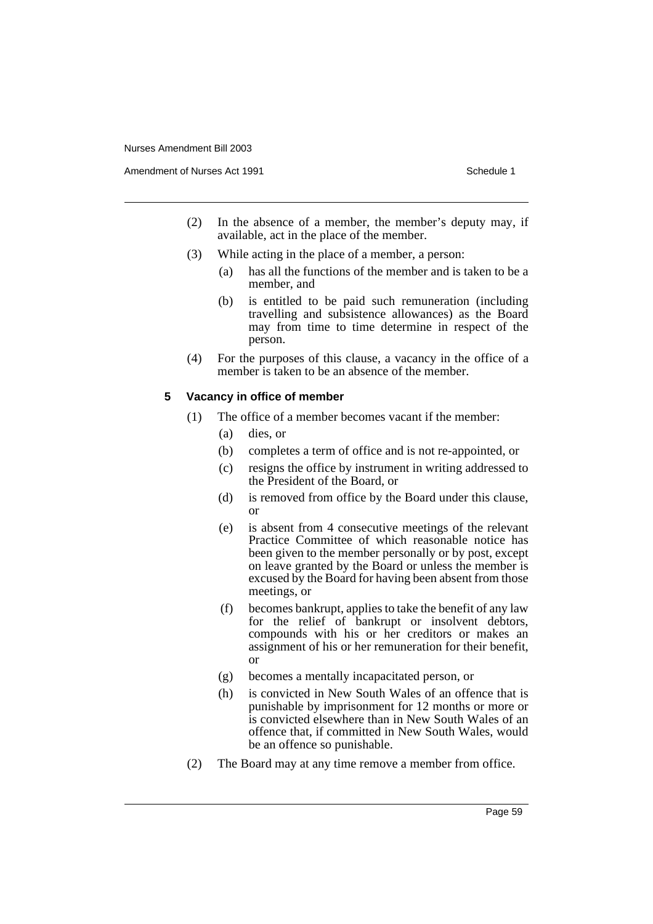Amendment of Nurses Act 1991 **Schedule 1** and the set of the Schedule 1

- (2) In the absence of a member, the member's deputy may, if available, act in the place of the member.
- (3) While acting in the place of a member, a person:
	- (a) has all the functions of the member and is taken to be a member, and
	- (b) is entitled to be paid such remuneration (including travelling and subsistence allowances) as the Board may from time to time determine in respect of the person.
- (4) For the purposes of this clause, a vacancy in the office of a member is taken to be an absence of the member.

#### **5 Vacancy in office of member**

- (1) The office of a member becomes vacant if the member:
	- (a) dies, or
	- (b) completes a term of office and is not re-appointed, or
	- (c) resigns the office by instrument in writing addressed to the President of the Board, or
	- (d) is removed from office by the Board under this clause, or
	- (e) is absent from 4 consecutive meetings of the relevant Practice Committee of which reasonable notice has been given to the member personally or by post, except on leave granted by the Board or unless the member is excused by the Board for having been absent from those meetings, or
	- (f) becomes bankrupt, applies to take the benefit of any law for the relief of bankrupt or insolvent debtors, compounds with his or her creditors or makes an assignment of his or her remuneration for their benefit, or
	- (g) becomes a mentally incapacitated person, or
	- (h) is convicted in New South Wales of an offence that is punishable by imprisonment for 12 months or more or is convicted elsewhere than in New South Wales of an offence that, if committed in New South Wales, would be an offence so punishable.
- (2) The Board may at any time remove a member from office.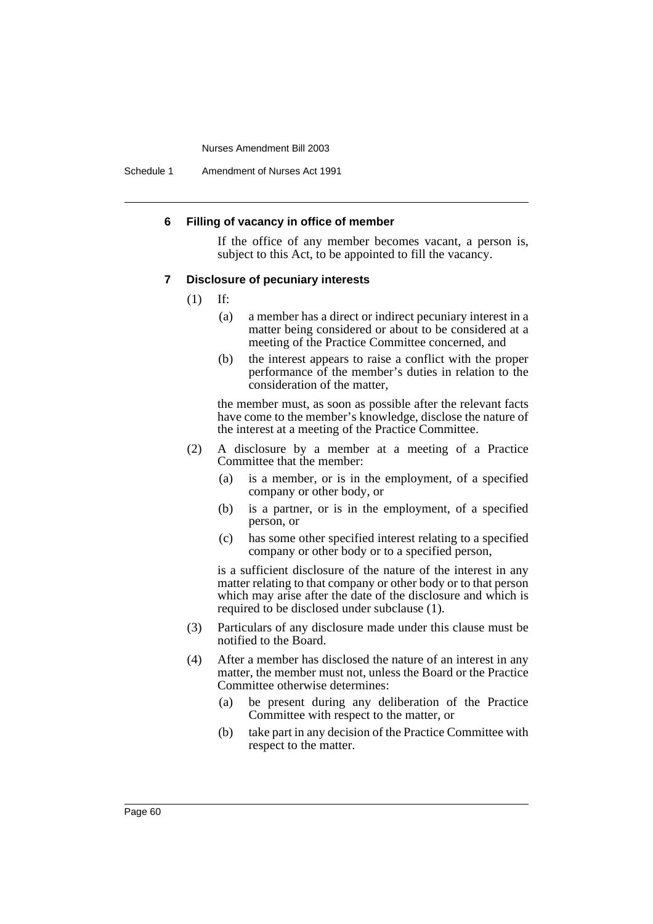Schedule 1 Amendment of Nurses Act 1991

#### **6 Filling of vacancy in office of member**

If the office of any member becomes vacant, a person is, subject to this Act, to be appointed to fill the vacancy.

#### **7 Disclosure of pecuniary interests**

- (1) If:
	- (a) a member has a direct or indirect pecuniary interest in a matter being considered or about to be considered at a meeting of the Practice Committee concerned, and
	- (b) the interest appears to raise a conflict with the proper performance of the member's duties in relation to the consideration of the matter,

the member must, as soon as possible after the relevant facts have come to the member's knowledge, disclose the nature of the interest at a meeting of the Practice Committee.

- (2) A disclosure by a member at a meeting of a Practice Committee that the member:
	- (a) is a member, or is in the employment, of a specified company or other body, or
	- (b) is a partner, or is in the employment, of a specified person, or
	- (c) has some other specified interest relating to a specified company or other body or to a specified person,

is a sufficient disclosure of the nature of the interest in any matter relating to that company or other body or to that person which may arise after the date of the disclosure and which is required to be disclosed under subclause (1).

- (3) Particulars of any disclosure made under this clause must be notified to the Board.
- (4) After a member has disclosed the nature of an interest in any matter, the member must not, unless the Board or the Practice Committee otherwise determines:
	- (a) be present during any deliberation of the Practice Committee with respect to the matter, or
	- (b) take part in any decision of the Practice Committee with respect to the matter.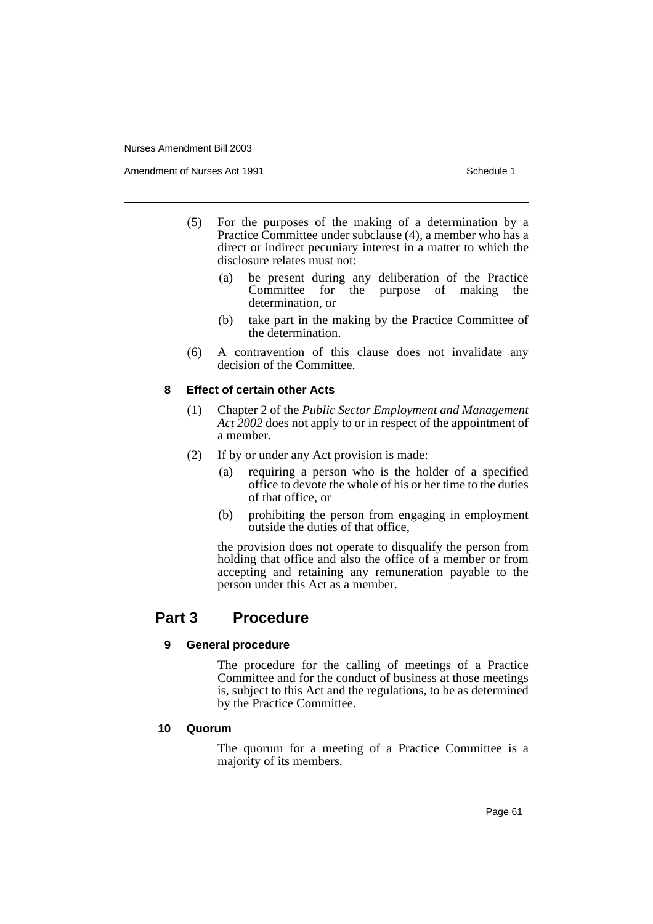Amendment of Nurses Act 1991 **Schedule 1** and the set of the Schedule 1

- (5) For the purposes of the making of a determination by a Practice Committee under subclause (4), a member who has a direct or indirect pecuniary interest in a matter to which the disclosure relates must not:
	- (a) be present during any deliberation of the Practice purpose of making the determination, or
	- (b) take part in the making by the Practice Committee of the determination.
- (6) A contravention of this clause does not invalidate any decision of the Committee.

## **8 Effect of certain other Acts**

- (1) Chapter 2 of the *Public Sector Employment and Management Act 2002* does not apply to or in respect of the appointment of a member.
- (2) If by or under any Act provision is made:
	- (a) requiring a person who is the holder of a specified office to devote the whole of his or her time to the duties of that office, or
	- (b) prohibiting the person from engaging in employment outside the duties of that office,

the provision does not operate to disqualify the person from holding that office and also the office of a member or from accepting and retaining any remuneration payable to the person under this Act as a member.

# **Part 3 Procedure**

## **9 General procedure**

The procedure for the calling of meetings of a Practice Committee and for the conduct of business at those meetings is, subject to this Act and the regulations, to be as determined by the Practice Committee.

## **10 Quorum**

The quorum for a meeting of a Practice Committee is a majority of its members.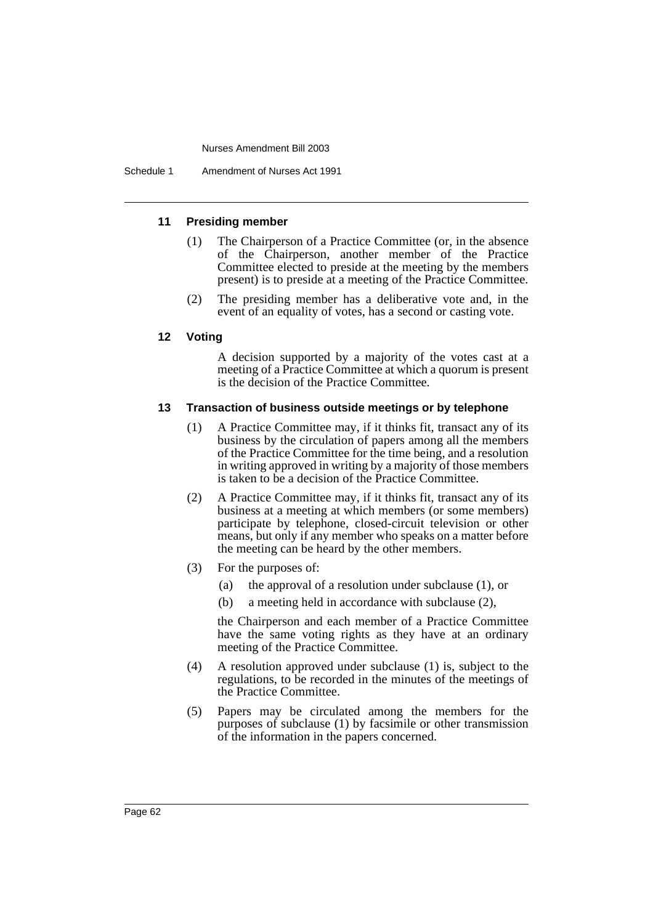#### **11 Presiding member**

- (1) The Chairperson of a Practice Committee (or, in the absence of the Chairperson, another member of the Practice Committee elected to preside at the meeting by the members present) is to preside at a meeting of the Practice Committee.
- (2) The presiding member has a deliberative vote and, in the event of an equality of votes, has a second or casting vote.

#### **12 Voting**

A decision supported by a majority of the votes cast at a meeting of a Practice Committee at which a quorum is present is the decision of the Practice Committee.

#### **13 Transaction of business outside meetings or by telephone**

- (1) A Practice Committee may, if it thinks fit, transact any of its business by the circulation of papers among all the members of the Practice Committee for the time being, and a resolution in writing approved in writing by a majority of those members is taken to be a decision of the Practice Committee.
- (2) A Practice Committee may, if it thinks fit, transact any of its business at a meeting at which members (or some members) participate by telephone, closed-circuit television or other means, but only if any member who speaks on a matter before the meeting can be heard by the other members.
- (3) For the purposes of:
	- (a) the approval of a resolution under subclause (1), or
	- (b) a meeting held in accordance with subclause (2),

the Chairperson and each member of a Practice Committee have the same voting rights as they have at an ordinary meeting of the Practice Committee.

- (4) A resolution approved under subclause (1) is, subject to the regulations, to be recorded in the minutes of the meetings of the Practice Committee.
- (5) Papers may be circulated among the members for the purposes of subclause (1) by facsimile or other transmission of the information in the papers concerned.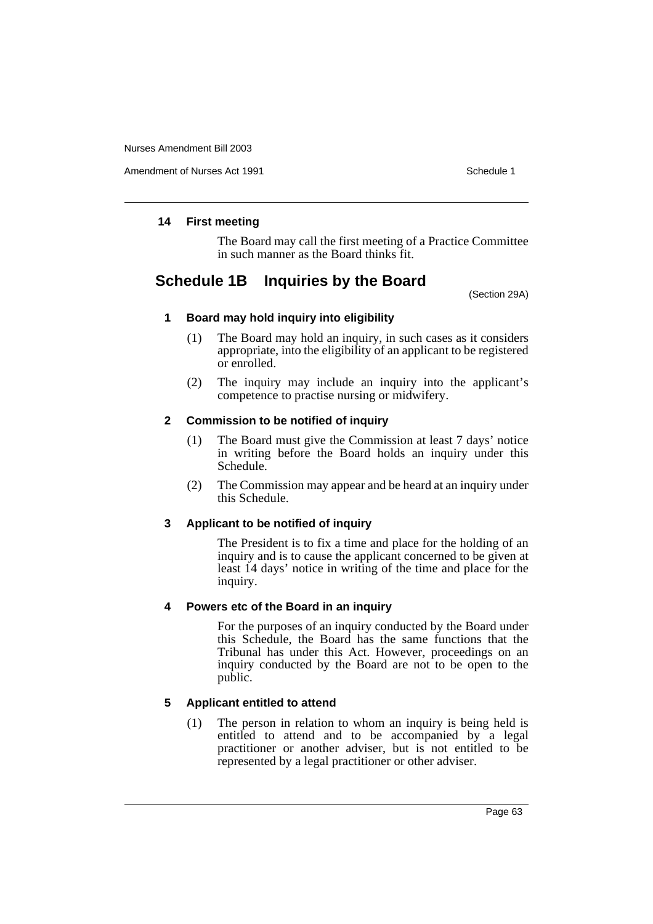Amendment of Nurses Act 1991 **Schedule 1** and the set of the Schedule 1

# **14 First meeting**

The Board may call the first meeting of a Practice Committee in such manner as the Board thinks fit.

# **Schedule 1B Inquiries by the Board**

(Section 29A)

## **1 Board may hold inquiry into eligibility**

- (1) The Board may hold an inquiry, in such cases as it considers appropriate, into the eligibility of an applicant to be registered or enrolled.
- (2) The inquiry may include an inquiry into the applicant's competence to practise nursing or midwifery.

# **2 Commission to be notified of inquiry**

- (1) The Board must give the Commission at least 7 days' notice in writing before the Board holds an inquiry under this Schedule.
- (2) The Commission may appear and be heard at an inquiry under this Schedule.

## **3 Applicant to be notified of inquiry**

The President is to fix a time and place for the holding of an inquiry and is to cause the applicant concerned to be given at least 14 days' notice in writing of the time and place for the inquiry.

## **4 Powers etc of the Board in an inquiry**

For the purposes of an inquiry conducted by the Board under this Schedule, the Board has the same functions that the Tribunal has under this Act. However, proceedings on an inquiry conducted by the Board are not to be open to the public.

# **5 Applicant entitled to attend**

(1) The person in relation to whom an inquiry is being held is entitled to attend and to be accompanied by a legal practitioner or another adviser, but is not entitled to be represented by a legal practitioner or other adviser.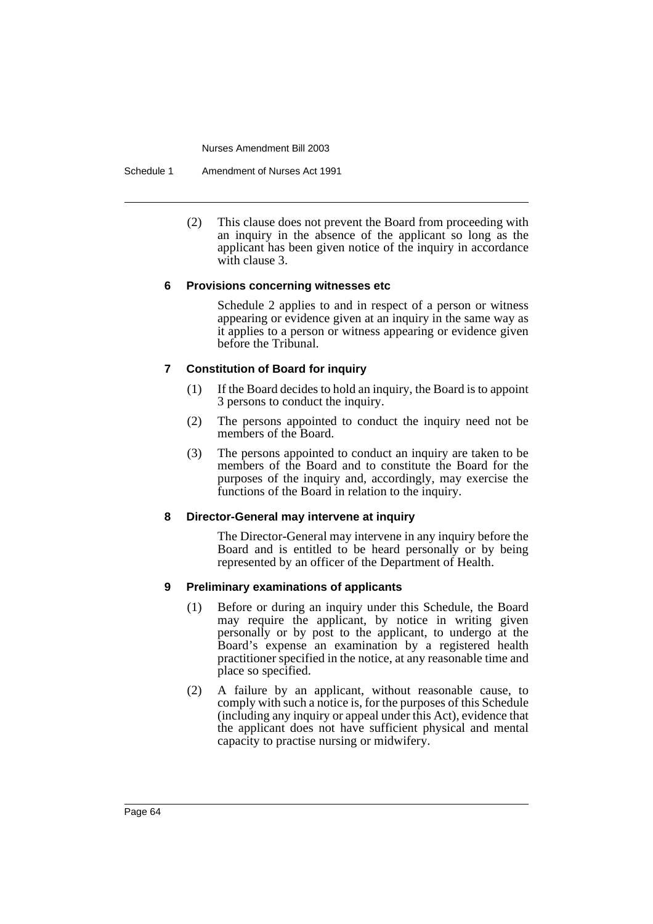Schedule 1 Amendment of Nurses Act 1991

(2) This clause does not prevent the Board from proceeding with an inquiry in the absence of the applicant so long as the applicant has been given notice of the inquiry in accordance with clause 3.

## **6 Provisions concerning witnesses etc**

Schedule 2 applies to and in respect of a person or witness appearing or evidence given at an inquiry in the same way as it applies to a person or witness appearing or evidence given before the Tribunal.

## **7 Constitution of Board for inquiry**

- (1) If the Board decides to hold an inquiry, the Board is to appoint 3 persons to conduct the inquiry.
- (2) The persons appointed to conduct the inquiry need not be members of the Board.
- (3) The persons appointed to conduct an inquiry are taken to be members of the Board and to constitute the Board for the purposes of the inquiry and, accordingly, may exercise the functions of the Board in relation to the inquiry.

## **8 Director-General may intervene at inquiry**

The Director-General may intervene in any inquiry before the Board and is entitled to be heard personally or by being represented by an officer of the Department of Health.

## **9 Preliminary examinations of applicants**

- (1) Before or during an inquiry under this Schedule, the Board may require the applicant, by notice in writing given personally or by post to the applicant, to undergo at the Board's expense an examination by a registered health practitioner specified in the notice, at any reasonable time and place so specified.
- (2) A failure by an applicant, without reasonable cause, to comply with such a notice is, for the purposes of this Schedule (including any inquiry or appeal under this Act), evidence that the applicant does not have sufficient physical and mental capacity to practise nursing or midwifery.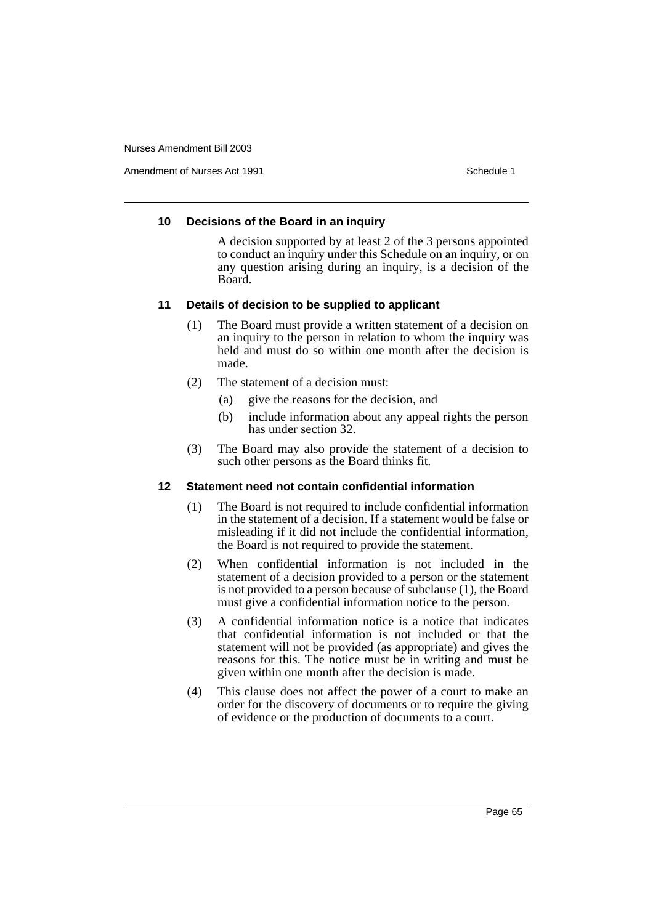Amendment of Nurses Act 1991 **Schedule 1** and the set of the Schedule 1

## **10 Decisions of the Board in an inquiry**

A decision supported by at least 2 of the 3 persons appointed to conduct an inquiry under this Schedule on an inquiry, or on any question arising during an inquiry, is a decision of the Board.

# **11 Details of decision to be supplied to applicant**

- (1) The Board must provide a written statement of a decision on an inquiry to the person in relation to whom the inquiry was held and must do so within one month after the decision is made.
- (2) The statement of a decision must:
	- (a) give the reasons for the decision, and
	- (b) include information about any appeal rights the person has under section 32.
- (3) The Board may also provide the statement of a decision to such other persons as the Board thinks fit.

# **12 Statement need not contain confidential information**

- (1) The Board is not required to include confidential information in the statement of a decision. If a statement would be false or misleading if it did not include the confidential information, the Board is not required to provide the statement.
- (2) When confidential information is not included in the statement of a decision provided to a person or the statement is not provided to a person because of subclause (1), the Board must give a confidential information notice to the person.
- (3) A confidential information notice is a notice that indicates that confidential information is not included or that the statement will not be provided (as appropriate) and gives the reasons for this. The notice must be in writing and must be given within one month after the decision is made.
- (4) This clause does not affect the power of a court to make an order for the discovery of documents or to require the giving of evidence or the production of documents to a court.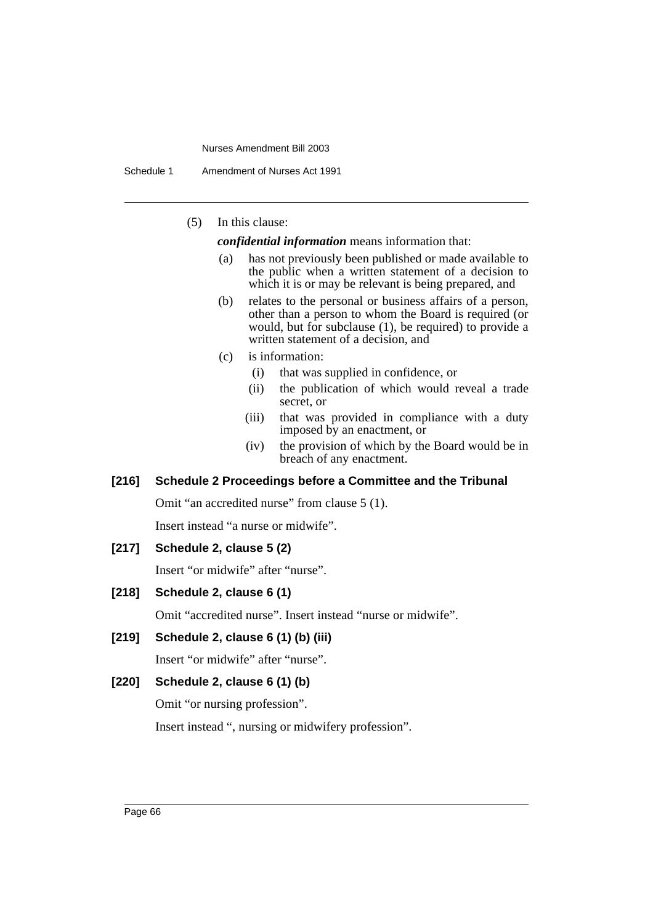Schedule 1 Amendment of Nurses Act 1991

(5) In this clause:

*confidential information* means information that:

- (a) has not previously been published or made available to the public when a written statement of a decision to which it is or may be relevant is being prepared, and
- (b) relates to the personal or business affairs of a person, other than a person to whom the Board is required (or would, but for subclause (1), be required) to provide a written statement of a decision, and
- (c) is information:
	- (i) that was supplied in confidence, or
	- (ii) the publication of which would reveal a trade secret, or
	- (iii) that was provided in compliance with a duty imposed by an enactment, or
	- (iv) the provision of which by the Board would be in breach of any enactment.

# **[216] Schedule 2 Proceedings before a Committee and the Tribunal**

Omit "an accredited nurse" from clause 5 (1). Insert instead "a nurse or midwife".

# **[217] Schedule 2, clause 5 (2)**

Insert "or midwife" after "nurse".

#### **[218] Schedule 2, clause 6 (1)**

Omit "accredited nurse". Insert instead "nurse or midwife".

# **[219] Schedule 2, clause 6 (1) (b) (iii)**

Insert "or midwife" after "nurse".

# **[220] Schedule 2, clause 6 (1) (b)**

Omit "or nursing profession".

Insert instead ", nursing or midwifery profession".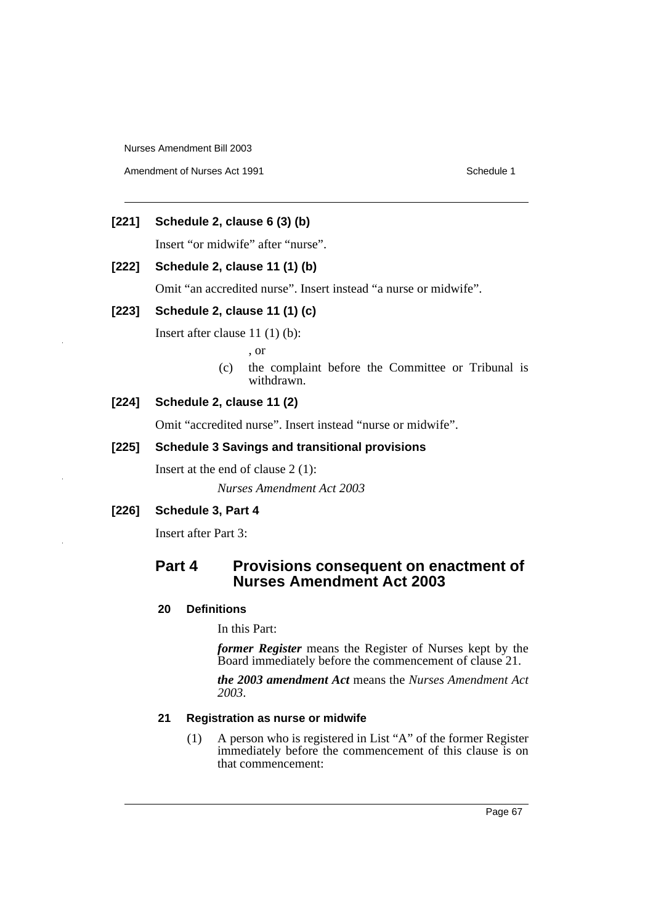Amendment of Nurses Act 1991 **Schedule 1** Schedule 1

# **[221] Schedule 2, clause 6 (3) (b)**

Insert "or midwife" after "nurse".

# **[222] Schedule 2, clause 11 (1) (b)**

Omit "an accredited nurse". Insert instead "a nurse or midwife".

# **[223] Schedule 2, clause 11 (1) (c)**

Insert after clause 11 (1) (b):

, or

(c) the complaint before the Committee or Tribunal is withdrawn.

# **[224] Schedule 2, clause 11 (2)**

Omit "accredited nurse". Insert instead "nurse or midwife".

# **[225] Schedule 3 Savings and transitional provisions**

Insert at the end of clause 2 (1):

*Nurses Amendment Act 2003*

# **[226] Schedule 3, Part 4**

Insert after Part 3:

# **Part 4 Provisions consequent on enactment of Nurses Amendment Act 2003**

## **20 Definitions**

In this Part:

*former Register* means the Register of Nurses kept by the Board immediately before the commencement of clause 21.

*the 2003 amendment Act* means the *Nurses Amendment Act 2003*.

## **21 Registration as nurse or midwife**

(1) A person who is registered in List "A" of the former Register immediately before the commencement of this clause is on that commencement: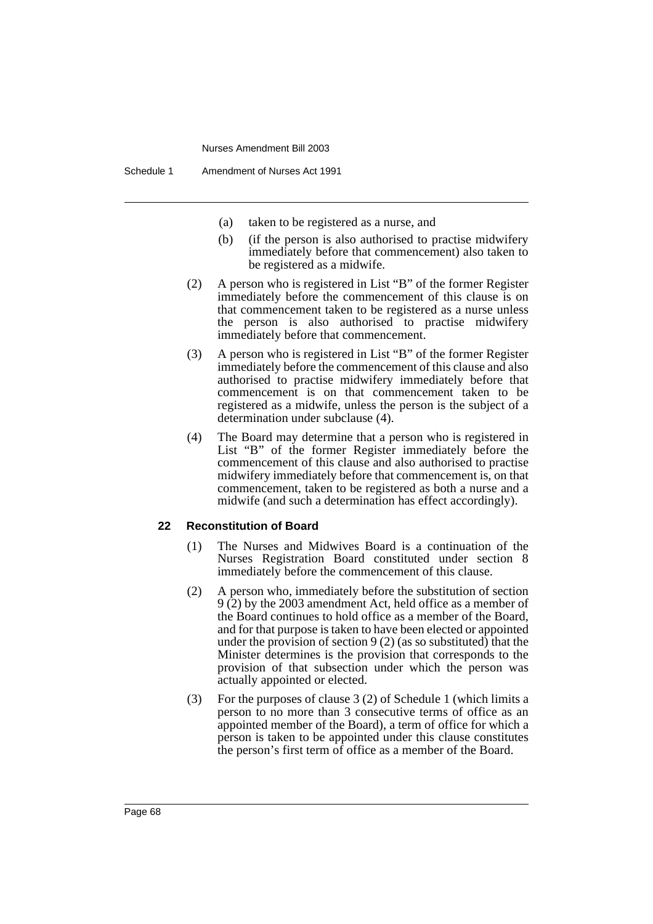- (a) taken to be registered as a nurse, and
- (b) (if the person is also authorised to practise midwifery immediately before that commencement) also taken to be registered as a midwife.
- (2) A person who is registered in List "B" of the former Register immediately before the commencement of this clause is on that commencement taken to be registered as a nurse unless the person is also authorised to practise midwifery immediately before that commencement.
- (3) A person who is registered in List "B" of the former Register immediately before the commencement of this clause and also authorised to practise midwifery immediately before that commencement is on that commencement taken to be registered as a midwife, unless the person is the subject of a determination under subclause (4).
- (4) The Board may determine that a person who is registered in List "B" of the former Register immediately before the commencement of this clause and also authorised to practise midwifery immediately before that commencement is, on that commencement, taken to be registered as both a nurse and a midwife (and such a determination has effect accordingly).

#### **22 Reconstitution of Board**

- (1) The Nurses and Midwives Board is a continuation of the Nurses Registration Board constituted under section 8 immediately before the commencement of this clause.
- (2) A person who, immediately before the substitution of section 9 (2) by the 2003 amendment Act, held office as a member of the Board continues to hold office as a member of the Board, and for that purpose is taken to have been elected or appointed under the provision of section  $9(2)$  (as so substituted) that the Minister determines is the provision that corresponds to the provision of that subsection under which the person was actually appointed or elected.
- (3) For the purposes of clause 3 (2) of Schedule 1 (which limits a person to no more than 3 consecutive terms of office as an appointed member of the Board), a term of office for which a person is taken to be appointed under this clause constitutes the person's first term of office as a member of the Board.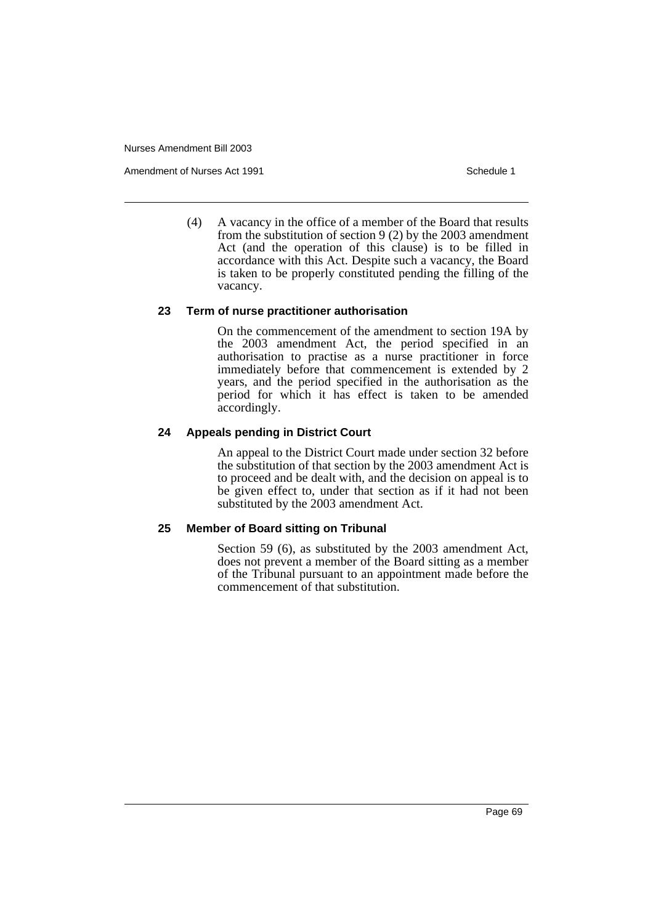Amendment of Nurses Act 1991 **Schedule 1** Schedule 1

(4) A vacancy in the office of a member of the Board that results from the substitution of section 9 (2) by the 2003 amendment Act (and the operation of this clause) is to be filled in accordance with this Act. Despite such a vacancy, the Board is taken to be properly constituted pending the filling of the vacancy.

## **23 Term of nurse practitioner authorisation**

On the commencement of the amendment to section 19A by the 2003 amendment Act, the period specified in an authorisation to practise as a nurse practitioner in force immediately before that commencement is extended by 2 years, and the period specified in the authorisation as the period for which it has effect is taken to be amended accordingly.

## **24 Appeals pending in District Court**

An appeal to the District Court made under section 32 before the substitution of that section by the 2003 amendment Act is to proceed and be dealt with, and the decision on appeal is to be given effect to, under that section as if it had not been substituted by the 2003 amendment Act.

## **25 Member of Board sitting on Tribunal**

Section 59 (6), as substituted by the 2003 amendment Act, does not prevent a member of the Board sitting as a member of the Tribunal pursuant to an appointment made before the commencement of that substitution.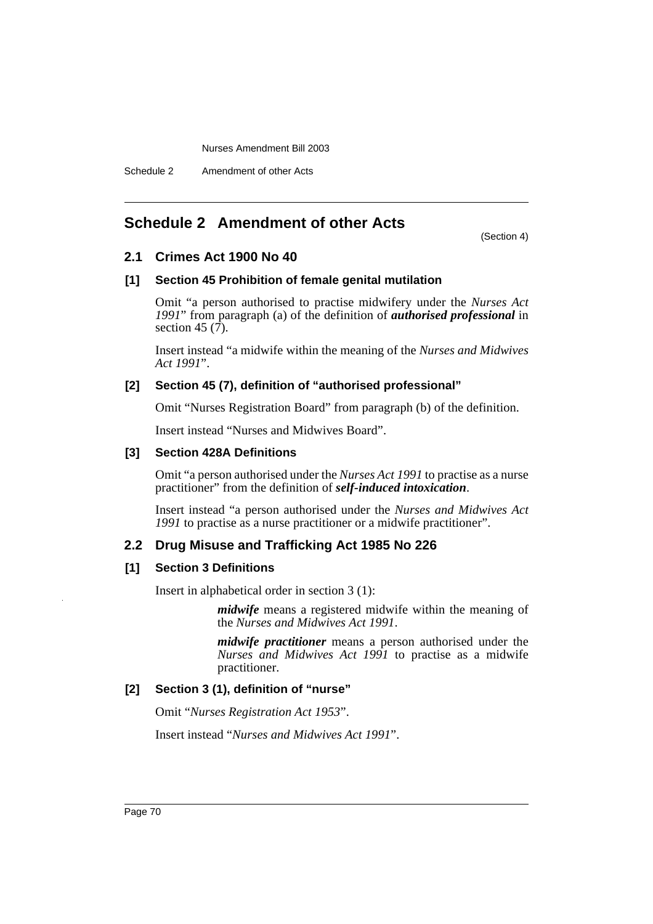# **Schedule 2 Amendment of other Acts**

(Section 4)

# **2.1 Crimes Act 1900 No 40**

# **[1] Section 45 Prohibition of female genital mutilation**

Omit "a person authorised to practise midwifery under the *Nurses Act 1991*" from paragraph (a) of the definition of *authorised professional* in section 45  $(7)$ .

Insert instead "a midwife within the meaning of the *Nurses and Midwives Act 1991*".

# **[2] Section 45 (7), definition of "authorised professional"**

Omit "Nurses Registration Board" from paragraph (b) of the definition.

Insert instead "Nurses and Midwives Board".

# **[3] Section 428A Definitions**

Omit "a person authorised under the *Nurses Act 1991* to practise as a nurse practitioner" from the definition of *self-induced intoxication*.

Insert instead "a person authorised under the *Nurses and Midwives Act 1991* to practise as a nurse practitioner or a midwife practitioner".

# **2.2 Drug Misuse and Trafficking Act 1985 No 226**

# **[1] Section 3 Definitions**

Insert in alphabetical order in section 3 (1):

*midwife* means a registered midwife within the meaning of the *Nurses and Midwives Act 1991*.

*midwife practitioner* means a person authorised under the *Nurses and Midwives Act 1991* to practise as a midwife practitioner.

# **[2] Section 3 (1), definition of "nurse"**

Omit "*Nurses Registration Act 1953*".

Insert instead "*Nurses and Midwives Act 1991*".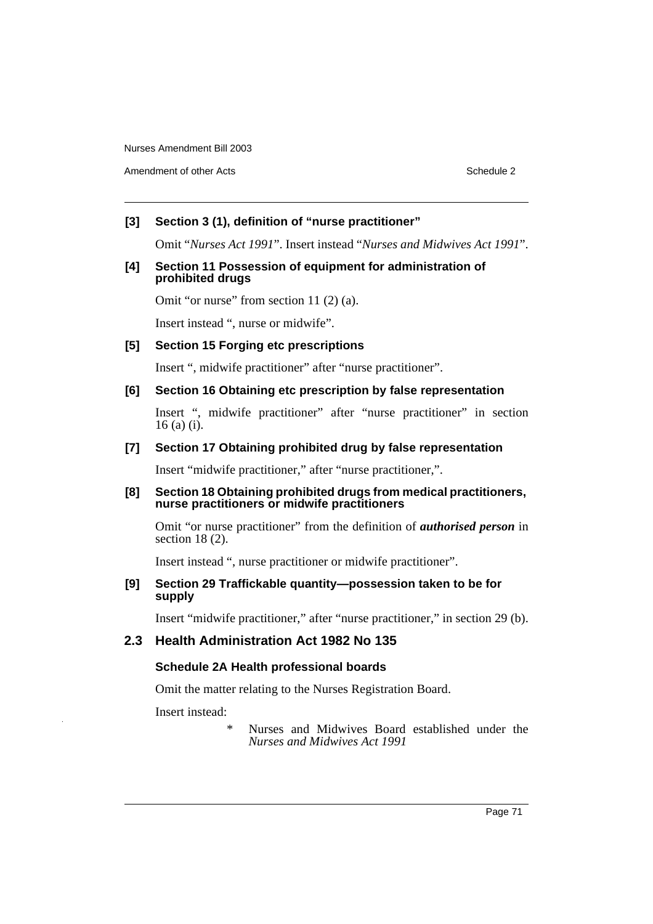Amendment of other Acts **Schedule 2** and the 2 and the 2 and 2 and 2 and 2 and 2 and 2 and 2 and 2 and 2 and 2 and 2 and 2 and 2 and 2 and 2 and 2 and 2 and 2 and 2 and 2 and 2 and 2 and 2 and 2 and 2 and 2 and 2 and 2 and

# **[3] Section 3 (1), definition of "nurse practitioner"**

Omit "*Nurses Act 1991*". Insert instead "*Nurses and Midwives Act 1991*".

## **[4] Section 11 Possession of equipment for administration of prohibited drugs**

Omit "or nurse" from section 11 (2) (a).

Insert instead ", nurse or midwife".

## **[5] Section 15 Forging etc prescriptions**

Insert ", midwife practitioner" after "nurse practitioner".

#### **[6] Section 16 Obtaining etc prescription by false representation**

Insert ", midwife practitioner" after "nurse practitioner" in section 16 (a) (i).

## **[7] Section 17 Obtaining prohibited drug by false representation**

Insert "midwife practitioner," after "nurse practitioner,".

#### **[8] Section 18 Obtaining prohibited drugs from medical practitioners, nurse practitioners or midwife practitioners**

Omit "or nurse practitioner" from the definition of *authorised person* in section 18 (2).

Insert instead ", nurse practitioner or midwife practitioner".

# **[9] Section 29 Traffickable quantity—possession taken to be for supply**

Insert "midwife practitioner," after "nurse practitioner," in section 29 (b).

# **2.3 Health Administration Act 1982 No 135**

## **Schedule 2A Health professional boards**

Omit the matter relating to the Nurses Registration Board.

Insert instead:

Nurses and Midwives Board established under the *Nurses and Midwives Act 1991*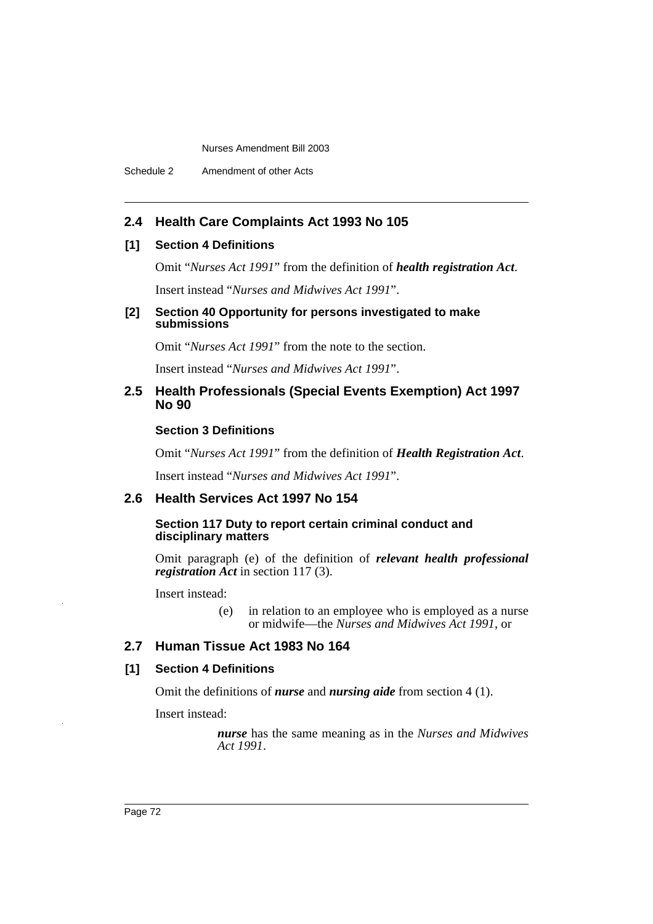Schedule 2 Amendment of other Acts

# **2.4 Health Care Complaints Act 1993 No 105**

## **[1] Section 4 Definitions**

Omit "*Nurses Act 1991*" from the definition of *health registration Act*.

Insert instead "*Nurses and Midwives Act 1991*".

### **[2] Section 40 Opportunity for persons investigated to make submissions**

Omit "*Nurses Act 1991*" from the note to the section.

Insert instead "*Nurses and Midwives Act 1991*".

## **2.5 Health Professionals (Special Events Exemption) Act 1997 No 90**

## **Section 3 Definitions**

Omit "*Nurses Act 1991*" from the definition of *Health Registration Act*.

Insert instead "*Nurses and Midwives Act 1991*".

## **2.6 Health Services Act 1997 No 154**

#### **Section 117 Duty to report certain criminal conduct and disciplinary matters**

Omit paragraph (e) of the definition of *relevant health professional registration Act* in section 117 (3).

Insert instead:

(e) in relation to an employee who is employed as a nurse or midwife—the *Nurses and Midwives Act 1991*, or

# **2.7 Human Tissue Act 1983 No 164**

## **[1] Section 4 Definitions**

Omit the definitions of *nurse* and *nursing aide* from section 4 (1).

Insert instead:

*nurse* has the same meaning as in the *Nurses and Midwives Act 1991*.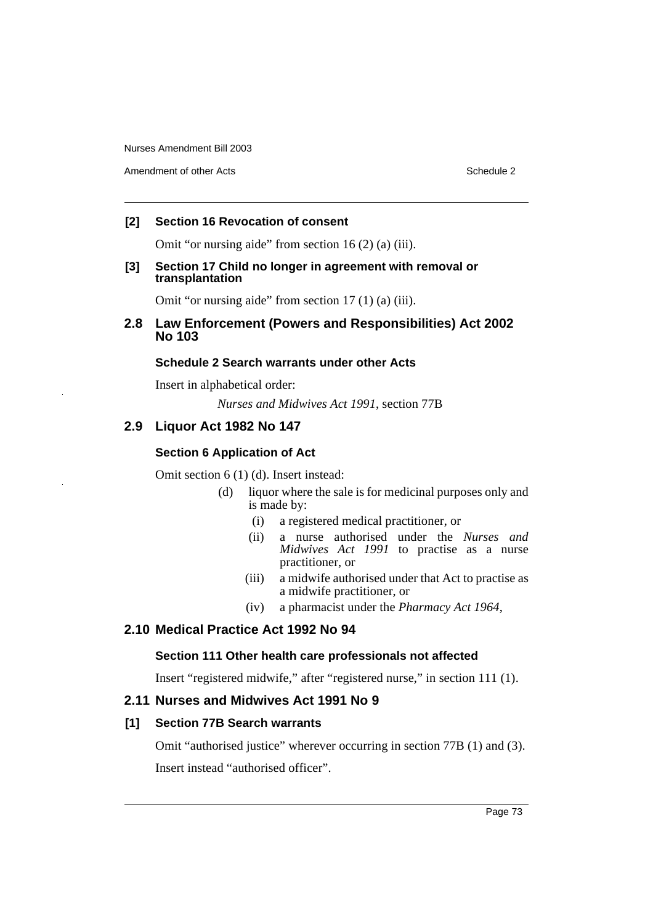Amendment of other Acts **Schedule 2** and the 2 and the 2 and 2 and 2 and 2 and 2 and 2 and 2 and 2 and 2 and 2 and 2 and 2 and 2 and 2 and 2 and 2 and 2 and 2 and 2 and 2 and 2 and 2 and 2 and 2 and 2 and 2 and 2 and 2 and

## **[2] Section 16 Revocation of consent**

Omit "or nursing aide" from section 16 (2) (a) (iii).

### **[3] Section 17 Child no longer in agreement with removal or transplantation**

Omit "or nursing aide" from section 17 (1) (a) (iii).

# **2.8 Law Enforcement (Powers and Responsibilities) Act 2002 No 103**

## **Schedule 2 Search warrants under other Acts**

Insert in alphabetical order:

*Nurses and Midwives Act 1991*, section 77B

# **2.9 Liquor Act 1982 No 147**

# **Section 6 Application of Act**

Omit section 6 (1) (d). Insert instead:

- (d) liquor where the sale is for medicinal purposes only and is made by:
	- (i) a registered medical practitioner, or
	- (ii) a nurse authorised under the *Nurses and Midwives Act 1991* to practise as a nurse practitioner, or
	- (iii) a midwife authorised under that Act to practise as a midwife practitioner, or
	- (iv) a pharmacist under the *Pharmacy Act 1964*,

# **2.10 Medical Practice Act 1992 No 94**

# **Section 111 Other health care professionals not affected**

Insert "registered midwife," after "registered nurse," in section 111 (1).

# **2.11 Nurses and Midwives Act 1991 No 9**

# **[1] Section 77B Search warrants**

Omit "authorised justice" wherever occurring in section 77B (1) and (3). Insert instead "authorised officer".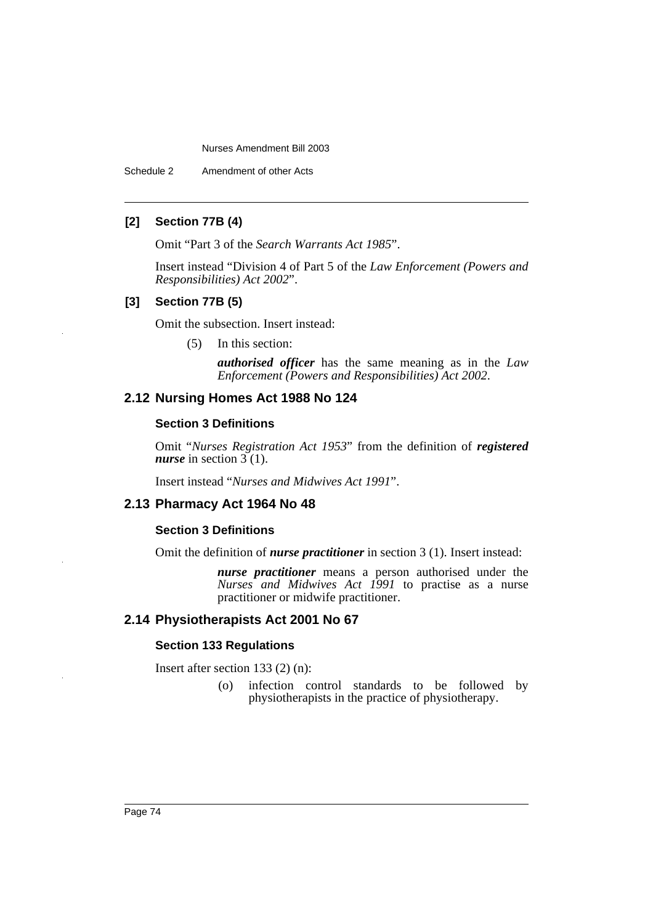Schedule 2 Amendment of other Acts

## **[2] Section 77B (4)**

Omit "Part 3 of the *Search Warrants Act 1985*".

Insert instead "Division 4 of Part 5 of the *Law Enforcement (Powers and Responsibilities) Act 2002*".

### **[3] Section 77B (5)**

Omit the subsection. Insert instead:

(5) In this section:

*authorised officer* has the same meaning as in the *Law Enforcement (Powers and Responsibilities) Act 2002*.

# **2.12 Nursing Homes Act 1988 No 124**

#### **Section 3 Definitions**

Omit "*Nurses Registration Act 1953*" from the definition of *registered nurse* in section 3 (1).

Insert instead "*Nurses and Midwives Act 1991*".

## **2.13 Pharmacy Act 1964 No 48**

#### **Section 3 Definitions**

Omit the definition of *nurse practitioner* in section 3 (1). Insert instead:

*nurse practitioner* means a person authorised under the *Nurses and Midwives Act 1991* to practise as a nurse practitioner or midwife practitioner.

## **2.14 Physiotherapists Act 2001 No 67**

#### **Section 133 Regulations**

Insert after section 133 (2) (n):

(o) infection control standards to be followed by physiotherapists in the practice of physiotherapy.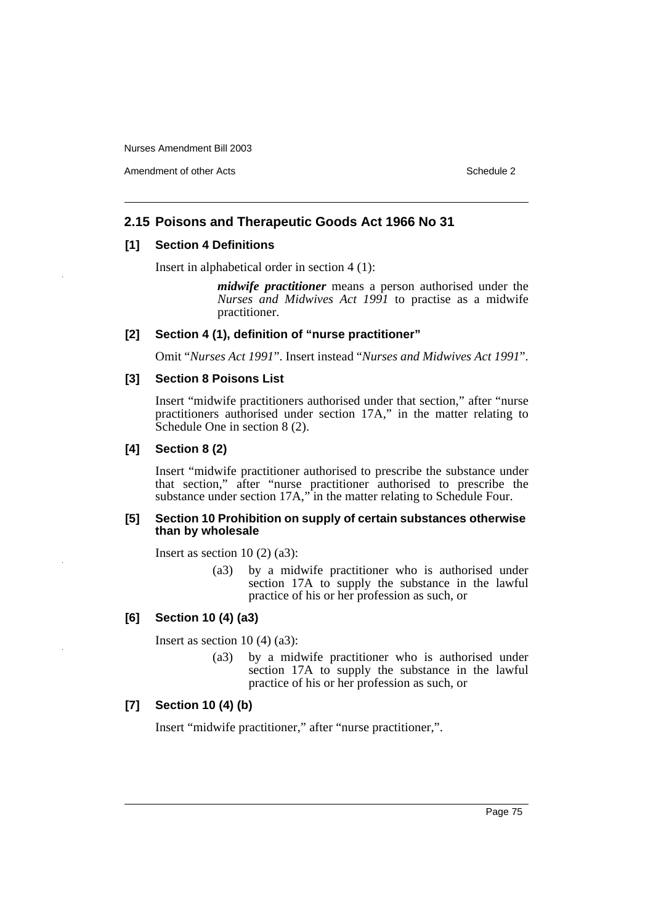Amendment of other Acts **Schedule 2** and the 2 schedule 2 and 3 schedule 2

## **2.15 Poisons and Therapeutic Goods Act 1966 No 31**

### **[1] Section 4 Definitions**

Insert in alphabetical order in section 4 (1):

*midwife practitioner* means a person authorised under the *Nurses and Midwives Act 1991* to practise as a midwife practitioner.

#### **[2] Section 4 (1), definition of "nurse practitioner"**

Omit "*Nurses Act 1991*". Insert instead "*Nurses and Midwives Act 1991*".

#### **[3] Section 8 Poisons List**

Insert "midwife practitioners authorised under that section," after "nurse practitioners authorised under section 17A," in the matter relating to Schedule One in section 8 (2).

### **[4] Section 8 (2)**

Insert "midwife practitioner authorised to prescribe the substance under that section," after "nurse practitioner authorised to prescribe the substance under section 17A," in the matter relating to Schedule Four.

#### **[5] Section 10 Prohibition on supply of certain substances otherwise than by wholesale**

Insert as section  $10(2)(a3)$ :

(a3) by a midwife practitioner who is authorised under section 17A to supply the substance in the lawful practice of his or her profession as such, or

## **[6] Section 10 (4) (a3)**

Insert as section  $10(4)(a3)$ :

(a3) by a midwife practitioner who is authorised under section 17A to supply the substance in the lawful practice of his or her profession as such, or

## **[7] Section 10 (4) (b)**

Insert "midwife practitioner," after "nurse practitioner,".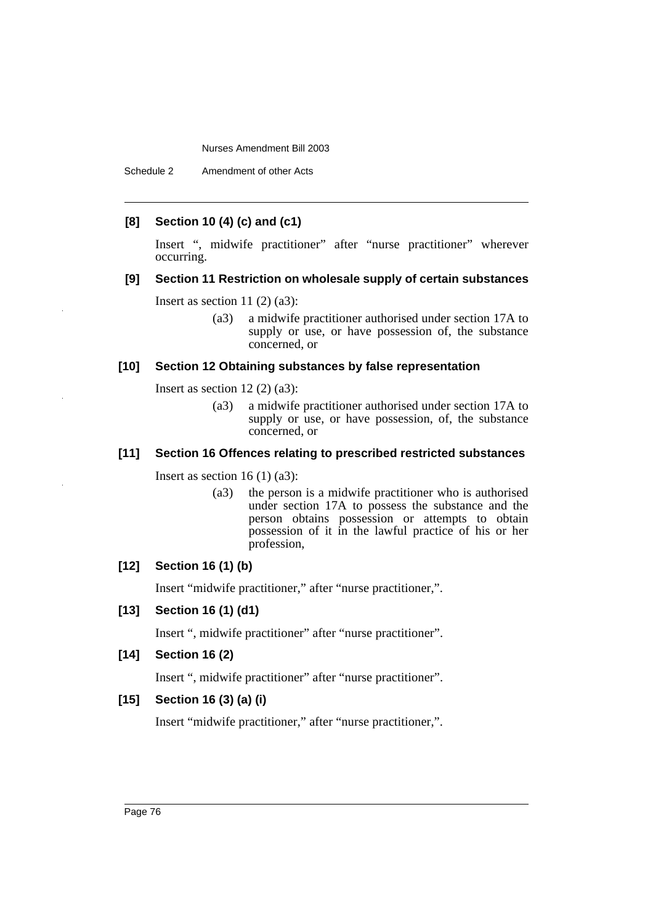## **[8] Section 10 (4) (c) and (c1)**

Insert ", midwife practitioner" after "nurse practitioner" wherever occurring.

## **[9] Section 11 Restriction on wholesale supply of certain substances**

Insert as section 11 $(2)$  $(a3)$ :

(a3) a midwife practitioner authorised under section 17A to supply or use, or have possession of, the substance concerned, or

### **[10] Section 12 Obtaining substances by false representation**

Insert as section  $12(2)(a3)$ :

(a3) a midwife practitioner authorised under section 17A to supply or use, or have possession, of, the substance concerned, or

## **[11] Section 16 Offences relating to prescribed restricted substances**

Insert as section  $16(1)(a3)$ :

(a3) the person is a midwife practitioner who is authorised under section 17A to possess the substance and the person obtains possession or attempts to obtain possession of it in the lawful practice of his or her profession,

## **[12] Section 16 (1) (b)**

Insert "midwife practitioner," after "nurse practitioner,".

## **[13] Section 16 (1) (d1)**

Insert ", midwife practitioner" after "nurse practitioner".

#### **[14] Section 16 (2)**

Insert ", midwife practitioner" after "nurse practitioner".

## **[15] Section 16 (3) (a) (i)**

Insert "midwife practitioner," after "nurse practitioner,".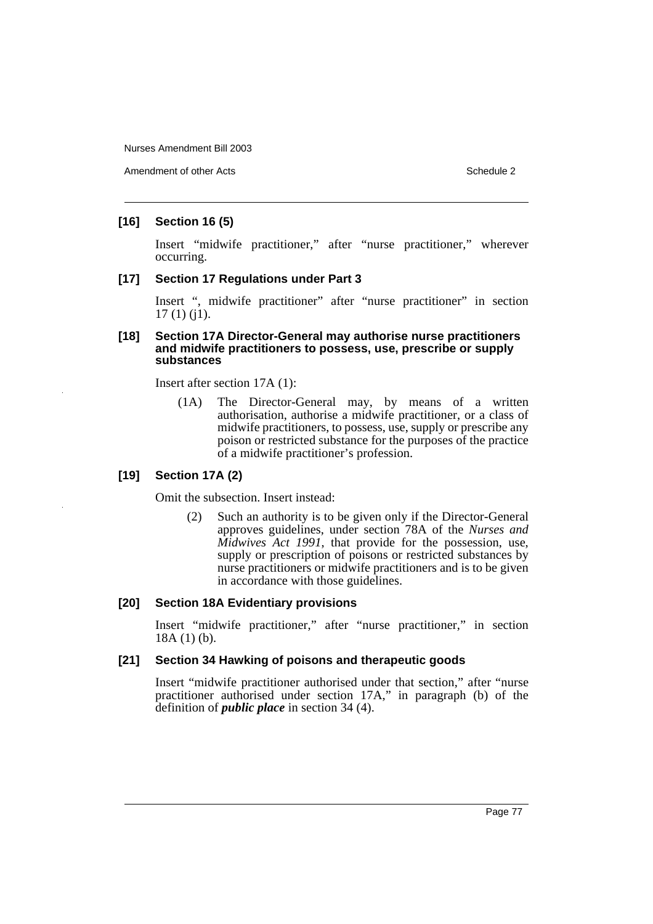Amendment of other Acts **Schedule 2** and the 2 schedule 2 and 3 schedule 2

## **[16] Section 16 (5)**

Insert "midwife practitioner," after "nurse practitioner," wherever occurring.

# **[17] Section 17 Regulations under Part 3**

Insert ", midwife practitioner" after "nurse practitioner" in section 17 (1) (j1).

#### **[18] Section 17A Director-General may authorise nurse practitioners and midwife practitioners to possess, use, prescribe or supply substances**

Insert after section 17A (1):

(1A) The Director-General may, by means of a written authorisation, authorise a midwife practitioner, or a class of midwife practitioners, to possess, use, supply or prescribe any poison or restricted substance for the purposes of the practice of a midwife practitioner's profession.

## **[19] Section 17A (2)**

Omit the subsection. Insert instead:

(2) Such an authority is to be given only if the Director-General approves guidelines, under section 78A of the *Nurses and Midwives Act 1991*, that provide for the possession, use, supply or prescription of poisons or restricted substances by nurse practitioners or midwife practitioners and is to be given in accordance with those guidelines.

#### **[20] Section 18A Evidentiary provisions**

Insert "midwife practitioner," after "nurse practitioner," in section 18A (1) (b).

## **[21] Section 34 Hawking of poisons and therapeutic goods**

Insert "midwife practitioner authorised under that section," after "nurse practitioner authorised under section 17A," in paragraph (b) of the definition of *public place* in section 34 (4).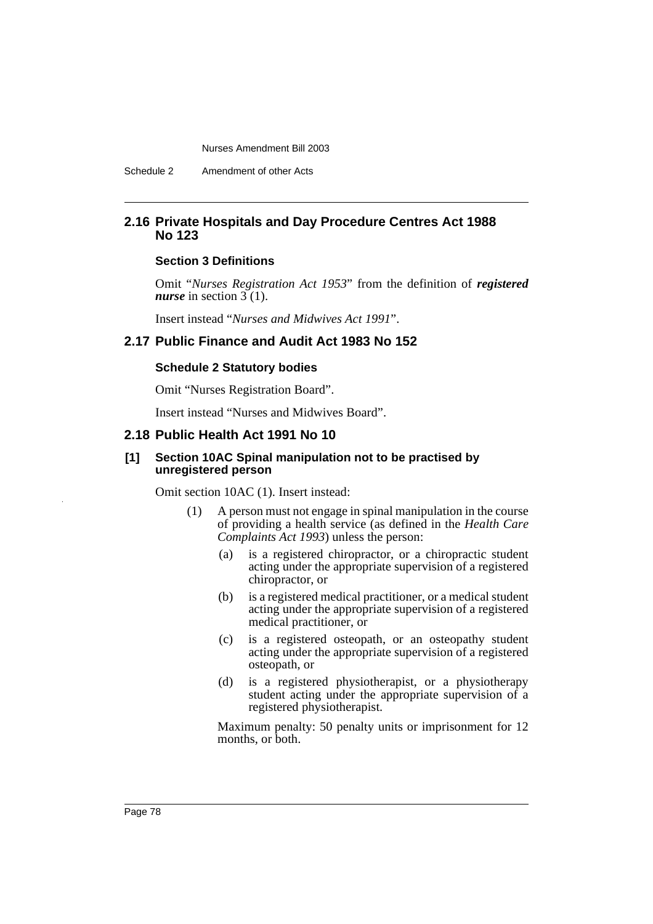## **2.16 Private Hospitals and Day Procedure Centres Act 1988 No 123**

#### **Section 3 Definitions**

Omit "*Nurses Registration Act 1953*" from the definition of *registered nurse* in section  $3(1)$ .

Insert instead "*Nurses and Midwives Act 1991*".

# **2.17 Public Finance and Audit Act 1983 No 152**

#### **Schedule 2 Statutory bodies**

Omit "Nurses Registration Board".

Insert instead "Nurses and Midwives Board".

## **2.18 Public Health Act 1991 No 10**

### **[1] Section 10AC Spinal manipulation not to be practised by unregistered person**

Omit section 10AC (1). Insert instead:

- (1) A person must not engage in spinal manipulation in the course of providing a health service (as defined in the *Health Care Complaints Act 1993*) unless the person:
	- (a) is a registered chiropractor, or a chiropractic student acting under the appropriate supervision of a registered chiropractor, or
	- (b) is a registered medical practitioner, or a medical student acting under the appropriate supervision of a registered medical practitioner, or
	- (c) is a registered osteopath, or an osteopathy student acting under the appropriate supervision of a registered osteopath, or
	- (d) is a registered physiotherapist, or a physiotherapy student acting under the appropriate supervision of a registered physiotherapist.

Maximum penalty: 50 penalty units or imprisonment for 12 months, or both.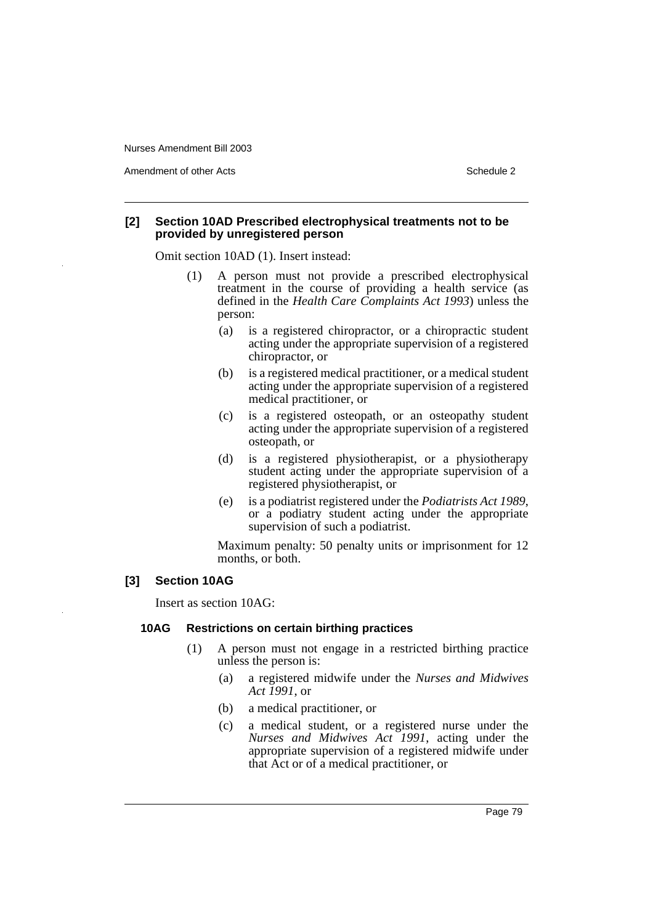Amendment of other Acts **Schedule 2** and the 2 schedule 2 and 3 schedule 2

#### **[2] Section 10AD Prescribed electrophysical treatments not to be provided by unregistered person**

Omit section 10AD (1). Insert instead:

- (1) A person must not provide a prescribed electrophysical treatment in the course of providing a health service (as defined in the *Health Care Complaints Act 1993*) unless the person:
	- (a) is a registered chiropractor, or a chiropractic student acting under the appropriate supervision of a registered chiropractor, or
	- (b) is a registered medical practitioner, or a medical student acting under the appropriate supervision of a registered medical practitioner, or
	- (c) is a registered osteopath, or an osteopathy student acting under the appropriate supervision of a registered osteopath, or
	- (d) is a registered physiotherapist, or a physiotherapy student acting under the appropriate supervision of a registered physiotherapist, or
	- (e) is a podiatrist registered under the *Podiatrists Act 1989*, or a podiatry student acting under the appropriate supervision of such a podiatrist.

Maximum penalty: 50 penalty units or imprisonment for 12 months, or both.

## **[3] Section 10AG**

Insert as section 10AG:

#### **10AG Restrictions on certain birthing practices**

- (1) A person must not engage in a restricted birthing practice unless the person is:
	- (a) a registered midwife under the *Nurses and Midwives Act 1991*, or
	- (b) a medical practitioner, or
	- (c) a medical student, or a registered nurse under the *Nurses and Midwives Act 1991*, acting under the appropriate supervision of a registered midwife under that Act or of a medical practitioner, or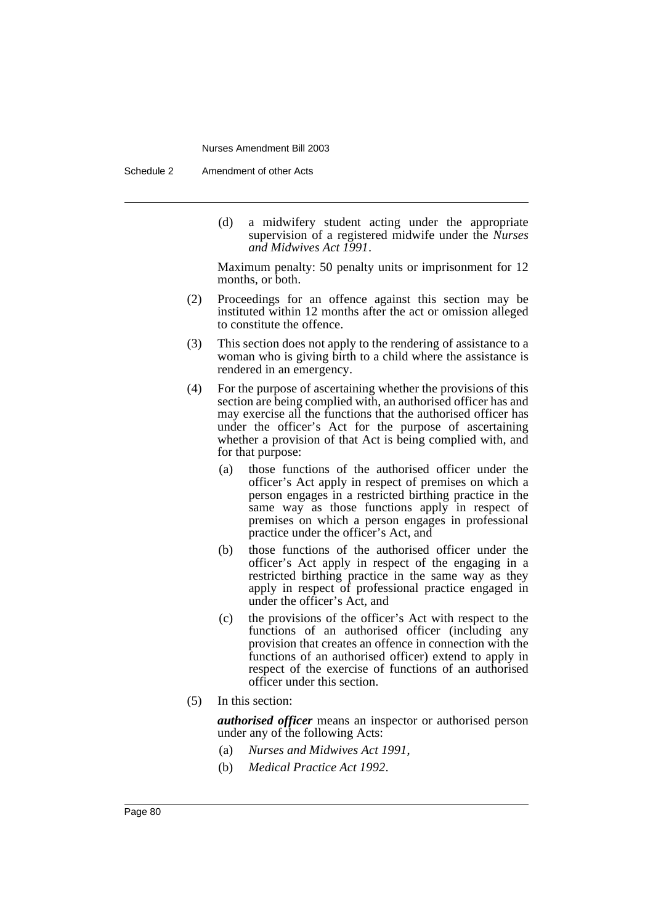Schedule 2 Amendment of other Acts

(d) a midwifery student acting under the appropriate supervision of a registered midwife under the *Nurses and Midwives Act 1991*.

Maximum penalty: 50 penalty units or imprisonment for 12 months, or both.

- (2) Proceedings for an offence against this section may be instituted within 12 months after the act or omission alleged to constitute the offence.
- (3) This section does not apply to the rendering of assistance to a woman who is giving birth to a child where the assistance is rendered in an emergency.
- (4) For the purpose of ascertaining whether the provisions of this section are being complied with, an authorised officer has and may exercise all the functions that the authorised officer has under the officer's Act for the purpose of ascertaining whether a provision of that Act is being complied with, and for that purpose:
	- (a) those functions of the authorised officer under the officer's Act apply in respect of premises on which a person engages in a restricted birthing practice in the same way as those functions apply in respect of premises on which a person engages in professional practice under the officer's Act, and
	- (b) those functions of the authorised officer under the officer's Act apply in respect of the engaging in a restricted birthing practice in the same way as they apply in respect of professional practice engaged in under the officer's Act, and
	- (c) the provisions of the officer's Act with respect to the functions of an authorised officer (including any provision that creates an offence in connection with the functions of an authorised officer) extend to apply in respect of the exercise of functions of an authorised officer under this section.
- (5) In this section:

*authorised officer* means an inspector or authorised person under any of the following Acts:

- (a) *Nurses and Midwives Act 1991*,
- (b) *Medical Practice Act 1992*.